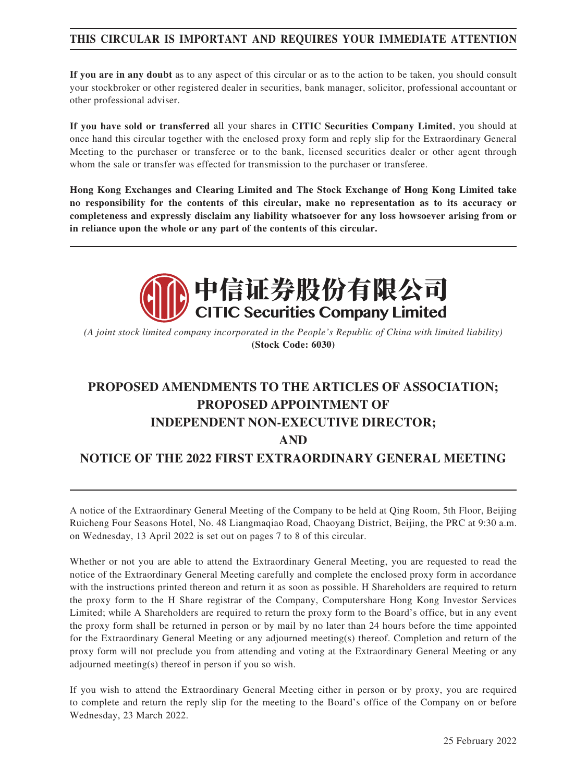### **THIS CIRCULAR IS IMPORTANT AND REQUIRES YOUR IMMEDIATE ATTENTION**

**If you are in any doubt** as to any aspect of this circular or as to the action to be taken, you should consult your stockbroker or other registered dealer in securities, bank manager, solicitor, professional accountant or other professional adviser.

**If you have sold or transferred** all your shares in **CITIC Securities Company Limited**, you should at once hand this circular together with the enclosed proxy form and reply slip for the Extraordinary General Meeting to the purchaser or transferee or to the bank, licensed securities dealer or other agent through whom the sale or transfer was effected for transmission to the purchaser or transferee.

**Hong Kong Exchanges and Clearing Limited and The Stock Exchange of Hong Kong Limited take no responsibility for the contents of this circular, make no representation as to its accuracy or completeness and expressly disclaim any liability whatsoever for any loss howsoever arising from or in reliance upon the whole or any part of the contents of this circular.**



*(A joint stock limited company incorporated in the People's Republic of China with limited liability)* **(Stock Code: 6030)**

# **PROPOSED AMENDMENTS TO THE ARTICLES OF ASSOCIATION; PROPOSED APPOINTMENT OF INDEPENDENT NON-EXECUTIVE DIRECTOR; AND NOTICE OF THE 2022 FIRST EXTRAORDINARY GENERAL MEETING**

A notice of the Extraordinary General Meeting of the Company to be held at Qing Room, 5th Floor, Beijing Ruicheng Four Seasons Hotel, No. 48 Liangmaqiao Road, Chaoyang District, Beijing, the PRC at 9:30 a.m. on Wednesday, 13 April 2022 is set out on pages 7 to 8 of this circular.

Whether or not you are able to attend the Extraordinary General Meeting, you are requested to read the notice of the Extraordinary General Meeting carefully and complete the enclosed proxy form in accordance with the instructions printed thereon and return it as soon as possible. H Shareholders are required to return the proxy form to the H Share registrar of the Company, Computershare Hong Kong Investor Services Limited; while A Shareholders are required to return the proxy form to the Board's office, but in any event the proxy form shall be returned in person or by mail by no later than 24 hours before the time appointed for the Extraordinary General Meeting or any adjourned meeting(s) thereof. Completion and return of the proxy form will not preclude you from attending and voting at the Extraordinary General Meeting or any adjourned meeting(s) thereof in person if you so wish.

If you wish to attend the Extraordinary General Meeting either in person or by proxy, you are required to complete and return the reply slip for the meeting to the Board's office of the Company on or before Wednesday, 23 March 2022.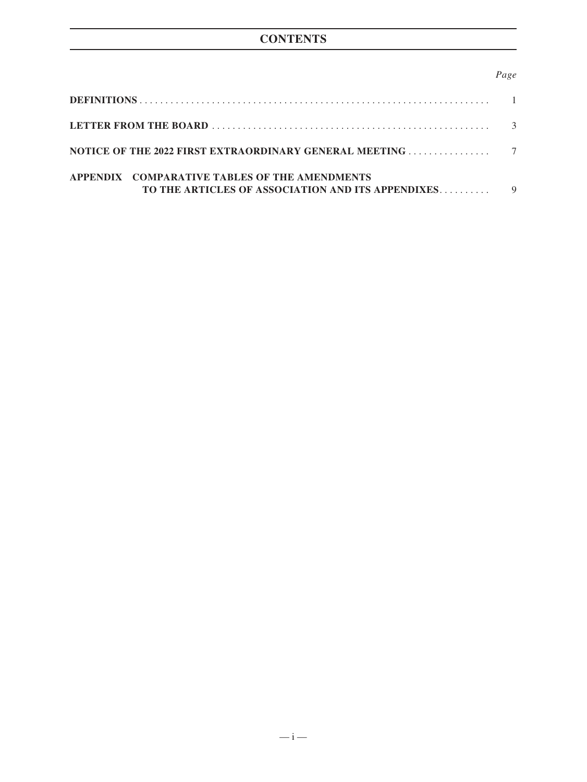### *Page*

| APPENDIX COMPARATIVE TABLES OF THE AMENDMENTS<br>TO THE ARTICLES OF ASSOCIATION AND ITS APPENDIXES |  |
|----------------------------------------------------------------------------------------------------|--|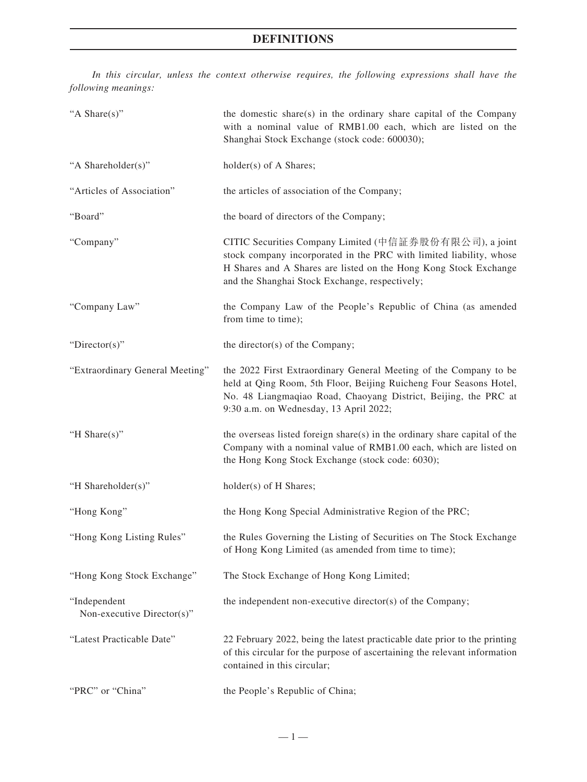### **DEFINITIONS**

*In this circular, unless the context otherwise requires, the following expressions shall have the following meanings:*

| "A Share(s)"                               | the domestic share(s) in the ordinary share capital of the Company<br>with a nominal value of RMB1.00 each, which are listed on the<br>Shanghai Stock Exchange (stock code: 600030);                                                                 |
|--------------------------------------------|------------------------------------------------------------------------------------------------------------------------------------------------------------------------------------------------------------------------------------------------------|
| "A Shareholder(s)"                         | holder(s) of A Shares;                                                                                                                                                                                                                               |
| "Articles of Association"                  | the articles of association of the Company;                                                                                                                                                                                                          |
| "Board"                                    | the board of directors of the Company;                                                                                                                                                                                                               |
| "Company"                                  | CITIC Securities Company Limited (中信証券股份有限公司), a joint<br>stock company incorporated in the PRC with limited liability, whose<br>H Shares and A Shares are listed on the Hong Kong Stock Exchange<br>and the Shanghai Stock Exchange, respectively;  |
| "Company Law"                              | the Company Law of the People's Republic of China (as amended<br>from time to time);                                                                                                                                                                 |
| "Director(s)"                              | the director(s) of the Company;                                                                                                                                                                                                                      |
| "Extraordinary General Meeting"            | the 2022 First Extraordinary General Meeting of the Company to be<br>held at Qing Room, 5th Floor, Beijing Ruicheng Four Seasons Hotel,<br>No. 48 Liangmaqiao Road, Chaoyang District, Beijing, the PRC at<br>9:30 a.m. on Wednesday, 13 April 2022; |
| "H Share(s)"                               | the overseas listed foreign share(s) in the ordinary share capital of the<br>Company with a nominal value of RMB1.00 each, which are listed on<br>the Hong Kong Stock Exchange (stock code: 6030);                                                   |
| "H Shareholder(s)"                         | holder(s) of H Shares;                                                                                                                                                                                                                               |
| "Hong Kong"                                | the Hong Kong Special Administrative Region of the PRC;                                                                                                                                                                                              |
| "Hong Kong Listing Rules"                  | the Rules Governing the Listing of Securities on The Stock Exchange<br>of Hong Kong Limited (as amended from time to time);                                                                                                                          |
| "Hong Kong Stock Exchange"                 | The Stock Exchange of Hong Kong Limited;                                                                                                                                                                                                             |
| "Independent<br>Non-executive Director(s)" | the independent non-executive director(s) of the Company;                                                                                                                                                                                            |
| "Latest Practicable Date"                  | 22 February 2022, being the latest practicable date prior to the printing<br>of this circular for the purpose of ascertaining the relevant information<br>contained in this circular;                                                                |
| "PRC" or "China"                           | the People's Republic of China;                                                                                                                                                                                                                      |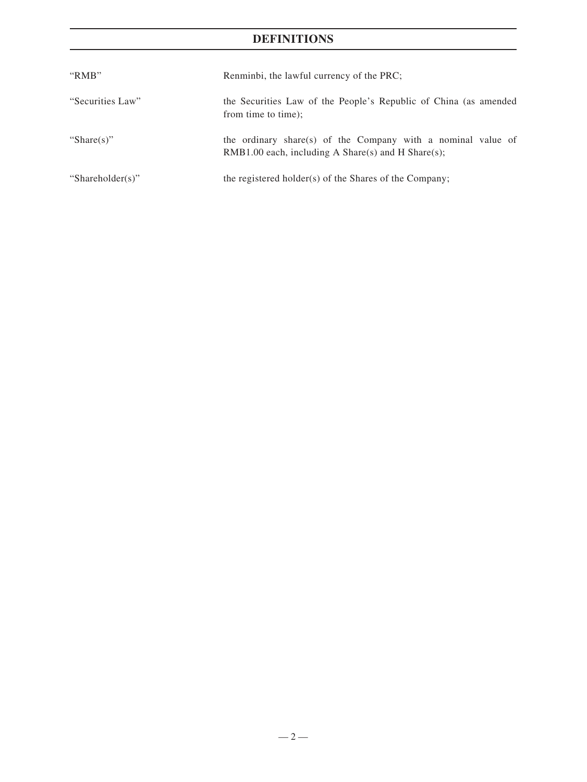### **DEFINITIONS**

| " $RMB"$         | Renminbi, the lawful currency of the PRC;                                                                            |
|------------------|----------------------------------------------------------------------------------------------------------------------|
| "Securities Law" | the Securities Law of the People's Republic of China (as amended<br>from time to time);                              |
| "Share $(s)$ "   | the ordinary share(s) of the Company with a nominal value of<br>$RMB1.00$ each, including A Share(s) and H Share(s); |
| "Shareholder(s)" | the registered holder(s) of the Shares of the Company;                                                               |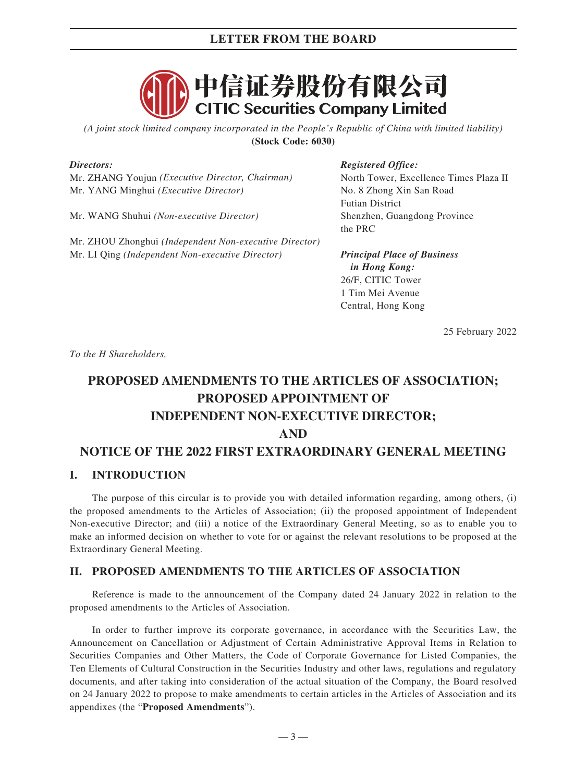### **LETTER FROM THE BOARD**



*(A joint stock limited company incorporated in the People's Republic of China with limited liability)* **(Stock Code: 6030)**

### *Directors:*

Mr. ZHANG Youjun *(Executive Director, Chairman)* Mr. YANG Minghui *(Executive Director)*

Mr. WANG Shuhui *(Non-executive Director)*

Mr. ZHOU Zhonghui *(Independent Non-executive Director)* Mr. LI Qing *(Independent Non-executive Director)*

### *Registered Office:*

North Tower, Excellence Times Plaza II No. 8 Zhong Xin San Road Futian District Shenzhen, Guangdong Province the PRC

*Principal Place of Business in Hong Kong:* 26/F, CITIC Tower 1 Tim Mei Avenue Central, Hong Kong

25 February 2022

*To the H Shareholders,*

## **PROPOSED AMENDMENTS TO THE ARTICLES OF ASSOCIATION; PROPOSED APPOINTMENT OF INDEPENDENT NON-EXECUTIVE DIRECTOR; AND NOTICE OF THE 2022 FIRST EXTRAORDINARY GENERAL MEETING**

### **I. INTRODUCTION**

The purpose of this circular is to provide you with detailed information regarding, among others, (i) the proposed amendments to the Articles of Association; (ii) the proposed appointment of Independent Non-executive Director; and (iii) a notice of the Extraordinary General Meeting, so as to enable you to make an informed decision on whether to vote for or against the relevant resolutions to be proposed at the Extraordinary General Meeting.

### **II. PROPOSED AMENDMENTS TO THE ARTICLES OF ASSOCIATION**

Reference is made to the announcement of the Company dated 24 January 2022 in relation to the proposed amendments to the Articles of Association.

In order to further improve its corporate governance, in accordance with the Securities Law, the Announcement on Cancellation or Adjustment of Certain Administrative Approval Items in Relation to Securities Companies and Other Matters, the Code of Corporate Governance for Listed Companies, the Ten Elements of Cultural Construction in the Securities Industry and other laws, regulations and regulatory documents, and after taking into consideration of the actual situation of the Company, the Board resolved on 24 January 2022 to propose to make amendments to certain articles in the Articles of Association and its appendixes (the "**Proposed Amendments**").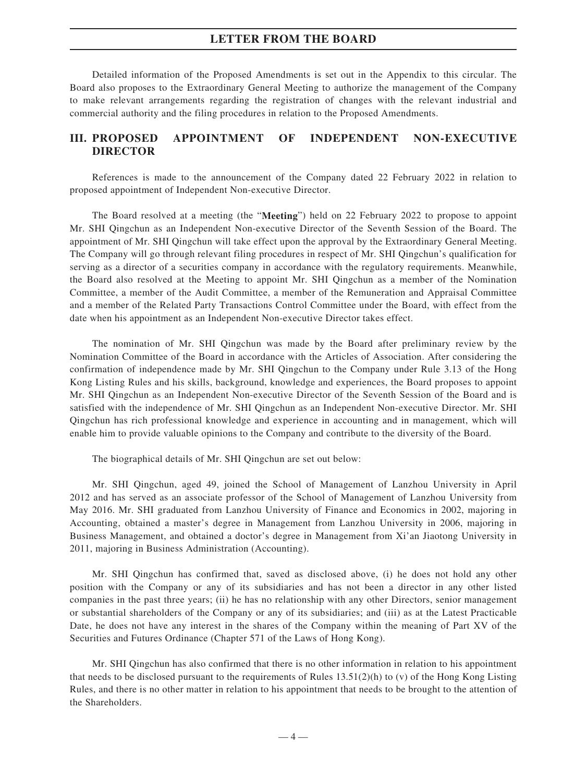### **LETTER FROM THE BOARD**

Detailed information of the Proposed Amendments is set out in the Appendix to this circular. The Board also proposes to the Extraordinary General Meeting to authorize the management of the Company to make relevant arrangements regarding the registration of changes with the relevant industrial and commercial authority and the filing procedures in relation to the Proposed Amendments.

### **III. PROPOSED APPOINTMENT OF INDEPENDENT NON-EXECUTIVE DIRECTOR**

References is made to the announcement of the Company dated 22 February 2022 in relation to proposed appointment of Independent Non-executive Director.

The Board resolved at a meeting (the "**Meeting**") held on 22 February 2022 to propose to appoint Mr. SHI Qingchun as an Independent Non-executive Director of the Seventh Session of the Board. The appointment of Mr. SHI Qingchun will take effect upon the approval by the Extraordinary General Meeting. The Company will go through relevant filing procedures in respect of Mr. SHI Qingchun's qualification for serving as a director of a securities company in accordance with the regulatory requirements. Meanwhile, the Board also resolved at the Meeting to appoint Mr. SHI Qingchun as a member of the Nomination Committee, a member of the Audit Committee, a member of the Remuneration and Appraisal Committee and a member of the Related Party Transactions Control Committee under the Board, with effect from the date when his appointment as an Independent Non-executive Director takes effect.

The nomination of Mr. SHI Qingchun was made by the Board after preliminary review by the Nomination Committee of the Board in accordance with the Articles of Association. After considering the confirmation of independence made by Mr. SHI Qingchun to the Company under Rule 3.13 of the Hong Kong Listing Rules and his skills, background, knowledge and experiences, the Board proposes to appoint Mr. SHI Qingchun as an Independent Non-executive Director of the Seventh Session of the Board and is satisfied with the independence of Mr. SHI Qingchun as an Independent Non-executive Director. Mr. SHI Qingchun has rich professional knowledge and experience in accounting and in management, which will enable him to provide valuable opinions to the Company and contribute to the diversity of the Board.

The biographical details of Mr. SHI Qingchun are set out below:

Mr. SHI Qingchun, aged 49, joined the School of Management of Lanzhou University in April 2012 and has served as an associate professor of the School of Management of Lanzhou University from May 2016. Mr. SHI graduated from Lanzhou University of Finance and Economics in 2002, majoring in Accounting, obtained a master's degree in Management from Lanzhou University in 2006, majoring in Business Management, and obtained a doctor's degree in Management from Xi'an Jiaotong University in 2011, majoring in Business Administration (Accounting).

Mr. SHI Qingchun has confirmed that, saved as disclosed above, (i) he does not hold any other position with the Company or any of its subsidiaries and has not been a director in any other listed companies in the past three years; (ii) he has no relationship with any other Directors, senior management or substantial shareholders of the Company or any of its subsidiaries; and (iii) as at the Latest Practicable Date, he does not have any interest in the shares of the Company within the meaning of Part XV of the Securities and Futures Ordinance (Chapter 571 of the Laws of Hong Kong).

Mr. SHI Qingchun has also confirmed that there is no other information in relation to his appointment that needs to be disclosed pursuant to the requirements of Rules 13.51(2)(h) to (v) of the Hong Kong Listing Rules, and there is no other matter in relation to his appointment that needs to be brought to the attention of the Shareholders.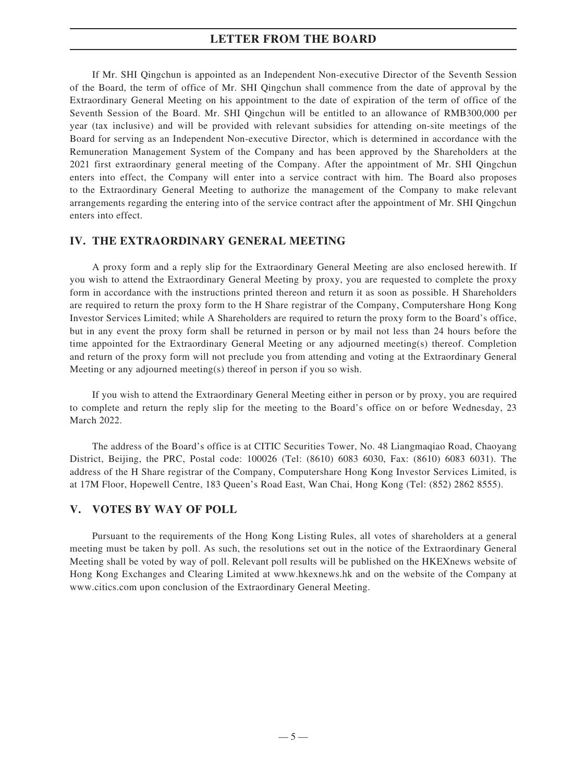### **LETTER FROM THE BOARD**

If Mr. SHI Qingchun is appointed as an Independent Non-executive Director of the Seventh Session of the Board, the term of office of Mr. SHI Qingchun shall commence from the date of approval by the Extraordinary General Meeting on his appointment to the date of expiration of the term of office of the Seventh Session of the Board. Mr. SHI Qingchun will be entitled to an allowance of RMB300,000 per year (tax inclusive) and will be provided with relevant subsidies for attending on-site meetings of the Board for serving as an Independent Non-executive Director, which is determined in accordance with the Remuneration Management System of the Company and has been approved by the Shareholders at the 2021 first extraordinary general meeting of the Company. After the appointment of Mr. SHI Qingchun enters into effect, the Company will enter into a service contract with him. The Board also proposes to the Extraordinary General Meeting to authorize the management of the Company to make relevant arrangements regarding the entering into of the service contract after the appointment of Mr. SHI Qingchun enters into effect.

### **IV. THE EXTRAORDINARY GENERAL MEETING**

A proxy form and a reply slip for the Extraordinary General Meeting are also enclosed herewith. If you wish to attend the Extraordinary General Meeting by proxy, you are requested to complete the proxy form in accordance with the instructions printed thereon and return it as soon as possible. H Shareholders are required to return the proxy form to the H Share registrar of the Company, Computershare Hong Kong Investor Services Limited; while A Shareholders are required to return the proxy form to the Board's office, but in any event the proxy form shall be returned in person or by mail not less than 24 hours before the time appointed for the Extraordinary General Meeting or any adjourned meeting(s) thereof. Completion and return of the proxy form will not preclude you from attending and voting at the Extraordinary General Meeting or any adjourned meeting(s) thereof in person if you so wish.

If you wish to attend the Extraordinary General Meeting either in person or by proxy, you are required to complete and return the reply slip for the meeting to the Board's office on or before Wednesday, 23 March 2022.

The address of the Board's office is at CITIC Securities Tower, No. 48 Liangmaqiao Road, Chaoyang District, Beijing, the PRC, Postal code: 100026 (Tel: (8610) 6083 6030, Fax: (8610) 6083 6031). The address of the H Share registrar of the Company, Computershare Hong Kong Investor Services Limited, is at 17M Floor, Hopewell Centre, 183 Queen's Road East, Wan Chai, Hong Kong (Tel: (852) 2862 8555).

### **V. VOTES BY WAY OF POLL**

Pursuant to the requirements of the Hong Kong Listing Rules, all votes of shareholders at a general meeting must be taken by poll. As such, the resolutions set out in the notice of the Extraordinary General Meeting shall be voted by way of poll. Relevant poll results will be published on the HKEXnews website of Hong Kong Exchanges and Clearing Limited at www.hkexnews.hk and on the website of the Company at www.citics.com upon conclusion of the Extraordinary General Meeting.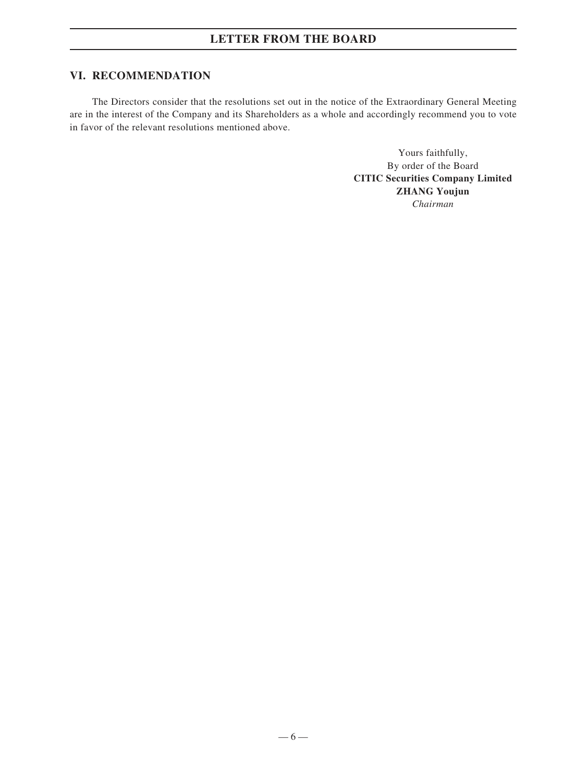### **VI. RECOMMENDATION**

The Directors consider that the resolutions set out in the notice of the Extraordinary General Meeting are in the interest of the Company and its Shareholders as a whole and accordingly recommend you to vote in favor of the relevant resolutions mentioned above.

> Yours faithfully, By order of the Board **CITIC Securities Company Limited ZHANG Youjun** *Chairman*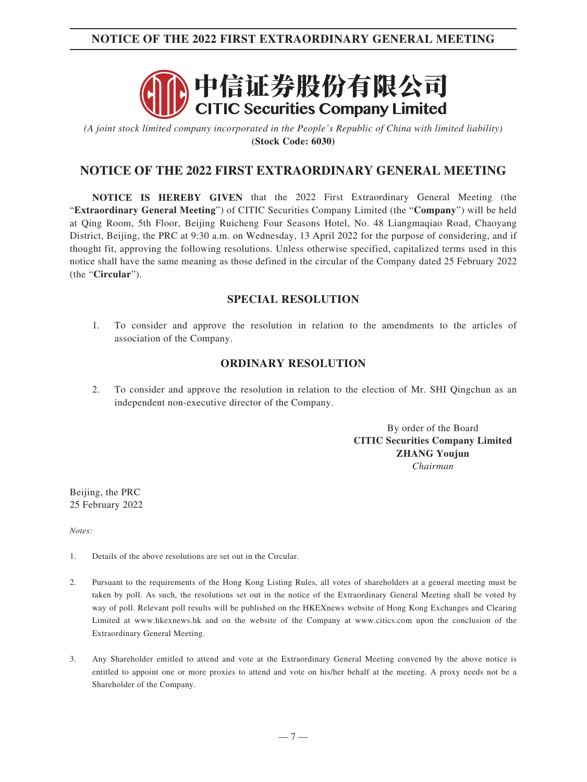### **NOTICE OF THE 2022 FIRST EXTRAORDINARY GENERAL MEETING**



*(A joint stock limited company incorporated in the People's Republic of China with limited liability)* **(Stock Code: 6030)**

### **NOTICE OF THE 2022 FIRST EXTRAORDINARY GENERAL MEETING**

**NOTICE IS HEREBY GIVEN** that the 2022 First Extraordinary General Meeting (the "**Extraordinary General Meeting**") of CITIC Securities Company Limited (the "**Company**") will be held at Qing Room, 5th Floor, Beijing Ruicheng Four Seasons Hotel, No. 48 Liangmaqiao Road, Chaoyang District, Beijing, the PRC at 9:30 a.m. on Wednesday, 13 April 2022 for the purpose of considering, and if thought fit, approving the following resolutions. Unless otherwise specified, capitalized terms used in this notice shall have the same meaning as those defined in the circular of the Company dated 25 February 2022 (the "**Circular**").

### **SPECIAL RESOLUTION**

1. To consider and approve the resolution in relation to the amendments to the articles of association of the Company.

### **ORDINARY RESOLUTION**

2. To consider and approve the resolution in relation to the election of Mr. SHI Qingchun as an independent non-executive director of the Company.

> By order of the Board **CITIC Securities Company Limited ZHANG Youjun** *Chairman*

Beijing, the PRC 25 February 2022

*Notes:*

- 1. Details of the above resolutions are set out in the Circular.
- 2. Pursuant to the requirements of the Hong Kong Listing Rules, all votes of shareholders at a general meeting must be taken by poll. As such, the resolutions set out in the notice of the Extraordinary General Meeting shall be voted by way of poll. Relevant poll results will be published on the HKEXnews website of Hong Kong Exchanges and Clearing Limited at www.hkexnews.hk and on the website of the Company at www.citics.com upon the conclusion of the Extraordinary General Meeting.
- 3. Any Shareholder entitled to attend and vote at the Extraordinary General Meeting convened by the above notice is entitled to appoint one or more proxies to attend and vote on his/her behalf at the meeting. A proxy needs not be a Shareholder of the Company.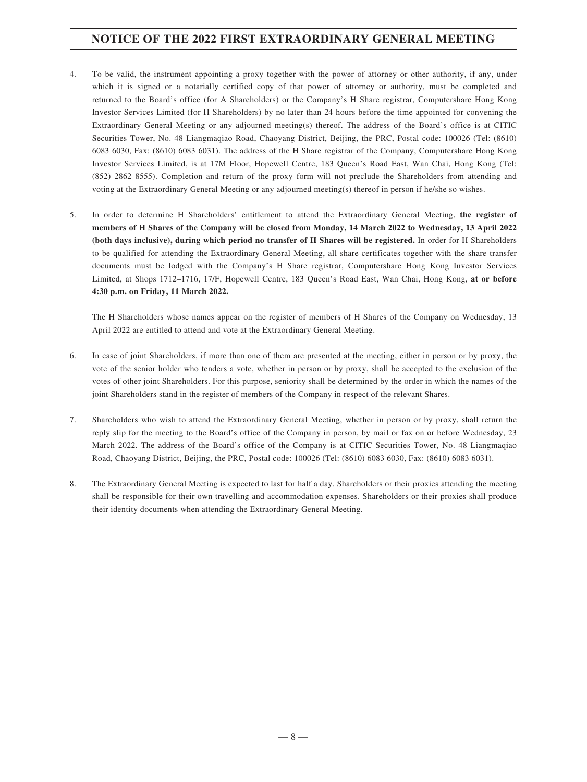### **NOTICE OF THE 2022 FIRST EXTRAORDINARY GENERAL MEETING**

- 4. To be valid, the instrument appointing a proxy together with the power of attorney or other authority, if any, under which it is signed or a notarially certified copy of that power of attorney or authority, must be completed and returned to the Board's office (for A Shareholders) or the Company's H Share registrar, Computershare Hong Kong Investor Services Limited (for H Shareholders) by no later than 24 hours before the time appointed for convening the Extraordinary General Meeting or any adjourned meeting(s) thereof. The address of the Board's office is at CITIC Securities Tower, No. 48 Liangmaqiao Road, Chaoyang District, Beijing, the PRC, Postal code: 100026 (Tel: (8610) 6083 6030, Fax: (8610) 6083 6031). The address of the H Share registrar of the Company, Computershare Hong Kong Investor Services Limited, is at 17M Floor, Hopewell Centre, 183 Queen's Road East, Wan Chai, Hong Kong (Tel: (852) 2862 8555). Completion and return of the proxy form will not preclude the Shareholders from attending and voting at the Extraordinary General Meeting or any adjourned meeting(s) thereof in person if he/she so wishes.
- 5. In order to determine H Shareholders' entitlement to attend the Extraordinary General Meeting, **the register of members of H Shares of the Company will be closed from Monday, 14 March 2022 to Wednesday, 13 April 2022 (both days inclusive), during which period no transfer of H Shares will be registered.** In order for H Shareholders to be qualified for attending the Extraordinary General Meeting, all share certificates together with the share transfer documents must be lodged with the Company's H Share registrar, Computershare Hong Kong Investor Services Limited, at Shops 1712–1716, 17/F, Hopewell Centre, 183 Queen's Road East, Wan Chai, Hong Kong, **at or before 4:30 p.m. on Friday, 11 March 2022.**

The H Shareholders whose names appear on the register of members of H Shares of the Company on Wednesday, 13 April 2022 are entitled to attend and vote at the Extraordinary General Meeting.

- 6. In case of joint Shareholders, if more than one of them are presented at the meeting, either in person or by proxy, the vote of the senior holder who tenders a vote, whether in person or by proxy, shall be accepted to the exclusion of the votes of other joint Shareholders. For this purpose, seniority shall be determined by the order in which the names of the joint Shareholders stand in the register of members of the Company in respect of the relevant Shares.
- 7. Shareholders who wish to attend the Extraordinary General Meeting, whether in person or by proxy, shall return the reply slip for the meeting to the Board's office of the Company in person, by mail or fax on or before Wednesday, 23 March 2022. The address of the Board's office of the Company is at CITIC Securities Tower, No. 48 Liangmaqiao Road, Chaoyang District, Beijing, the PRC, Postal code: 100026 (Tel: (8610) 6083 6030, Fax: (8610) 6083 6031).
- 8. The Extraordinary General Meeting is expected to last for half a day. Shareholders or their proxies attending the meeting shall be responsible for their own travelling and accommodation expenses. Shareholders or their proxies shall produce their identity documents when attending the Extraordinary General Meeting.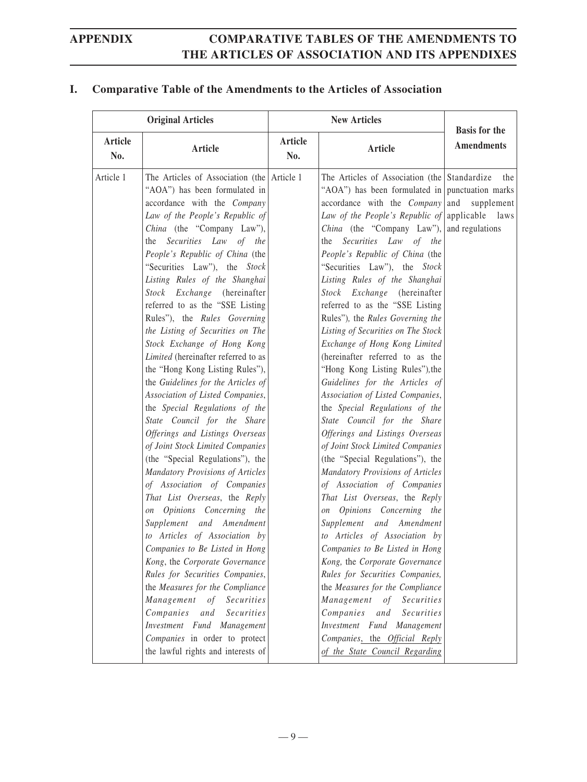### **I. Comparative Table of the Amendments to the Articles of Association**

|                | <b>Original Articles</b>                                                                                                                                                                                                                                                                                                                                                                                                                                                                                                                                                                                                                                                                                                                                                                                                                                                                                                                                                                                                                                                                                                                                                                                                                                   |                | <b>New Articles</b>                                                                                                                                                                                                                                                                                                                                                                                                                                                                                                                                                                                                                                                                                                                                                                                                                                                                                                                                                                                                                                                                                                                                                                                                                                                                                                         | <b>Basis for the</b> |
|----------------|------------------------------------------------------------------------------------------------------------------------------------------------------------------------------------------------------------------------------------------------------------------------------------------------------------------------------------------------------------------------------------------------------------------------------------------------------------------------------------------------------------------------------------------------------------------------------------------------------------------------------------------------------------------------------------------------------------------------------------------------------------------------------------------------------------------------------------------------------------------------------------------------------------------------------------------------------------------------------------------------------------------------------------------------------------------------------------------------------------------------------------------------------------------------------------------------------------------------------------------------------------|----------------|-----------------------------------------------------------------------------------------------------------------------------------------------------------------------------------------------------------------------------------------------------------------------------------------------------------------------------------------------------------------------------------------------------------------------------------------------------------------------------------------------------------------------------------------------------------------------------------------------------------------------------------------------------------------------------------------------------------------------------------------------------------------------------------------------------------------------------------------------------------------------------------------------------------------------------------------------------------------------------------------------------------------------------------------------------------------------------------------------------------------------------------------------------------------------------------------------------------------------------------------------------------------------------------------------------------------------------|----------------------|
| Article<br>No. | <b>Article</b>                                                                                                                                                                                                                                                                                                                                                                                                                                                                                                                                                                                                                                                                                                                                                                                                                                                                                                                                                                                                                                                                                                                                                                                                                                             | Article<br>No. | <b>Article</b>                                                                                                                                                                                                                                                                                                                                                                                                                                                                                                                                                                                                                                                                                                                                                                                                                                                                                                                                                                                                                                                                                                                                                                                                                                                                                                              | <b>Amendments</b>    |
| Article 1      | The Articles of Association (the Article 1)<br>"AOA") has been formulated in<br>accordance with the Company<br>Law of the People's Republic of<br>China (the "Company Law"),<br>Securities Law of the<br>the<br>People's Republic of China (the<br>"Securities Law"), the Stock<br>Listing Rules of the Shanghai<br>Stock Exchange (hereinafter<br>referred to as the "SSE Listing<br>Rules"), the Rules Governing<br>the Listing of Securities on The<br>Stock Exchange of Hong Kong<br>Limited (hereinafter referred to as<br>the "Hong Kong Listing Rules"),<br>the Guidelines for the Articles of<br>Association of Listed Companies,<br>the Special Regulations of the<br>State Council for the Share<br>Offerings and Listings Overseas<br>of Joint Stock Limited Companies<br>(the "Special Regulations"), the<br>Mandatory Provisions of Articles<br>of Association of Companies<br>That List Overseas, the Reply<br>on Opinions Concerning the<br>Supplement and Amendment<br>to Articles of Association by<br>Companies to Be Listed in Hong<br>Kong, the Corporate Governance<br>Rules for Securities Companies,<br>the Measures for the Compliance<br>Management of Securities<br>Companies<br>and<br>Securities<br>Investment Fund Management |                | The Articles of Association (the Standardize)<br>"AOA") has been formulated in punctuation marks<br>$accordance$ with the <i>Company</i> and<br>Law of the People's Republic of applicable laws<br>China (the "Company Law"), and regulations<br>Securities Law of the<br>the<br>People's Republic of China (the<br>"Securities Law"), the Stock<br>Listing Rules of the Shanghai<br>Stock Exchange (hereinafter<br>referred to as the "SSE Listing<br>Rules"), the Rules Governing the<br>Listing of Securities on The Stock<br>Exchange of Hong Kong Limited<br>(hereinafter referred to as the<br>"Hong Kong Listing Rules"), the<br>Guidelines for the Articles of<br>Association of Listed Companies,<br>the Special Regulations of the<br>State Council for the Share<br>Offerings and Listings Overseas<br>of Joint Stock Limited Companies<br>(the "Special Regulations"), the<br>Mandatory Provisions of Articles<br>of Association of Companies<br>That List Overseas, the Reply<br>on Opinions Concerning the<br>Supplement and Amendment<br>to Articles of Association by<br>Companies to Be Listed in Hong<br>Kong, the Corporate Governance<br>Rules for Securities Companies,<br>the Measures for the Compliance<br>Management of Securities<br>Companies<br>and<br>Securities<br>Investment Fund Management | the<br>supplement    |
|                | Companies in order to protect<br>the lawful rights and interests of                                                                                                                                                                                                                                                                                                                                                                                                                                                                                                                                                                                                                                                                                                                                                                                                                                                                                                                                                                                                                                                                                                                                                                                        |                | Companies, the Official Reply<br>of the State Council Regarding                                                                                                                                                                                                                                                                                                                                                                                                                                                                                                                                                                                                                                                                                                                                                                                                                                                                                                                                                                                                                                                                                                                                                                                                                                                             |                      |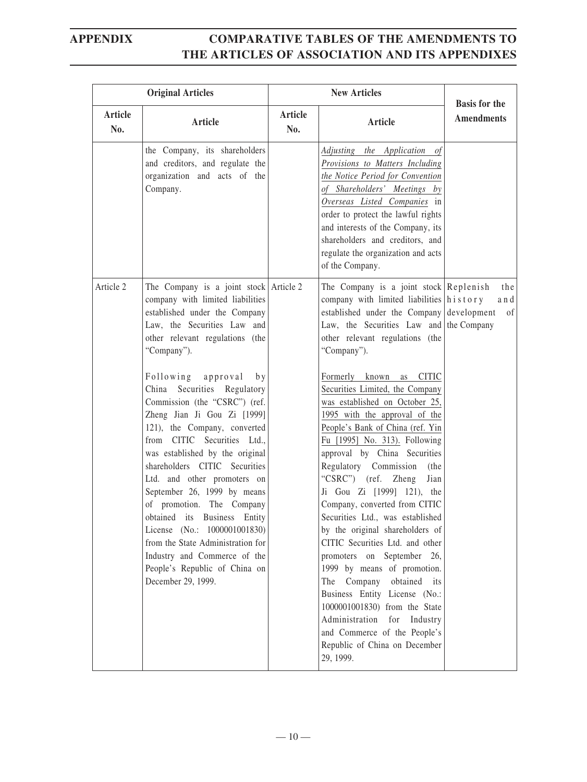| <b>Original Articles</b> |                                                                                                                                                                                                                                                                                                                                                                                                                                                                                                                                                   | <b>New Articles</b>   |                                                                                                                                                                                                                                                                                                                                                                                                                                                                                                                                                                                                                                                                                                                                                           | <b>Basis for the</b> |
|--------------------------|---------------------------------------------------------------------------------------------------------------------------------------------------------------------------------------------------------------------------------------------------------------------------------------------------------------------------------------------------------------------------------------------------------------------------------------------------------------------------------------------------------------------------------------------------|-----------------------|-----------------------------------------------------------------------------------------------------------------------------------------------------------------------------------------------------------------------------------------------------------------------------------------------------------------------------------------------------------------------------------------------------------------------------------------------------------------------------------------------------------------------------------------------------------------------------------------------------------------------------------------------------------------------------------------------------------------------------------------------------------|----------------------|
| Article<br>No.           | <b>Article</b>                                                                                                                                                                                                                                                                                                                                                                                                                                                                                                                                    | <b>Article</b><br>No. | <b>Article</b>                                                                                                                                                                                                                                                                                                                                                                                                                                                                                                                                                                                                                                                                                                                                            | <b>Amendments</b>    |
|                          | the Company, its shareholders<br>and creditors, and regulate the<br>organization and acts of the<br>Company.                                                                                                                                                                                                                                                                                                                                                                                                                                      |                       | Adjusting the Application of<br>Provisions to Matters Including<br>the Notice Period for Convention<br>of Shareholders' Meetings by<br>Overseas Listed Companies in<br>order to protect the lawful rights<br>and interests of the Company, its<br>shareholders and creditors, and<br>regulate the organization and acts<br>of the Company.                                                                                                                                                                                                                                                                                                                                                                                                                |                      |
| Article 2                | The Company is a joint stock $\vert$ Article 2<br>company with limited liabilities<br>established under the Company<br>Law, the Securities Law and<br>other relevant regulations (the<br>"Company").                                                                                                                                                                                                                                                                                                                                              |                       | The Company is a joint stock Replenish<br>company with limited liabilities history<br>established under the Company development<br>Law, the Securities Law and the Company<br>other relevant regulations (the<br>"Company").                                                                                                                                                                                                                                                                                                                                                                                                                                                                                                                              | the<br>and<br>of     |
|                          | Following approval<br>by<br>China Securities Regulatory<br>Commission (the "CSRC") (ref.<br>Zheng Jian Ji Gou Zi [1999]<br>121), the Company, converted<br>from CITIC Securities Ltd.,<br>was established by the original<br>shareholders CITIC Securities<br>Ltd. and other promoters on<br>September 26, 1999 by means<br>of promotion. The Company<br>obtained its Business Entity<br>License (No.: 1000001001830)<br>from the State Administration for<br>Industry and Commerce of the<br>People's Republic of China on<br>December 29, 1999. |                       | Formerly known<br>as CITIC<br>Securities Limited, the Company<br>was established on October 25,<br>1995 with the approval of the<br>People's Bank of China (ref. Yin<br>Fu [1995] No. 313). Following<br>approval by China Securities<br>Regulatory Commission<br>(the<br>"CSRC") (ref. Zheng<br>Jian<br>Ji Gou Zi [1999] 121), the<br>Company, converted from CITIC<br>Securities Ltd., was established<br>by the original shareholders of<br>CITIC Securities Ltd. and other<br>promoters on September 26,<br>1999 by means of promotion.<br>Company obtained its<br>The<br>Business Entity License (No.:<br>1000001001830) from the State<br>Administration for Industry<br>and Commerce of the People's<br>Republic of China on December<br>29, 1999. |                      |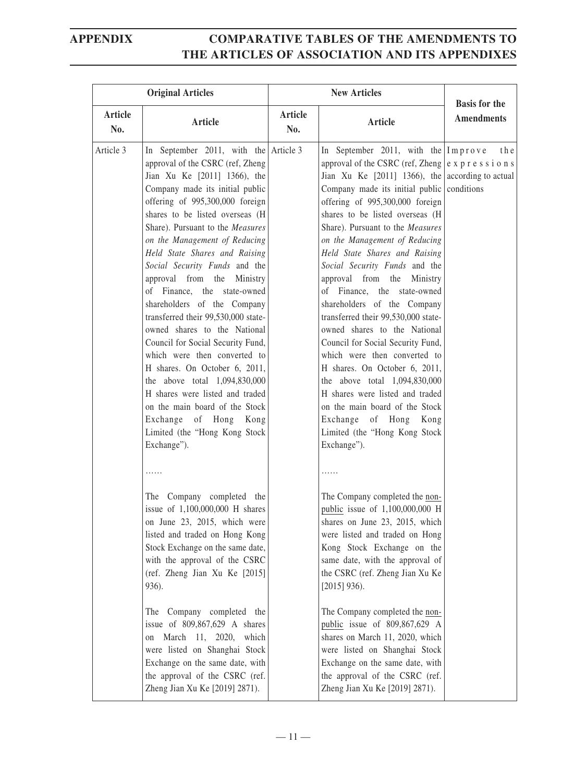|                | <b>Original Articles</b>                                                                                                                                                                                                                                                                                                                                                                                                                                                                                                                                                                                                                                                                                                                                                                                          |                | <b>New Articles</b>                                                                                                                                                                                                                                                                                                                                                                                                                                                                                                                                                                                                                                                                                                                                                                                                                                                               | <b>Basis for the</b> |
|----------------|-------------------------------------------------------------------------------------------------------------------------------------------------------------------------------------------------------------------------------------------------------------------------------------------------------------------------------------------------------------------------------------------------------------------------------------------------------------------------------------------------------------------------------------------------------------------------------------------------------------------------------------------------------------------------------------------------------------------------------------------------------------------------------------------------------------------|----------------|-----------------------------------------------------------------------------------------------------------------------------------------------------------------------------------------------------------------------------------------------------------------------------------------------------------------------------------------------------------------------------------------------------------------------------------------------------------------------------------------------------------------------------------------------------------------------------------------------------------------------------------------------------------------------------------------------------------------------------------------------------------------------------------------------------------------------------------------------------------------------------------|----------------------|
| Article<br>No. | Article                                                                                                                                                                                                                                                                                                                                                                                                                                                                                                                                                                                                                                                                                                                                                                                                           | Article<br>No. | Article                                                                                                                                                                                                                                                                                                                                                                                                                                                                                                                                                                                                                                                                                                                                                                                                                                                                           | <b>Amendments</b>    |
| Article 3      | In September 2011, with the Article 3<br>approval of the CSRC (ref, Zheng<br>Jian Xu Ke [2011] 1366), the<br>Company made its initial public<br>offering of 995,300,000 foreign<br>shares to be listed overseas (H<br>Share). Pursuant to the Measures<br>on the Management of Reducing<br>Held State Shares and Raising<br>Social Security Funds and the<br>approval from the Ministry<br>of Finance, the state-owned<br>shareholders of the Company<br>transferred their 99,530,000 state-<br>owned shares to the National<br>Council for Social Security Fund,<br>which were then converted to<br>H shares. On October 6, 2011,<br>the above total 1,094,830,000<br>H shares were listed and traded<br>on the main board of the Stock<br>Exchange of Hong Kong<br>Limited (the "Hong Kong Stock<br>Exchange"). |                | In September 2011, with the $Improve$<br>approval of the CSRC (ref. Zheng $ e \times p $ r e s s i o n s<br>Jian Xu Ke $[2011]$ 1366), the according to actual<br>Company made its initial public conditions<br>offering of 995,300,000 foreign<br>shares to be listed overseas (H<br>Share). Pursuant to the Measures<br>on the Management of Reducing<br>Held State Shares and Raising<br>Social Security Funds and the<br>approval from the Ministry<br>of Finance, the state-owned<br>shareholders of the Company<br>transferred their 99,530,000 state-<br>owned shares to the National<br>Council for Social Security Fund,<br>which were then converted to<br>H shares. On October 6, 2011,<br>the above total 1,094,830,000<br>H shares were listed and traded<br>on the main board of the Stock<br>Exchange of Hong Kong<br>Limited (the "Hong Kong Stock<br>Exchange"). | the                  |
|                | .<br>The Company completed the<br>issue of 1,100,000,000 H shares<br>on June 23, 2015, which were<br>listed and traded on Hong Kong<br>Stock Exchange on the same date,<br>with the approval of the CSRC<br>(ref. Zheng Jian Xu Ke [2015]<br>936).<br>The Company completed the<br>issue of $809,867,629$ A shares<br>on March 11, 2020, which<br>were listed on Shanghai Stock<br>Exchange on the same date, with<br>the approval of the CSRC (ref.<br>Zheng Jian Xu Ke [2019] 2871).                                                                                                                                                                                                                                                                                                                            |                | .<br>The Company completed the non-<br>public issue of 1,100,000,000 H<br>shares on June 23, 2015, which<br>were listed and traded on Hong<br>Kong Stock Exchange on the<br>same date, with the approval of<br>the CSRC (ref. Zheng Jian Xu Ke<br>$[2015]$ 936).<br>The Company completed the non-<br>public issue of 809,867,629 A<br>shares on March 11, 2020, which<br>were listed on Shanghai Stock<br>Exchange on the same date, with<br>the approval of the CSRC (ref.<br>Zheng Jian Xu Ke [2019] 2871).                                                                                                                                                                                                                                                                                                                                                                    |                      |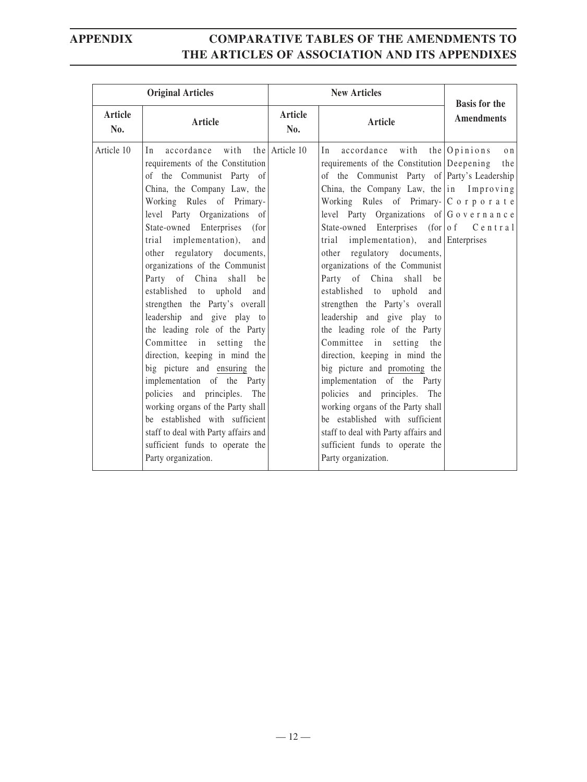| <b>Original Articles</b> |                                                                                                                                                                                                                                                                                                                                                                                                                                                                                                                                                                                                                                                                                                                                                                                                                               |                       | <b>New Articles</b>                                                                                                                                                                                                                                                                                                                                                                                                                                                                                                                                                                                                                                                                                                                                                                                                                                                                                                                                                            |                                           |
|--------------------------|-------------------------------------------------------------------------------------------------------------------------------------------------------------------------------------------------------------------------------------------------------------------------------------------------------------------------------------------------------------------------------------------------------------------------------------------------------------------------------------------------------------------------------------------------------------------------------------------------------------------------------------------------------------------------------------------------------------------------------------------------------------------------------------------------------------------------------|-----------------------|--------------------------------------------------------------------------------------------------------------------------------------------------------------------------------------------------------------------------------------------------------------------------------------------------------------------------------------------------------------------------------------------------------------------------------------------------------------------------------------------------------------------------------------------------------------------------------------------------------------------------------------------------------------------------------------------------------------------------------------------------------------------------------------------------------------------------------------------------------------------------------------------------------------------------------------------------------------------------------|-------------------------------------------|
| Article<br>No.           | Article                                                                                                                                                                                                                                                                                                                                                                                                                                                                                                                                                                                                                                                                                                                                                                                                                       | <b>Article</b><br>No. | Article                                                                                                                                                                                                                                                                                                                                                                                                                                                                                                                                                                                                                                                                                                                                                                                                                                                                                                                                                                        | <b>Basis for the</b><br><b>Amendments</b> |
| Article 10               | In accordance with<br>requirements of the Constitution<br>of the Communist Party of<br>China, the Company Law, the<br>Working Rules of Primary-<br>level Party Organizations of<br>State-owned Enterprises<br>(for<br>implementation),<br>trial<br>and<br>other regulatory documents,<br>organizations of the Communist<br>Party of China shall<br>be<br>established to uphold<br>and<br>strengthen the Party's overall<br>leadership and give play to<br>the leading role of the Party<br>Committee in setting the<br>direction, keeping in mind the<br>big picture and ensuring the<br>implementation of the Party<br>policies and principles. The<br>working organs of the Party shall<br>be established with sufficient<br>staff to deal with Party affairs and<br>sufficient funds to operate the<br>Party organization. | the Article 10        | accordance<br>with<br>In<br>requirements of the Constitution Deepening<br>of the Communist Party of Party's Leadership<br>China, the Company Law, the in Improving<br>Working Rules of Primary- $ C \circ r p \circ r a t e$<br>level Party Organizations of $ G \circ v e \rceil$ n a n c e<br>State-owned Enterprises (for $\sigma$ of C e n t r a 1<br>implementation), and Enterprises<br>trial<br>other regulatory documents,<br>organizations of the Communist<br>Party of China shall<br>be<br>established to<br>uphold<br>and<br>strengthen the Party's overall<br>leadership and give play to<br>the leading role of the Party<br>Committee in setting the<br>direction, keeping in mind the<br>big picture and promoting the<br>implementation of the Party<br>policies and principles. The<br>working organs of the Party shall<br>be established with sufficient<br>staff to deal with Party affairs and<br>sufficient funds to operate the<br>Party organization. | the $\sqrt{O}$ pinions<br>o n<br>the      |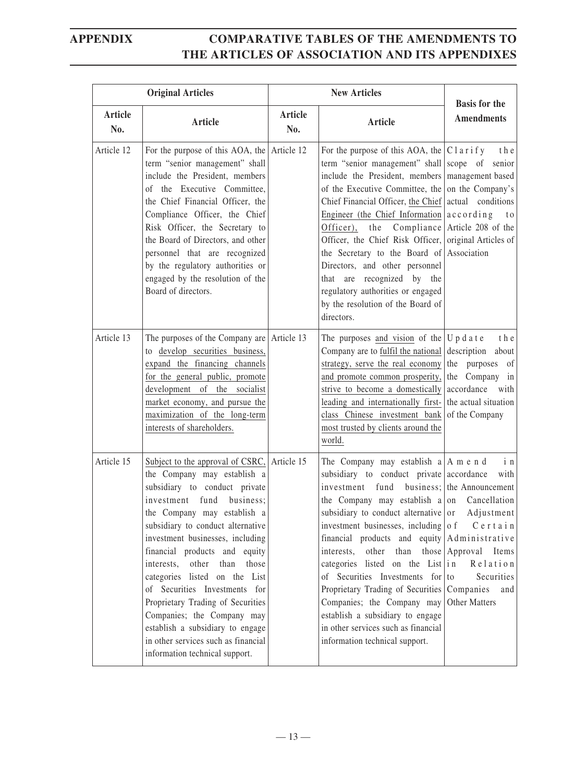|                       | <b>Original Articles</b>                                                                                                                                                                                                                                                                                                                                                                                                                                                                                                                                      |                | <b>New Articles</b>                                                                                                                                                                                                                                                                                                                                                                                                                                                                                                                                                                                                   | <b>Basis for the</b>                                                                                                                                   |
|-----------------------|---------------------------------------------------------------------------------------------------------------------------------------------------------------------------------------------------------------------------------------------------------------------------------------------------------------------------------------------------------------------------------------------------------------------------------------------------------------------------------------------------------------------------------------------------------------|----------------|-----------------------------------------------------------------------------------------------------------------------------------------------------------------------------------------------------------------------------------------------------------------------------------------------------------------------------------------------------------------------------------------------------------------------------------------------------------------------------------------------------------------------------------------------------------------------------------------------------------------------|--------------------------------------------------------------------------------------------------------------------------------------------------------|
| <b>Article</b><br>No. | <b>Article</b>                                                                                                                                                                                                                                                                                                                                                                                                                                                                                                                                                | Article<br>No. | <b>Article</b>                                                                                                                                                                                                                                                                                                                                                                                                                                                                                                                                                                                                        | <b>Amendments</b>                                                                                                                                      |
| Article 12            | For the purpose of this AOA, the $\vert$ Article 12<br>term "senior management" shall<br>include the President, members<br>of the Executive Committee,<br>the Chief Financial Officer, the<br>Compliance Officer, the Chief<br>Risk Officer, the Secretary to<br>the Board of Directors, and other<br>personnel that are recognized<br>by the regulatory authorities or<br>engaged by the resolution of the<br>Board of directors.                                                                                                                            |                | For the purpose of this AOA, the $ C1$ arify the<br>term "senior management" shall scope of senior<br>include the President, members<br>of the Executive Committee, the on the Company's<br>Chief Financial Officer, the Chief<br>Engineer (the Chief Information $\alpha$ cording<br>the Compliance Article 208 of the<br>Officer),<br>Officer, the Chief Risk Officer,<br>the Secretary to the Board of Association<br>Directors, and other personnel<br>are recognized by the<br>that<br>regulatory authorities or engaged<br>by the resolution of the Board of<br>directors.                                      | management based<br>actual conditions<br>t o<br>original Articles of                                                                                   |
| Article 13            | The purposes of the Company are Article 13<br>to develop securities business,<br>expand the financing channels<br>for the general public, promote<br>development of the socialist<br>market economy, and pursue the<br>maximization of the long-term<br>interests of shareholders.                                                                                                                                                                                                                                                                            |                | The purposes and vision of the $ U p d a t e$<br>Company are to fulfil the national description about<br>strategy, serve the real economy<br>and promote common prosperity,<br>strive to become a domestically<br>leading and internationally first-<br>class Chinese investment bank<br>most trusted by clients around the<br>world.                                                                                                                                                                                                                                                                                 | t h e<br>the purposes of<br>the Company in<br>accordance<br>with<br>the actual situation<br>of the Company                                             |
| Article 15            | Subject to the approval of CSRC,<br>the Company may establish a<br>subsidiary to conduct private<br>investment fund business;<br>the Company may establish a<br>subsidiary to conduct alternative<br>investment businesses, including<br>financial products and equity<br>interests, other<br>those<br>than<br>categories listed on the List<br>of Securities Investments for<br>Proprietary Trading of Securities<br>Companies; the Company may<br>establish a subsidiary to engage<br>in other services such as financial<br>information technical support. | Article 15     | The Company may establish $a \mid A$ m e n d<br>subsidiary to conduct private accordance<br>investment<br>fund<br>the Company may establish a on<br>subsidiary to conduct alternative or<br>investment businesses, including of $C$ e r t a i n<br>financial products and equity Administrative<br>other<br>interests,<br>than<br>categories listed on the List $ \text{i} \text{n} $<br>of Securities Investments for to<br>Proprietary Trading of Securities   Companies<br>Companies; the Company may<br>establish a subsidiary to engage<br>in other services such as financial<br>information technical support. | $i$ n<br>with<br>business; the Announcement<br>Cancellation<br>Adjustment<br>those Approval<br>Items<br>Relation<br>Securities<br>and<br>Other Matters |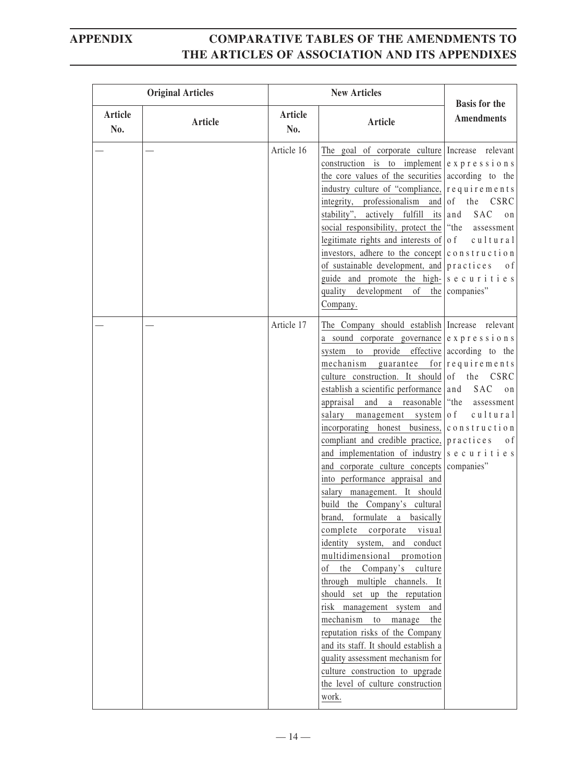|                | <b>Original Articles</b> |                | <b>New Articles</b>                                                                                                                                                                                                                                                                                                                                                                                                                                                                                                                                                                                                                                                                                                                                                                                                                                                                                                                                                                                                                                                                                                                                                                                                                                                                                           | <b>Basis for the</b>                                                 |
|----------------|--------------------------|----------------|---------------------------------------------------------------------------------------------------------------------------------------------------------------------------------------------------------------------------------------------------------------------------------------------------------------------------------------------------------------------------------------------------------------------------------------------------------------------------------------------------------------------------------------------------------------------------------------------------------------------------------------------------------------------------------------------------------------------------------------------------------------------------------------------------------------------------------------------------------------------------------------------------------------------------------------------------------------------------------------------------------------------------------------------------------------------------------------------------------------------------------------------------------------------------------------------------------------------------------------------------------------------------------------------------------------|----------------------------------------------------------------------|
| Article<br>No. | Article                  | Article<br>No. | Article                                                                                                                                                                                                                                                                                                                                                                                                                                                                                                                                                                                                                                                                                                                                                                                                                                                                                                                                                                                                                                                                                                                                                                                                                                                                                                       | <b>Amendments</b>                                                    |
|                |                          | Article 16     | The goal of corporate culture Increase relevant<br>construction is to implement $\vert e \times p \vert$ ressions<br>the core values of the securities according to the<br>industry culture of "compliance, $\vert$ r e q u i r e m e n t s<br>integrity, professionalism<br>stability", actively fulfill its and<br>social responsibility, protect the "the"<br>legitimate rights and interests of $\sigma$ of cultural<br>investors, adhere to the concept $ c \circ n \circ tr u c t i o n $<br>of sustainable development, and $ p \rvert$ actices<br>guide and promote the high- $ s \text{ e } c \text{ u } r \text{ i } t \text{ i } e \text{ s}$<br>quality development of the companies"<br>Company.                                                                                                                                                                                                                                                                                                                                                                                                                                                                                                                                                                                                 | and $\vert$ of<br>the CSRC<br><b>SAC</b><br>o n<br>assessment<br>0 f |
|                |                          | Article 17     | The Company should establish Increase relevant<br>a sound corporate governance $\vert e \times p \vert r e \cdot s \cdot i \cdot o \cdot n \cdot s$<br>system to provide effective according to the<br>mechanism guarantee for $require$ ments<br>culture construction. It should of the CSRC<br>establish a scientific performance and<br>appraisal<br>and a reasonable<br>salary<br>management system of<br>incorporating honest business, $ c \circ n \times t \circ n $<br>compliant and credible practice, $ $ p r a c t i c e s<br>and implementation of industry $ s \text{ e } c \text{ u } r \text{ i } t \text{ i } e \text{ s}$<br>and corporate culture concepts companies"<br>into performance appraisal and<br>salary management. It should<br>build the Company's cultural<br>formulate a basically<br>brand,<br>complete<br>corporate<br>visual<br>identity system, and conduct<br>multidimensional promotion<br>the Company's<br><sub>of</sub><br>culture<br>through multiple channels. It<br>should set up the reputation<br>risk management system and<br>mechanism<br>to<br>manage<br>the<br>reputation risks of the Company<br>and its staff. It should establish a<br>quality assessment mechanism for<br>culture construction to upgrade<br>the level of culture construction<br>work. | SAC<br>on<br>"the<br>assessment<br>cultural<br>0 f                   |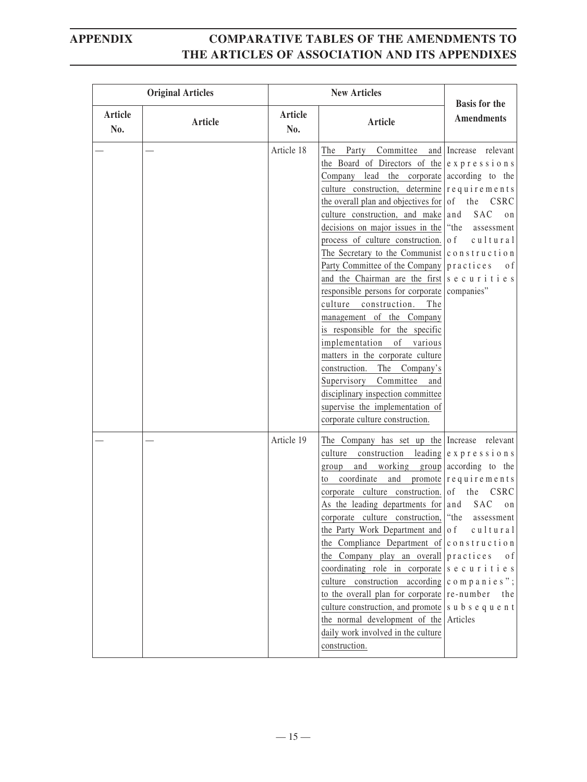| <b>Original Articles</b> |         | <b>New Articles</b> |                                                                                                                                                                                                                                                                                                                                                                                                                                                                                                                                                                                                                                                                                                                                                                                                                                                                                                                                                                                                 |                                                                                                                                                                                                  |
|--------------------------|---------|---------------------|-------------------------------------------------------------------------------------------------------------------------------------------------------------------------------------------------------------------------------------------------------------------------------------------------------------------------------------------------------------------------------------------------------------------------------------------------------------------------------------------------------------------------------------------------------------------------------------------------------------------------------------------------------------------------------------------------------------------------------------------------------------------------------------------------------------------------------------------------------------------------------------------------------------------------------------------------------------------------------------------------|--------------------------------------------------------------------------------------------------------------------------------------------------------------------------------------------------|
| Article<br>No.           | Article | Article<br>No.      | <b>Article</b>                                                                                                                                                                                                                                                                                                                                                                                                                                                                                                                                                                                                                                                                                                                                                                                                                                                                                                                                                                                  | <b>Basis for the</b><br><b>Amendments</b>                                                                                                                                                        |
|                          |         | Article 18          | The Party Committee and Increase relevant<br>the Board of Directors of the $ e \times p $ ressions<br>Company lead the corporate according to the<br>culture construction, determine $\vert$ requirements<br>the overall plan and objectives for $\sigma$<br>culture construction, and make and<br>decisions on major issues in the "the"<br>process of culture construction. $\vert \circ \phi \vert$<br>The Secretary to the Communist $ c \circ n \times t \circ t \circ n $<br>Party Committee of the Company $ p \rvert$ actices<br>and the Chairman are the first s e c u r i t i e s<br>responsible persons for corporate companies"<br>culture construction.<br>The<br>management of the Company<br>is responsible for the specific<br>implementation of various<br>matters in the corporate culture<br>construction.<br>The<br>Company's<br>Supervisory<br>Committee<br>and<br>disciplinary inspection committee<br>supervise the implementation of<br>corporate culture construction. | the CSRC<br><b>SAC</b><br>on<br>assessment<br>$c$ ultural<br>$\sigma$ f                                                                                                                          |
|                          |         | Article 19          | The Company has set up the Increase relevant<br>culture construction leading $ e \times p $ r e s s i o n s<br>and working group according to the<br>group<br>coordinate<br>to<br>corporate culture construction. $\vert$ of<br>As the leading departments for $ $ and<br>corporate culture construction, "the<br>the Party Work Department and $\vert$ of<br>the Compliance Department of $ c \circ n \circ t \circ t \circ n $<br>the Company play an overall<br>coordinating role in corporate<br>culture construction according<br>to the overall plan for corporate<br>culture construction, and promote<br>the normal development of the<br>daily work involved in the culture<br>construction.                                                                                                                                                                                                                                                                                           | and promote $\vert$ r e q u i r e m e n t s<br>the CSRC<br>SAC<br>on<br>assessment<br>$c$ ultural<br>practices<br>0 f<br>securities<br>companies";<br>re-number<br>the<br>subsequent<br>Articles |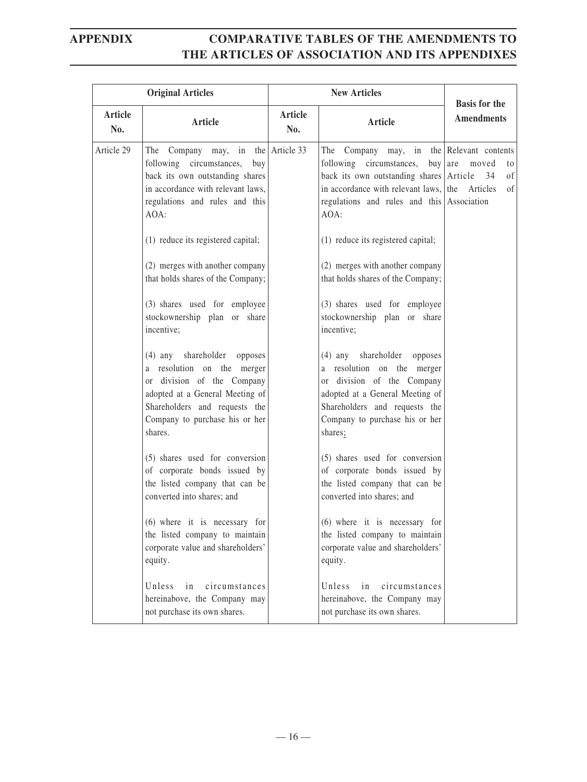|                | <b>Original Articles</b><br><b>New Articles</b>                                                                                                                                                                               |                |                                                                                                                                                                                                                                                                     | <b>Basis for the</b>             |
|----------------|-------------------------------------------------------------------------------------------------------------------------------------------------------------------------------------------------------------------------------|----------------|---------------------------------------------------------------------------------------------------------------------------------------------------------------------------------------------------------------------------------------------------------------------|----------------------------------|
| Article<br>No. | Article                                                                                                                                                                                                                       | Article<br>No. | Article                                                                                                                                                                                                                                                             | <b>Amendments</b>                |
| Article 29     | The Company may, in the Article 33<br>following circumstances,<br>buy<br>back its own outstanding shares<br>in accordance with relevant laws,<br>regulations and rules and this<br>AOA:<br>(1) reduce its registered capital; |                | The Company may, in the Relevant contents<br>following circumstances, buy are moved<br>back its own outstanding shares Article<br>in accordance with relevant laws, the<br>regulations and rules and this Association<br>AOA:<br>(1) reduce its registered capital; | to<br>0f<br>34<br>Articles<br>of |
|                | (2) merges with another company<br>that holds shares of the Company;<br>(3) shares used for employee<br>stockownership plan or share<br>incentive;                                                                            |                | (2) merges with another company<br>that holds shares of the Company;<br>(3) shares used for employee<br>stockownership plan or share<br>incentive;                                                                                                                  |                                  |
|                | shareholder opposes<br>$(4)$ any<br>a resolution on the merger<br>or division of the Company<br>adopted at a General Meeting of<br>Shareholders and requests the<br>Company to purchase his or her<br>shares.                 |                | (4) any shareholder opposes<br>a resolution on the merger<br>or division of the Company<br>adopted at a General Meeting of<br>Shareholders and requests the<br>Company to purchase his or her<br>shares;                                                            |                                  |
|                | (5) shares used for conversion<br>of corporate bonds issued by<br>the listed company that can be<br>converted into shares; and                                                                                                |                | (5) shares used for conversion<br>of corporate bonds issued by<br>the listed company that can be<br>converted into shares; and                                                                                                                                      |                                  |
|                | (6) where it is necessary for<br>the listed company to maintain<br>corporate value and shareholders'<br>equity.                                                                                                               |                | (6) where it is necessary for<br>the listed company to maintain<br>corporate value and shareholders'<br>equity.                                                                                                                                                     |                                  |
|                | Unless<br>circumstances<br>in<br>hereinabove, the Company may<br>not purchase its own shares.                                                                                                                                 |                | Unless<br>circumstances<br>in<br>hereinabove, the Company may<br>not purchase its own shares.                                                                                                                                                                       |                                  |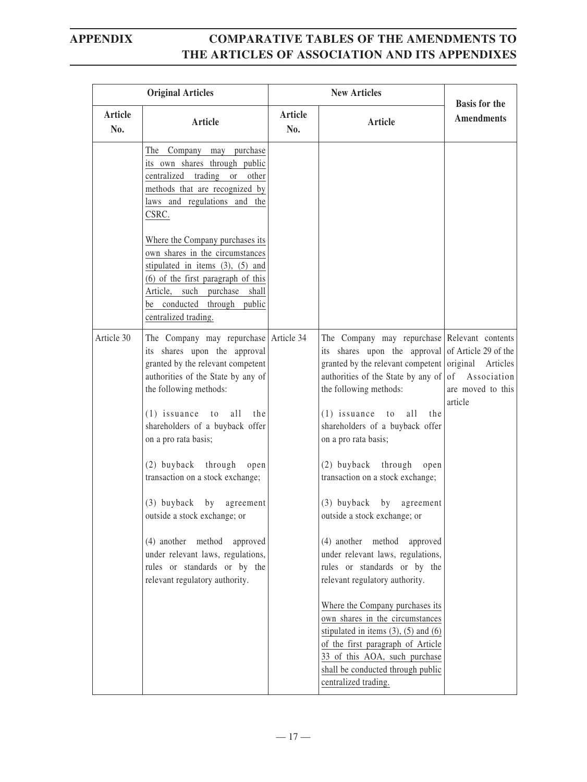|                       | <b>Original Articles</b>                                                                                                                                                                                                                       |                       | <b>New Articles</b>                                                                                                                                                                                                                                                                                          |                                             |
|-----------------------|------------------------------------------------------------------------------------------------------------------------------------------------------------------------------------------------------------------------------------------------|-----------------------|--------------------------------------------------------------------------------------------------------------------------------------------------------------------------------------------------------------------------------------------------------------------------------------------------------------|---------------------------------------------|
| <b>Article</b><br>No. | Article                                                                                                                                                                                                                                        | <b>Article</b><br>No. | Article                                                                                                                                                                                                                                                                                                      | <b>Basis for the</b><br><b>Amendments</b>   |
|                       | The Company may purchase<br>its own shares through public<br>centralized trading or other<br>methods that are recognized by<br>laws and regulations and the<br>CSRC.                                                                           |                       |                                                                                                                                                                                                                                                                                                              |                                             |
|                       | Where the Company purchases its<br>own shares in the circumstances<br>stipulated in items (3), (5) and<br>$(6)$ of the first paragraph of this<br>Article,<br>purchase shall<br>such<br>be conducted<br>through public<br>centralized trading. |                       |                                                                                                                                                                                                                                                                                                              |                                             |
| Article 30            | The Company may repurchase<br>its shares upon the approval<br>granted by the relevant competent<br>authorities of the State by any of<br>the following methods:<br>$(1)$ issuance<br>all<br>to<br>the<br>shareholders of a buyback offer       | Article 34            | The Company may repurchase Relevant contents<br>its shares upon the approval of Article 29 of the<br>granted by the relevant competent original Articles<br>authorities of the State by any of $\vert$ of<br>the following methods:<br>all<br>$(1)$ issuance<br>the<br>to<br>shareholders of a buyback offer | Association<br>are moved to this<br>article |
|                       | on a pro rata basis;<br>(2) buyback<br>through<br>open<br>transaction on a stock exchange;<br>$(3)$ buyback by<br>agreement<br>outside a stock exchange; or                                                                                    |                       | on a pro rata basis;<br>$(2)$ buyback<br>through<br>open<br>transaction on a stock exchange;<br>$(3)$ buyback<br>by<br>agreement<br>outside a stock exchange; or                                                                                                                                             |                                             |
|                       | (4) another method approved<br>under relevant laws, regulations,<br>rules or standards or by the<br>relevant regulatory authority.                                                                                                             |                       | (4) another method<br>approved<br>under relevant laws, regulations,<br>rules or standards or by the<br>relevant regulatory authority.                                                                                                                                                                        |                                             |
|                       |                                                                                                                                                                                                                                                |                       | Where the Company purchases its<br>own shares in the circumstances<br>stipulated in items $(3)$ , $(5)$ and $(6)$<br>of the first paragraph of Article<br>33 of this AOA, such purchase<br>shall be conducted through public<br>centralized trading.                                                         |                                             |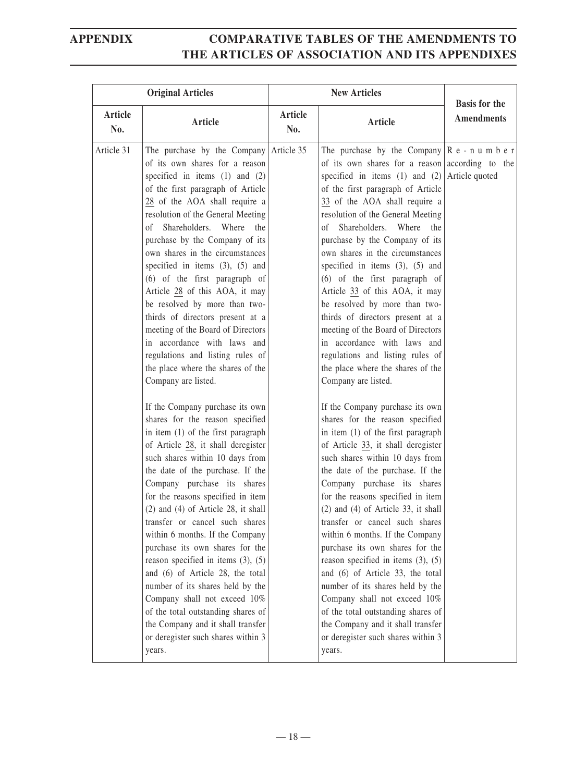|                       | <b>Original Articles</b>                                                                                                                                                                                                                                                                                                                                                                                                                                                                                                                                                                                                                                                                                                                                                                                                                                                                                                                                                                                                                                                                                                                                                                                                                                                                                                                                                                               | <b>New Articles</b> |                                                                                                                                                                                                                                                                                                                                                                                                                                                                                                                                                                                                                                                                                                                                                                                                                                                                                                                                                                                                                                                                                                                                                                                                                                                                                                                                                                                                                                                         |                                           |
|-----------------------|--------------------------------------------------------------------------------------------------------------------------------------------------------------------------------------------------------------------------------------------------------------------------------------------------------------------------------------------------------------------------------------------------------------------------------------------------------------------------------------------------------------------------------------------------------------------------------------------------------------------------------------------------------------------------------------------------------------------------------------------------------------------------------------------------------------------------------------------------------------------------------------------------------------------------------------------------------------------------------------------------------------------------------------------------------------------------------------------------------------------------------------------------------------------------------------------------------------------------------------------------------------------------------------------------------------------------------------------------------------------------------------------------------|---------------------|---------------------------------------------------------------------------------------------------------------------------------------------------------------------------------------------------------------------------------------------------------------------------------------------------------------------------------------------------------------------------------------------------------------------------------------------------------------------------------------------------------------------------------------------------------------------------------------------------------------------------------------------------------------------------------------------------------------------------------------------------------------------------------------------------------------------------------------------------------------------------------------------------------------------------------------------------------------------------------------------------------------------------------------------------------------------------------------------------------------------------------------------------------------------------------------------------------------------------------------------------------------------------------------------------------------------------------------------------------------------------------------------------------------------------------------------------------|-------------------------------------------|
| <b>Article</b><br>No. | Article                                                                                                                                                                                                                                                                                                                                                                                                                                                                                                                                                                                                                                                                                                                                                                                                                                                                                                                                                                                                                                                                                                                                                                                                                                                                                                                                                                                                | Article<br>No.      | Article                                                                                                                                                                                                                                                                                                                                                                                                                                                                                                                                                                                                                                                                                                                                                                                                                                                                                                                                                                                                                                                                                                                                                                                                                                                                                                                                                                                                                                                 | <b>Basis for the</b><br><b>Amendments</b> |
| Article 31            | The purchase by the Company Article 35<br>of its own shares for a reason<br>specified in items $(1)$ and $(2)$<br>of the first paragraph of Article<br>28 of the AOA shall require a<br>resolution of the General Meeting<br>of Shareholders. Where the<br>purchase by the Company of its<br>own shares in the circumstances<br>specified in items $(3)$ , $(5)$ and<br>$(6)$ of the first paragraph of<br>Article 28 of this AOA, it may<br>be resolved by more than two-<br>thirds of directors present at a<br>meeting of the Board of Directors<br>in accordance with laws and<br>regulations and listing rules of<br>the place where the shares of the<br>Company are listed.<br>If the Company purchase its own<br>shares for the reason specified<br>in item (1) of the first paragraph<br>of Article 28, it shall deregister<br>such shares within 10 days from<br>the date of the purchase. If the<br>Company purchase its shares<br>for the reasons specified in item<br>$(2)$ and $(4)$ of Article 28, it shall<br>transfer or cancel such shares<br>within 6 months. If the Company<br>purchase its own shares for the<br>reason specified in items $(3)$ , $(5)$<br>and (6) of Article 28, the total<br>number of its shares held by the<br>Company shall not exceed 10%<br>of the total outstanding shares of<br>the Company and it shall transfer<br>or deregister such shares within 3 |                     | The purchase by the Company $\vert R e - n u m b e r \vert$<br>of its own shares for a reason according to the<br>specified in items (1) and (2) Article quoted<br>of the first paragraph of Article<br>33 of the AOA shall require a<br>resolution of the General Meeting<br>of Shareholders. Where the<br>purchase by the Company of its<br>own shares in the circumstances<br>specified in items $(3)$ , $(5)$ and<br>$(6)$ of the first paragraph of<br>Article 33 of this AOA, it may<br>be resolved by more than two-<br>thirds of directors present at a<br>meeting of the Board of Directors<br>in accordance with laws and<br>regulations and listing rules of<br>the place where the shares of the<br>Company are listed.<br>If the Company purchase its own<br>shares for the reason specified<br>in item (1) of the first paragraph<br>of Article 33, it shall deregister<br>such shares within 10 days from<br>the date of the purchase. If the<br>Company purchase its shares<br>for the reasons specified in item<br>$(2)$ and $(4)$ of Article 33, it shall<br>transfer or cancel such shares<br>within 6 months. If the Company<br>purchase its own shares for the<br>reason specified in items $(3)$ , $(5)$<br>and (6) of Article 33, the total<br>number of its shares held by the<br>Company shall not exceed 10%<br>of the total outstanding shares of<br>the Company and it shall transfer<br>or deregister such shares within 3 |                                           |
|                       | years.                                                                                                                                                                                                                                                                                                                                                                                                                                                                                                                                                                                                                                                                                                                                                                                                                                                                                                                                                                                                                                                                                                                                                                                                                                                                                                                                                                                                 |                     | years.                                                                                                                                                                                                                                                                                                                                                                                                                                                                                                                                                                                                                                                                                                                                                                                                                                                                                                                                                                                                                                                                                                                                                                                                                                                                                                                                                                                                                                                  |                                           |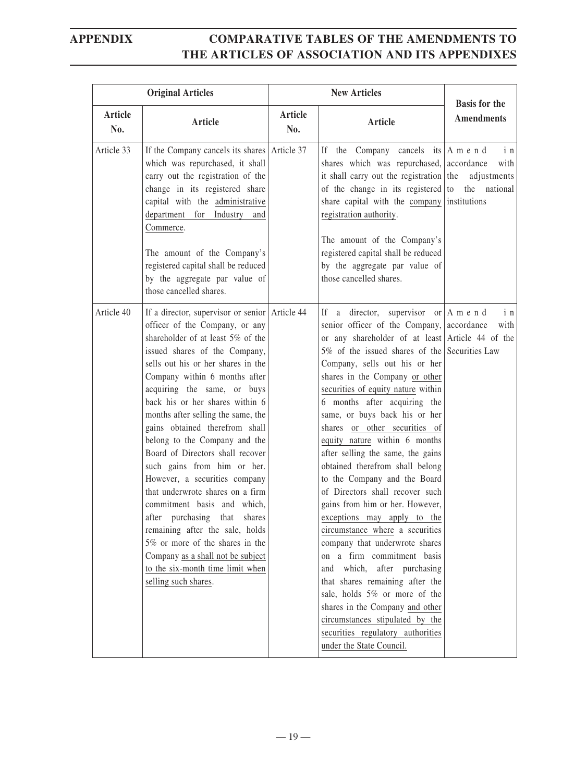|                | <b>Original Articles</b>                                                                                                                                                                                                                                                                                                                                                                                                                                                                                                                                                                                                                                                                                                                                                                  | <b>New Articles</b> |                                                                                                                                                                                                                                                                                                                                                                                                                                                                                                                                                                                                                                                                                                                                                                                                                                                                                                                                                                                                                      | <b>Basis for the</b>       |
|----------------|-------------------------------------------------------------------------------------------------------------------------------------------------------------------------------------------------------------------------------------------------------------------------------------------------------------------------------------------------------------------------------------------------------------------------------------------------------------------------------------------------------------------------------------------------------------------------------------------------------------------------------------------------------------------------------------------------------------------------------------------------------------------------------------------|---------------------|----------------------------------------------------------------------------------------------------------------------------------------------------------------------------------------------------------------------------------------------------------------------------------------------------------------------------------------------------------------------------------------------------------------------------------------------------------------------------------------------------------------------------------------------------------------------------------------------------------------------------------------------------------------------------------------------------------------------------------------------------------------------------------------------------------------------------------------------------------------------------------------------------------------------------------------------------------------------------------------------------------------------|----------------------------|
| Article<br>No. | <b>Article</b>                                                                                                                                                                                                                                                                                                                                                                                                                                                                                                                                                                                                                                                                                                                                                                            | Article<br>No.      | Article                                                                                                                                                                                                                                                                                                                                                                                                                                                                                                                                                                                                                                                                                                                                                                                                                                                                                                                                                                                                              | <b>Amendments</b>          |
| Article 33     | If the Company cancels its shares Article 37<br>which was repurchased, it shall<br>carry out the registration of the<br>change in its registered share<br>capital with the administrative<br>department for Industry<br>and<br>Commerce.<br>The amount of the Company's<br>registered capital shall be reduced<br>by the aggregate par value of<br>those cancelled shares.                                                                                                                                                                                                                                                                                                                                                                                                                |                     | If the Company cancels its $ A \text{ m} e \text{ n} d$<br>shares which was repurchased, accordance<br>it shall carry out the registration the<br>of the change in its registered to the national<br>share capital with the company institutions<br>registration authority.<br>The amount of the Company's<br>registered capital shall be reduced<br>by the aggregate par value of<br>those cancelled shares.                                                                                                                                                                                                                                                                                                                                                                                                                                                                                                                                                                                                        | i n<br>with<br>adjustments |
| Article 40     | If a director, supervisor or senior Article 44<br>officer of the Company, or any<br>shareholder of at least 5% of the<br>issued shares of the Company,<br>sells out his or her shares in the<br>Company within 6 months after<br>acquiring the same, or buys<br>back his or her shares within 6<br>months after selling the same, the<br>gains obtained therefrom shall<br>belong to the Company and the<br>Board of Directors shall recover<br>such gains from him or her.<br>However, a securities company<br>that underwrote shares on a firm<br>commitment basis and which,<br>after purchasing<br>that shares<br>remaining after the sale, holds<br>5% or more of the shares in the<br>Company as a shall not be subject<br>to the six-month time limit when<br>selling such shares. |                     | If a director, supervisor or $ A \text{ m} e \text{ n} d$<br>senior officer of the Company, accordance<br>or any shareholder of at least Article 44 of the<br>5% of the issued shares of the Securities Law<br>Company, sells out his or her<br>shares in the Company or other<br>securities of equity nature within<br>6 months after acquiring the<br>same, or buys back his or her<br>shares or other securities of<br>equity nature within 6 months<br>after selling the same, the gains<br>obtained therefrom shall belong<br>to the Company and the Board<br>of Directors shall recover such<br>gains from him or her. However,<br>exceptions may apply to the<br>circumstance where a securities<br>company that underwrote shares<br>on a firm commitment basis<br>which, after purchasing<br>and<br>that shares remaining after the<br>sale, holds 5% or more of the<br>shares in the Company and other<br>circumstances stipulated by the<br>securities regulatory authorities<br>under the State Council. | i <sub>n</sub><br>with     |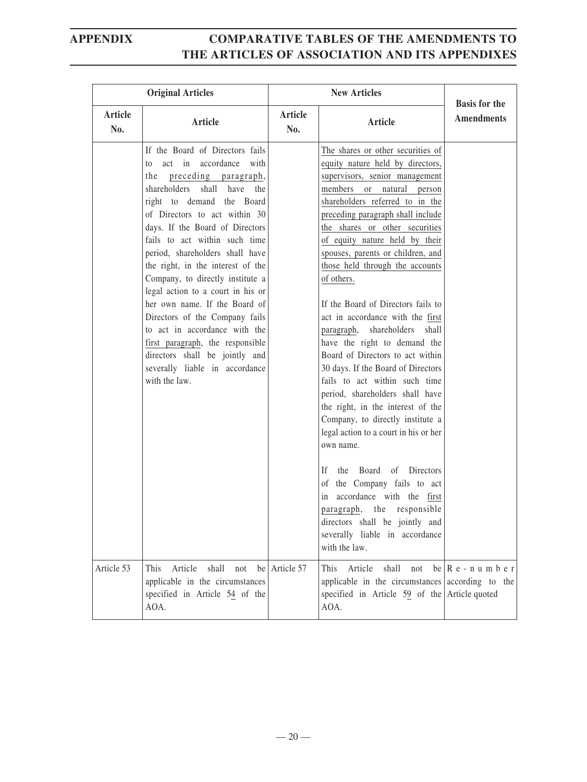|                | <b>Original Articles</b>                                                                                                                                                                                                                                                                                                                                                                                                                                                                                                                                                                                                                   | <b>New Articles</b> |                                                                                                                                                                                                                                                                                                                                                                                                                                                                                                                                                                                                                                                                                                                                                                                                                                                                                                                                                                                                                               | <b>Basis for the</b>                           |
|----------------|--------------------------------------------------------------------------------------------------------------------------------------------------------------------------------------------------------------------------------------------------------------------------------------------------------------------------------------------------------------------------------------------------------------------------------------------------------------------------------------------------------------------------------------------------------------------------------------------------------------------------------------------|---------------------|-------------------------------------------------------------------------------------------------------------------------------------------------------------------------------------------------------------------------------------------------------------------------------------------------------------------------------------------------------------------------------------------------------------------------------------------------------------------------------------------------------------------------------------------------------------------------------------------------------------------------------------------------------------------------------------------------------------------------------------------------------------------------------------------------------------------------------------------------------------------------------------------------------------------------------------------------------------------------------------------------------------------------------|------------------------------------------------|
| Article<br>No. | Article                                                                                                                                                                                                                                                                                                                                                                                                                                                                                                                                                                                                                                    | Article<br>No.      | Article                                                                                                                                                                                                                                                                                                                                                                                                                                                                                                                                                                                                                                                                                                                                                                                                                                                                                                                                                                                                                       | <b>Amendments</b>                              |
|                | If the Board of Directors fails<br>to act in accordance with<br>the preceding paragraph,<br>shareholders shall have<br>the<br>right to demand the Board<br>of Directors to act within 30<br>days. If the Board of Directors<br>fails to act within such time<br>period, shareholders shall have<br>the right, in the interest of the<br>Company, to directly institute a<br>legal action to a court in his or<br>her own name. If the Board of<br>Directors of the Company fails<br>to act in accordance with the<br>first paragraph, the responsible<br>directors shall be jointly and<br>severally liable in accordance<br>with the law. |                     | The shares or other securities of<br>equity nature held by directors,<br>supervisors, senior management<br>members or natural<br>person<br>shareholders referred to in the<br>preceding paragraph shall include<br>the shares or other securities<br>of equity nature held by their<br>spouses, parents or children, and<br>those held through the accounts<br>of others.<br>If the Board of Directors fails to<br>act in accordance with the first<br>shareholders<br>paragraph,<br>shall<br>have the right to demand the<br>Board of Directors to act within<br>30 days. If the Board of Directors<br>fails to act within such time<br>period, shareholders shall have<br>the right, in the interest of the<br>Company, to directly institute a<br>legal action to a court in his or her<br>own name.<br>Board of Directors<br>If.<br>the<br>of the Company fails to act<br>in accordance with the first<br>paragraph, the responsible<br>directors shall be jointly and<br>severally liable in accordance<br>with the law. |                                                |
| Article 53     | Article<br>This<br>shall<br>not<br>applicable in the circumstances<br>specified in Article 54 of the<br>AOA.                                                                                                                                                                                                                                                                                                                                                                                                                                                                                                                               | be Article 57       | Article<br>shall<br>This<br>not<br>applicable in the circumstances according to the<br>specified in Article $59$ of the Article quoted<br>AOA.                                                                                                                                                                                                                                                                                                                                                                                                                                                                                                                                                                                                                                                                                                                                                                                                                                                                                | be $\left  \mathbf{R} \right $ e - n u m b e r |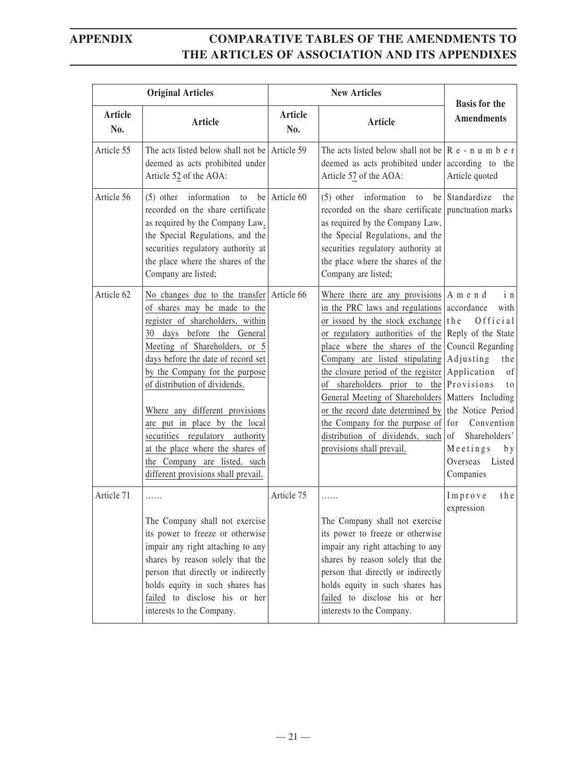|                       | <b>Original Articles</b>                                                                                                                                                                                                                                                                                                                                                                                                                                                                    |                | <b>New Articles</b>                                                                                                                                                                                                                                                                                                                                                                                                                                                                                                                                          |                                                                                                                                                                                                                                      |
|-----------------------|---------------------------------------------------------------------------------------------------------------------------------------------------------------------------------------------------------------------------------------------------------------------------------------------------------------------------------------------------------------------------------------------------------------------------------------------------------------------------------------------|----------------|--------------------------------------------------------------------------------------------------------------------------------------------------------------------------------------------------------------------------------------------------------------------------------------------------------------------------------------------------------------------------------------------------------------------------------------------------------------------------------------------------------------------------------------------------------------|--------------------------------------------------------------------------------------------------------------------------------------------------------------------------------------------------------------------------------------|
| <b>Article</b><br>No. | Article                                                                                                                                                                                                                                                                                                                                                                                                                                                                                     | Article<br>No. | Article                                                                                                                                                                                                                                                                                                                                                                                                                                                                                                                                                      | <b>Basis for the</b><br><b>Amendments</b>                                                                                                                                                                                            |
| Article 55            | The acts listed below shall not be Article 59<br>deemed as acts prohibited under<br>Article 52 of the AOA:                                                                                                                                                                                                                                                                                                                                                                                  |                | The acts listed below shall not be $\mathbb{R}$ e - n u m b e r<br>deemed as acts prohibited under according to the<br>Article 57 of the AOA:                                                                                                                                                                                                                                                                                                                                                                                                                | Article quoted                                                                                                                                                                                                                       |
| Article 56            | $(5)$ other information<br>to<br>recorded on the share certificate<br>as required by the Company Law,<br>the Special Regulations, and the<br>securities regulatory authority at<br>the place where the shares of the<br>Company are listed;                                                                                                                                                                                                                                                 | be Article 60  | information<br>$(5)$ other<br>to<br>recorded on the share certificate punctuation marks<br>as required by the Company Law,<br>the Special Regulations, and the<br>securities regulatory authority at<br>the place where the shares of the<br>Company are listed;                                                                                                                                                                                                                                                                                             | be Standardize<br>the                                                                                                                                                                                                                |
| Article 62            | No changes due to the transfer<br>of shares may be made to the<br>register of shareholders, within<br>30 days before the General<br>Meeting of Shareholders, or 5<br>days before the date of record set<br>by the Company for the purpose<br>of distribution of dividends.<br>Where any different provisions<br>are put in place by the local<br>securities regulatory authority<br>at the place where the shares of<br>the Company are listed, such<br>different provisions shall prevail. | Article 66     | Where there are any provisions $ A \text{ m} e \text{ n} d$<br>in the PRC laws and regulations<br>or issued by the stock exchange<br>or regulatory authorities of the Reply of the State<br>place where the shares of the<br>Company are listed stipulating<br>the closure period of the register<br>of shareholders prior to the<br>General Meeting of Shareholders   Matters Including<br>or the record date determined by the Notice Period<br>the Company for the purpose of $\vert$ for<br>distribution of dividends, such<br>provisions shall prevail. | in<br>accordance<br>with<br>Official<br>the<br>Council Regarding<br>Adjusting<br>the<br>Application<br>of<br>Provisions<br>t o<br>Convention<br>Shareholders'<br><sub>of</sub><br>Meetings<br>b y<br>Overseas<br>Listed<br>Companies |
| Article 71            | .<br>The Company shall not exercise<br>its power to freeze or otherwise<br>impair any right attaching to any<br>shares by reason solely that the<br>person that directly or indirectly<br>holds equity in such shares has<br>failed to disclose his or her<br>interests to the Company.                                                                                                                                                                                                     | Article 75     | .<br>The Company shall not exercise<br>its power to freeze or otherwise<br>impair any right attaching to any<br>shares by reason solely that the<br>person that directly or indirectly<br>holds equity in such shares has<br>failed to disclose his or her<br>interests to the Company.                                                                                                                                                                                                                                                                      | Improve<br>the<br>expression                                                                                                                                                                                                         |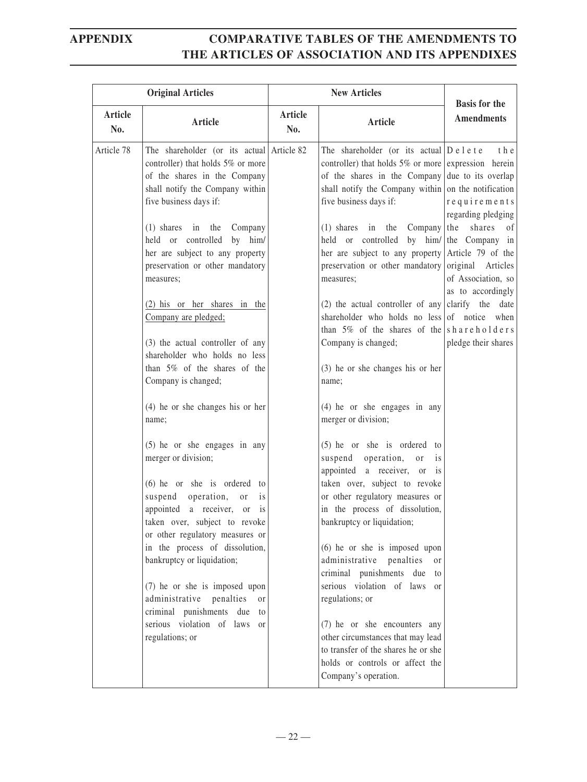|                | <b>Original Articles</b>                                                                                                                                                                                                    |                | <b>New Articles</b>                                                                                                                                                                                                                          | <b>Basis for the</b>                        |
|----------------|-----------------------------------------------------------------------------------------------------------------------------------------------------------------------------------------------------------------------------|----------------|----------------------------------------------------------------------------------------------------------------------------------------------------------------------------------------------------------------------------------------------|---------------------------------------------|
| Article<br>No. | <b>Article</b>                                                                                                                                                                                                              | Article<br>No. | <b>Article</b>                                                                                                                                                                                                                               | <b>Amendments</b>                           |
| Article 78     | The shareholder (or its actual Article 82<br>controller) that holds 5% or more<br>of the shares in the Company<br>shall notify the Company within<br>five business days if:                                                 |                | The shareholder (or its actual $D$ e l e t e<br>controller) that holds 5% or more expression herein<br>of the shares in the Company due to its overlap<br>shall notify the Company within on the notification<br>five business days if:      | t h e<br>requirements<br>regarding pledging |
|                | (1) shares in the Company<br>held or controlled by him/<br>her are subject to any property<br>preservation or other mandatory<br>measures;                                                                                  |                | (1) shares in the Company   the shares of<br>held or controlled by him/ the Company in<br>her are subject to any property Article 79 of the<br>preservation or other mandatory original Articles<br>measures;                                | of Association, so<br>as to accordingly     |
|                | (2) his or her shares in the<br>Company are pledged;                                                                                                                                                                        |                | (2) the actual controller of any clarify the date<br>shareholder who holds no less of notice when<br>than $5\%$ of the shares of the shareholders                                                                                            |                                             |
|                | (3) the actual controller of any<br>shareholder who holds no less<br>than 5% of the shares of the<br>Company is changed;                                                                                                    |                | Company is changed;<br>(3) he or she changes his or her<br>name;                                                                                                                                                                             | pledge their shares                         |
|                | $(4)$ he or she changes his or her<br>name;                                                                                                                                                                                 |                | $(4)$ he or she engages in any<br>merger or division;                                                                                                                                                                                        |                                             |
|                | $(5)$ he or she engages in any<br>merger or division;<br>$(6)$ he or she is ordered to<br>suspend operation,<br>is<br>or<br>appointed a receiver, or is<br>taken over, subject to revoke<br>or other regulatory measures or |                | $(5)$ he or she is ordered to<br>suspend operation,<br>or<br><i>is</i><br>appointed a receiver, or<br>is<br>taken over, subject to revoke<br>or other regulatory measures or<br>in the process of dissolution,<br>bankruptcy or liquidation; |                                             |
|                | in the process of dissolution,<br>bankruptcy or liquidation;<br>(7) he or she is imposed upon<br>administrative penalties<br><sub>or</sub>                                                                                  |                | $(6)$ he or she is imposed upon<br>administrative penalties<br><sub>or</sub><br>criminal punishments due<br>to<br>serious violation of laws<br><sub>or</sub><br>regulations; or                                                              |                                             |
|                | criminal punishments due<br>to<br>serious violation of laws or<br>regulations; or                                                                                                                                           |                | (7) he or she encounters any<br>other circumstances that may lead<br>to transfer of the shares he or she<br>holds or controls or affect the<br>Company's operation.                                                                          |                                             |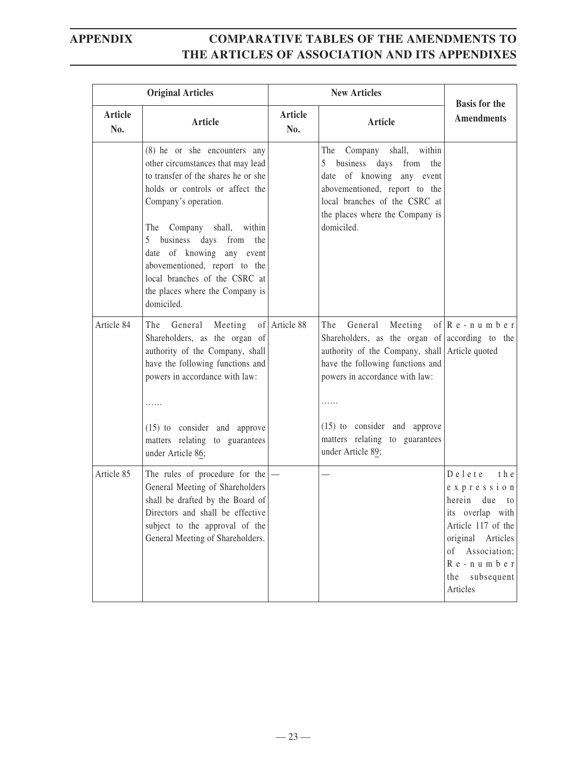|                       | <b>Original Articles</b>                                                                                                                                                                                                                                                                                                                                                        | <b>New Articles</b>   |                                                                                                                                                                                                                                                                                | <b>Basis for the</b>                                                                                                                                                                                      |
|-----------------------|---------------------------------------------------------------------------------------------------------------------------------------------------------------------------------------------------------------------------------------------------------------------------------------------------------------------------------------------------------------------------------|-----------------------|--------------------------------------------------------------------------------------------------------------------------------------------------------------------------------------------------------------------------------------------------------------------------------|-----------------------------------------------------------------------------------------------------------------------------------------------------------------------------------------------------------|
| <b>Article</b><br>No. | Article                                                                                                                                                                                                                                                                                                                                                                         | <b>Article</b><br>No. | Article                                                                                                                                                                                                                                                                        | <b>Amendments</b>                                                                                                                                                                                         |
|                       | (8) he or she encounters any<br>other circumstances that may lead<br>to transfer of the shares he or she<br>holds or controls or affect the<br>Company's operation.<br>The Company shall, within<br>5 business days from<br>the<br>date of knowing any event<br>abovementioned, report to the<br>local branches of the CSRC at<br>the places where the Company is<br>domiciled. |                       | within<br>The Company shall,<br>5 business days<br>from the<br>date of knowing any event<br>abovementioned, report to the<br>local branches of the CSRC at<br>the places where the Company is<br>domiciled.                                                                    |                                                                                                                                                                                                           |
| Article 84            | The General<br>Meeting<br>Shareholders, as the organ of<br>authority of the Company, shall<br>have the following functions and<br>powers in accordance with law:<br>.<br>$(15)$ to consider and approve<br>matters relating to guarantees                                                                                                                                       | of Article 88         | The<br>General<br>Meeting<br>Shareholders, as the organ of $ $ according to the<br>authority of the Company, shall Article quoted<br>have the following functions and<br>powers in accordance with law:<br>.<br>(15) to consider and approve<br>matters relating to guarantees | of $\left  \mathbf{R} \right $ e - n u m b e r                                                                                                                                                            |
| Article 85            | under Article 86;<br>The rules of procedure for the $\vert$ -<br>General Meeting of Shareholders<br>shall be drafted by the Board of<br>Directors and shall be effective<br>subject to the approval of the<br>General Meeting of Shareholders.                                                                                                                                  |                       | under Article 89;                                                                                                                                                                                                                                                              | $D$ e $l$ e $t$ e<br>t h e<br>expression<br>herein due<br>to<br>its overlap with<br>Article 117 of the<br>original Articles<br>0f<br>Association;<br>$R e - n u m b e r$<br>the<br>subsequent<br>Articles |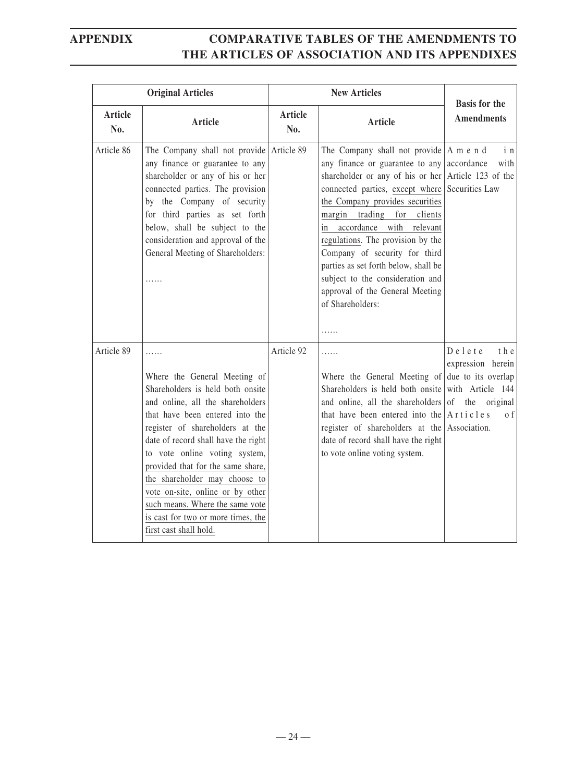|                | <b>Original Articles</b>                                                                                                                                                                                                                                                                                                                                                                                                                                             | <b>New Articles</b> |                                                                                                                                                                                                                                                                                                                                                                                                                                                                                                                            | <b>Basis for the</b>                                 |
|----------------|----------------------------------------------------------------------------------------------------------------------------------------------------------------------------------------------------------------------------------------------------------------------------------------------------------------------------------------------------------------------------------------------------------------------------------------------------------------------|---------------------|----------------------------------------------------------------------------------------------------------------------------------------------------------------------------------------------------------------------------------------------------------------------------------------------------------------------------------------------------------------------------------------------------------------------------------------------------------------------------------------------------------------------------|------------------------------------------------------|
| Article<br>No. | Article                                                                                                                                                                                                                                                                                                                                                                                                                                                              | Article<br>No.      | Article                                                                                                                                                                                                                                                                                                                                                                                                                                                                                                                    | <b>Amendments</b>                                    |
| Article 86     | The Company shall not provide Article 89<br>any finance or guarantee to any<br>shareholder or any of his or her<br>connected parties. The provision<br>by the Company of security<br>for third parties as set forth<br>below, shall be subject to the<br>consideration and approval of the<br>General Meeting of Shareholders:<br>.                                                                                                                                  |                     | The Company shall not provide $ A \text{ m} e \text{ n} d$<br>any finance or guarantee to any $ $ accordance<br>shareholder or any of his or her Article 123 of the<br>connected parties, except where<br>the Company provides securities<br>trading<br>for clients<br>margin<br>in accordance with relevant<br>regulations. The provision by the<br>Company of security for third<br>parties as set forth below, shall be<br>subject to the consideration and<br>approval of the General Meeting<br>of Shareholders:<br>. | i <sub>n</sub><br>with<br>Securities Law             |
| Article 89     | .<br>Where the General Meeting of<br>Shareholders is held both onsite<br>and online, all the shareholders<br>that have been entered into the<br>register of shareholders at the<br>date of record shall have the right<br>to vote online voting system,<br>provided that for the same share,<br>the shareholder may choose to<br>vote on-site, online or by other<br>such means. Where the same vote<br>is cast for two or more times, the<br>first cast shall hold. | Article 92          | .<br>Where the General Meeting of due to its overlap<br>Shareholders is held both onsite with Article 144<br>and online, all the shareholders of the original<br>that have been entered into the $A$ rticles<br>register of shareholders at the Association.<br>date of record shall have the right<br>to vote online voting system.                                                                                                                                                                                       | $D$ e $l$ e t e<br>t h e<br>expression herein<br>o f |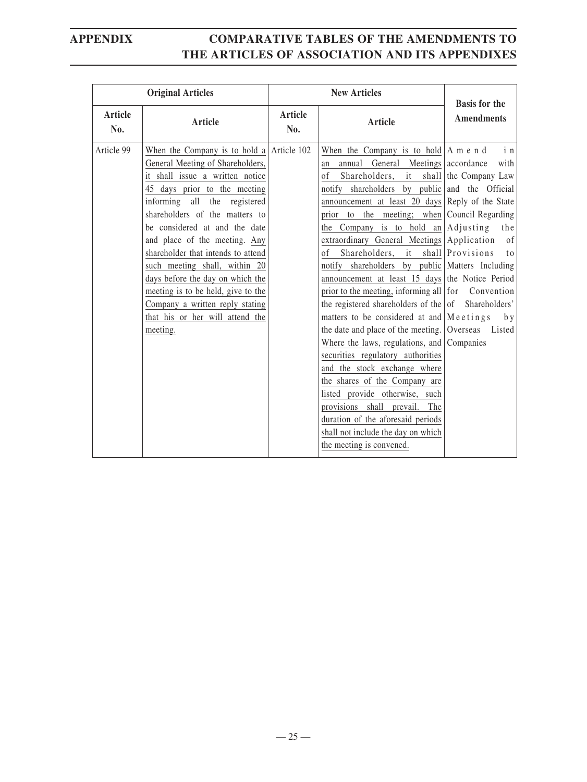| <b>Original Articles</b> |                                                                                                                                                                                                                                                                                                                                                                                                                                                                                                                           |                | <b>New Articles</b>                                                                                                                                                                                                                                                                                                                                                                                                                                                                                                                                                                                                                                                                                                                                                                                                                                                                                                                                                                                                                                                                 | <b>Basis for the</b>                                                  |
|--------------------------|---------------------------------------------------------------------------------------------------------------------------------------------------------------------------------------------------------------------------------------------------------------------------------------------------------------------------------------------------------------------------------------------------------------------------------------------------------------------------------------------------------------------------|----------------|-------------------------------------------------------------------------------------------------------------------------------------------------------------------------------------------------------------------------------------------------------------------------------------------------------------------------------------------------------------------------------------------------------------------------------------------------------------------------------------------------------------------------------------------------------------------------------------------------------------------------------------------------------------------------------------------------------------------------------------------------------------------------------------------------------------------------------------------------------------------------------------------------------------------------------------------------------------------------------------------------------------------------------------------------------------------------------------|-----------------------------------------------------------------------|
| Article<br>No.           | <b>Article</b>                                                                                                                                                                                                                                                                                                                                                                                                                                                                                                            | Article<br>No. | Article                                                                                                                                                                                                                                                                                                                                                                                                                                                                                                                                                                                                                                                                                                                                                                                                                                                                                                                                                                                                                                                                             | <b>Amendments</b>                                                     |
| Article 99               | When the Company is to hold a Article $102$<br>General Meeting of Shareholders,<br>it shall issue a written notice<br>45 days prior to the meeting<br>informing all the registered<br>shareholders of the matters to<br>be considered at and the date<br>and place of the meeting. Any<br>shareholder that intends to attend<br>such meeting shall, within 20<br>days before the day on which the<br>meeting is to be held, give to the<br>Company a written reply stating<br>that his or her will attend the<br>meeting. |                | When the Company is to hold $A$ m e n d<br>annual General Meetings accordance<br>an<br>Shareholders, it shall the Company Law<br>of<br>notify shareholders by public and the Official<br>announcement at least 20 days Reply of the State<br>prior to the meeting; when Council Regarding<br>the Company is to hold an $Adijusting$<br>extraordinary General Meetings Application<br>Shareholders,<br>of<br>it<br>notify shareholders by public Matters Including<br>announcement at least 15 days the Notice Period<br>prior to the meeting, informing all for Convention<br>the registered shareholders of the $\sigma$ Shareholders'<br>matters to be considered at and $\vert$ M e etings<br>the date and place of the meeting.   Overseas Listed<br>Where the laws, regulations, and Companies<br>securities regulatory authorities<br>and the stock exchange where<br>the shares of the Company are<br>listed provide otherwise, such<br>provisions shall prevail. The<br>duration of the aforesaid periods<br>shall not include the day on which<br>the meeting is convened. | i n<br>with<br>the<br>of<br>shall Provisions<br>t <sub>0</sub><br>b y |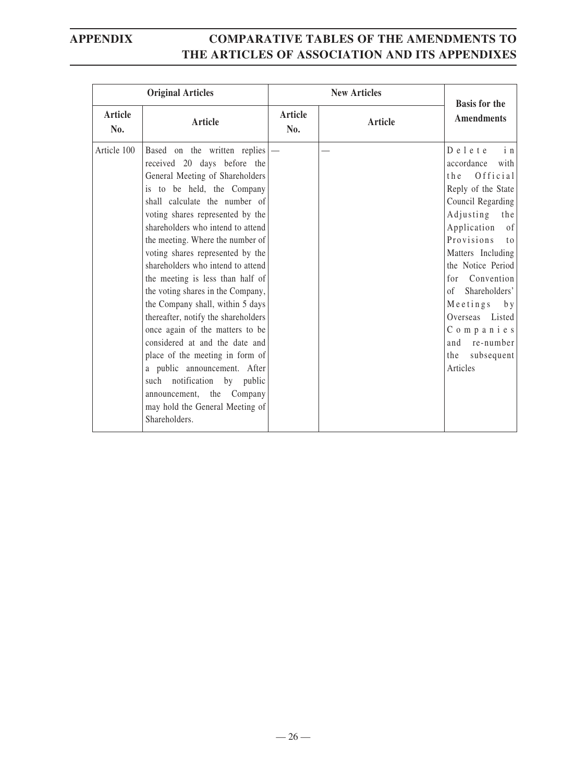|                | <b>Original Articles</b>                                                                                                                                                                                                                                                                                                                                                                                                                                                                                                                                                                                                                                                                                                                                              |                | <b>New Articles</b> | <b>Basis for the</b>                                                                                                                                                                                                                                                                                                                                                                                |
|----------------|-----------------------------------------------------------------------------------------------------------------------------------------------------------------------------------------------------------------------------------------------------------------------------------------------------------------------------------------------------------------------------------------------------------------------------------------------------------------------------------------------------------------------------------------------------------------------------------------------------------------------------------------------------------------------------------------------------------------------------------------------------------------------|----------------|---------------------|-----------------------------------------------------------------------------------------------------------------------------------------------------------------------------------------------------------------------------------------------------------------------------------------------------------------------------------------------------------------------------------------------------|
| Article<br>No. | Article                                                                                                                                                                                                                                                                                                                                                                                                                                                                                                                                                                                                                                                                                                                                                               | Article<br>No. | Article             | <b>Amendments</b>                                                                                                                                                                                                                                                                                                                                                                                   |
| Article 100    | Based on the written replies<br>received 20 days before the<br>General Meeting of Shareholders<br>is to be held, the Company<br>shall calculate the number of<br>voting shares represented by the<br>shareholders who intend to attend<br>the meeting. Where the number of<br>voting shares represented by the<br>shareholders who intend to attend<br>the meeting is less than half of<br>the voting shares in the Company,<br>the Company shall, within 5 days<br>thereafter, notify the shareholders<br>once again of the matters to be<br>considered at and the date and<br>place of the meeting in form of<br>a public announcement. After<br>such notification<br>by public<br>announcement, the<br>Company<br>may hold the General Meeting of<br>Shareholders. |                |                     | Delete<br>i <sub>n</sub><br>accordance<br>with<br>Official<br>t h e<br>Reply of the State<br>Council Regarding<br>Adjusting<br>the<br>of<br>Application<br>Provisions<br>t <sub>0</sub><br>Matters Including<br>the Notice Period<br>Convention<br>for<br>Shareholders'<br>$\alpha$ f<br>$M$ e e t i n g s<br>b y<br>Overseas Listed<br>Companies<br>and re-number<br>the<br>subsequent<br>Articles |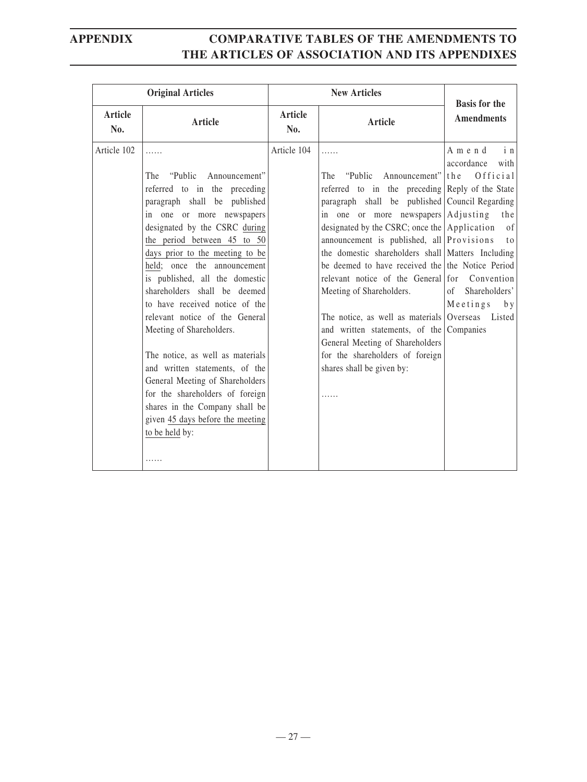| <b>Original Articles</b> |                                                                                                                                                                                                                                                                                                                                                                                                                                                                                                                                                                                                                      |                       | <b>Basis for the</b>                                                                                                                                                                                                                                                                                                                                                                                                                                                                                                                                                                                                                                                                 |                                                                                                                                                                 |
|--------------------------|----------------------------------------------------------------------------------------------------------------------------------------------------------------------------------------------------------------------------------------------------------------------------------------------------------------------------------------------------------------------------------------------------------------------------------------------------------------------------------------------------------------------------------------------------------------------------------------------------------------------|-----------------------|--------------------------------------------------------------------------------------------------------------------------------------------------------------------------------------------------------------------------------------------------------------------------------------------------------------------------------------------------------------------------------------------------------------------------------------------------------------------------------------------------------------------------------------------------------------------------------------------------------------------------------------------------------------------------------------|-----------------------------------------------------------------------------------------------------------------------------------------------------------------|
| Article<br>No.           | <b>Article</b>                                                                                                                                                                                                                                                                                                                                                                                                                                                                                                                                                                                                       | <b>Article</b><br>No. | <b>Article</b>                                                                                                                                                                                                                                                                                                                                                                                                                                                                                                                                                                                                                                                                       | <b>Amendments</b>                                                                                                                                               |
| Article 102              | .<br>"Public"<br>Announcement"<br>The<br>referred to in the preceding<br>paragraph shall be published<br>in one or more newspapers<br>designated by the CSRC during<br>the period between 45 to 50<br>days prior to the meeting to be<br>held: once the announcement<br>is published, all the domestic<br>shareholders shall be deemed<br>to have received notice of the<br>relevant notice of the General<br>Meeting of Shareholders.<br>The notice, as well as materials<br>and written statements, of the<br>General Meeting of Shareholders<br>for the shareholders of foreign<br>shares in the Company shall be | Article 104           | .<br>"Public"<br>Announcement"<br>The<br>referred to in the preceding Reply of the State<br>paragraph shall be published Council Regarding<br>in one or more newspapers Adjusting<br>designated by the CSRC; once the $\Delta$ pplication<br>announcement is published, all Provisions<br>the domestic shareholders shall Matters Including<br>be deemed to have received the the Notice Period<br>relevant notice of the General for Convention<br>Meeting of Shareholders.<br>The notice, as well as materials Overseas Listed<br>and written statements, of the Companies<br>General Meeting of Shareholders<br>for the shareholders of foreign<br>shares shall be given by:<br>. | i <sub>n</sub><br>Amend<br>accordance<br>with<br>the<br>Official<br>the<br><sub>of</sub><br>t <sub>o</sub><br>Shareholders'<br>$\sigma$ f<br>$M$ eetings<br>b y |
|                          | given 45 days before the meeting<br>to be held by:<br>.                                                                                                                                                                                                                                                                                                                                                                                                                                                                                                                                                              |                       |                                                                                                                                                                                                                                                                                                                                                                                                                                                                                                                                                                                                                                                                                      |                                                                                                                                                                 |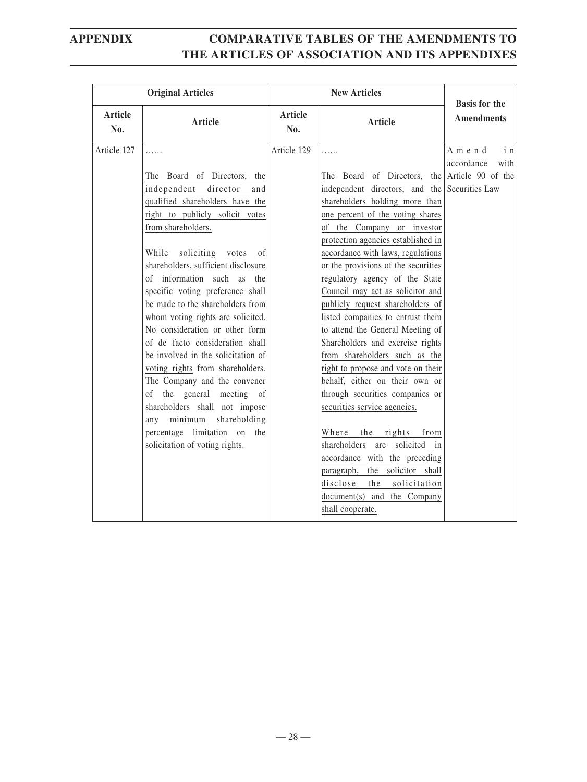| Article<br>Article<br><b>Amendments</b><br><b>Article</b><br><b>Article</b><br>No.<br>No.<br>Article 129<br>Article 127<br>Amend<br>.<br>.<br>accordance<br>The Board of Directors, the Article 90 of the<br>The Board of Directors, the<br>independent<br>director<br>independent directors, and the Securities Law<br>and<br>qualified shareholders have the<br>shareholders holding more than<br>right to publicly solicit votes<br>one percent of the voting shares<br>from shareholders.<br>of the Company or investor<br>protection agencies established in<br>accordance with laws, regulations<br>While<br>soliciting votes<br>of<br>shareholders, sufficient disclosure<br>or the provisions of the securities<br>of information such as the<br>regulatory agency of the State<br>specific voting preference shall<br>Council may act as solicitor and<br>be made to the shareholders from<br>publicly request shareholders of<br>whom voting rights are solicited.<br>listed companies to entrust them<br>No consideration or other form<br>to attend the General Meeting of<br>of de facto consideration shall<br>Shareholders and exercise rights<br>be involved in the solicitation of<br>from shareholders such as the<br>voting rights from shareholders.<br>right to propose and vote on their<br>behalf, either on their own or<br>The Company and the convener<br>of the general meeting of<br>through securities companies or<br>shareholders shall not impose<br>securities service agencies.<br>any minimum shareholding<br>percentage limitation on the<br>the<br>rights<br>Where<br>from<br>solicitation of voting rights.<br>shareholders are solicited in<br>accordance with the preceding | <b>Original Articles</b> |  | <b>New Articles</b>            | <b>Basis for the</b>   |
|---------------------------------------------------------------------------------------------------------------------------------------------------------------------------------------------------------------------------------------------------------------------------------------------------------------------------------------------------------------------------------------------------------------------------------------------------------------------------------------------------------------------------------------------------------------------------------------------------------------------------------------------------------------------------------------------------------------------------------------------------------------------------------------------------------------------------------------------------------------------------------------------------------------------------------------------------------------------------------------------------------------------------------------------------------------------------------------------------------------------------------------------------------------------------------------------------------------------------------------------------------------------------------------------------------------------------------------------------------------------------------------------------------------------------------------------------------------------------------------------------------------------------------------------------------------------------------------------------------------------------------------------------------------------------------------------------------------------|--------------------------|--|--------------------------------|------------------------|
|                                                                                                                                                                                                                                                                                                                                                                                                                                                                                                                                                                                                                                                                                                                                                                                                                                                                                                                                                                                                                                                                                                                                                                                                                                                                                                                                                                                                                                                                                                                                                                                                                                                                                                                     |                          |  |                                |                        |
| disclose<br>the<br>solicitation<br>document(s) and the Company<br>shall cooperate.                                                                                                                                                                                                                                                                                                                                                                                                                                                                                                                                                                                                                                                                                                                                                                                                                                                                                                                                                                                                                                                                                                                                                                                                                                                                                                                                                                                                                                                                                                                                                                                                                                  |                          |  | paragraph, the solicitor shall | i <sub>n</sub><br>with |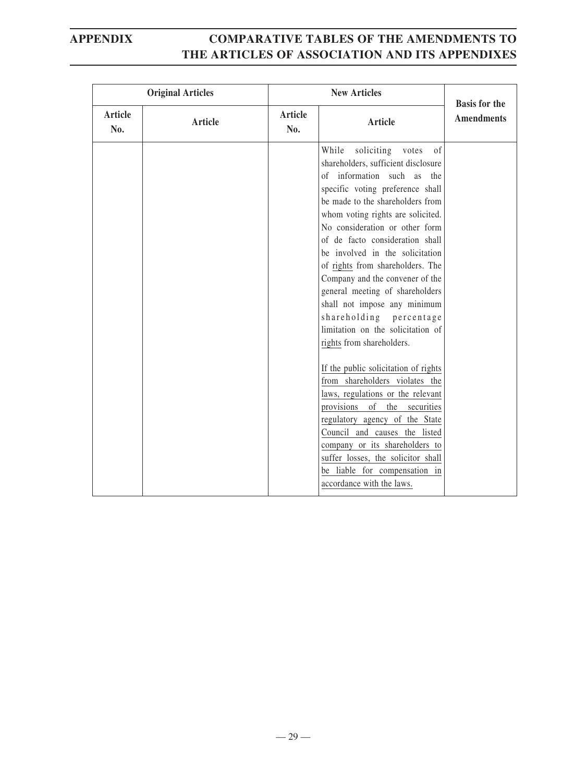|                | <b>Original Articles</b> | <b>New Articles</b> |                                                                                                                                                                                                                                                                                                                                                                                                                                                                                                                                                                                                                                                                                                                                                                                                                                                                                                                             | <b>Basis for the</b> |
|----------------|--------------------------|---------------------|-----------------------------------------------------------------------------------------------------------------------------------------------------------------------------------------------------------------------------------------------------------------------------------------------------------------------------------------------------------------------------------------------------------------------------------------------------------------------------------------------------------------------------------------------------------------------------------------------------------------------------------------------------------------------------------------------------------------------------------------------------------------------------------------------------------------------------------------------------------------------------------------------------------------------------|----------------------|
| Article<br>No. | Article                  | Article<br>No.      | Article                                                                                                                                                                                                                                                                                                                                                                                                                                                                                                                                                                                                                                                                                                                                                                                                                                                                                                                     | <b>Amendments</b>    |
|                |                          |                     | While<br>soliciting<br>votes<br>of<br>shareholders, sufficient disclosure<br>of information such as the<br>specific voting preference shall<br>be made to the shareholders from<br>whom voting rights are solicited.<br>No consideration or other form<br>of de facto consideration shall<br>be involved in the solicitation<br>of rights from shareholders. The<br>Company and the convener of the<br>general meeting of shareholders<br>shall not impose any minimum<br>shareholding percentage<br>limitation on the solicitation of<br>rights from shareholders.<br>If the public solicitation of rights<br>from shareholders violates the<br>laws, regulations or the relevant<br>provisions of the securities<br>regulatory agency of the State<br>Council and causes the listed<br>company or its shareholders to<br>suffer losses, the solicitor shall<br>be liable for compensation in<br>accordance with the laws. |                      |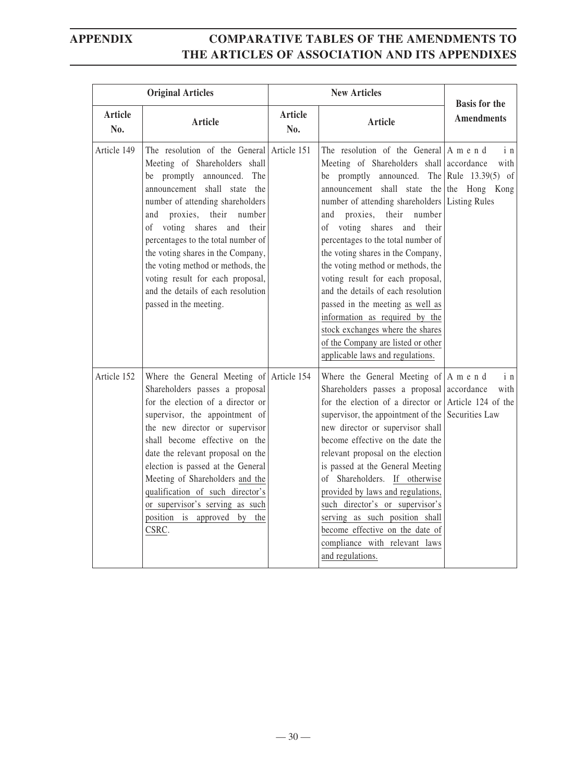| <b>Original Articles</b> |                                                                                                                                                                                                                                                                                                                                                                                                                                                                               | <b>New Articles</b> |                                                                                                                                                                                                                                                                                                                                                                                                                                                                                                                                                                                                                                                                                        |                                           |
|--------------------------|-------------------------------------------------------------------------------------------------------------------------------------------------------------------------------------------------------------------------------------------------------------------------------------------------------------------------------------------------------------------------------------------------------------------------------------------------------------------------------|---------------------|----------------------------------------------------------------------------------------------------------------------------------------------------------------------------------------------------------------------------------------------------------------------------------------------------------------------------------------------------------------------------------------------------------------------------------------------------------------------------------------------------------------------------------------------------------------------------------------------------------------------------------------------------------------------------------------|-------------------------------------------|
| Article<br>No.           | Article                                                                                                                                                                                                                                                                                                                                                                                                                                                                       | Article<br>No.      | <b>Article</b>                                                                                                                                                                                                                                                                                                                                                                                                                                                                                                                                                                                                                                                                         | <b>Basis for the</b><br><b>Amendments</b> |
| Article 149              | The resolution of the General Article 151<br>Meeting of Shareholders shall<br>be promptly announced. The<br>announcement shall state the<br>number of attending shareholders<br>proxies,<br>their<br>number<br>and<br>voting shares<br>and<br>their<br>of<br>percentages to the total number of<br>the voting shares in the Company,<br>the voting method or methods, the<br>voting result for each proposal,<br>and the details of each resolution<br>passed in the meeting. |                     | The resolution of the General $A$ m e n d<br>Meeting of Shareholders shall accordance<br>be promptly announced. The Rule $13.39(5)$ of<br>announcement shall state the the Hong<br>number of attending shareholders Listing Rules<br>proxies,<br>their<br>number<br>and<br>of voting shares<br>and their<br>percentages to the total number of<br>the voting shares in the Company,<br>the voting method or methods, the<br>voting result for each proposal,<br>and the details of each resolution<br>passed in the meeting as well as<br>information as required by the<br>stock exchanges where the shares<br>of the Company are listed or other<br>applicable laws and regulations. | in<br>with<br>Kong                        |
| Article 152              | Where the General Meeting of Article 154<br>Shareholders passes a proposal<br>for the election of a director or<br>supervisor, the appointment of<br>the new director or supervisor<br>shall become effective on the<br>date the relevant proposal on the<br>election is passed at the General<br>Meeting of Shareholders and the<br>qualification of such director's<br>or supervisor's serving as such<br>position is approved by<br>the<br>CSRC.                           |                     | Where the General Meeting of $ A \text{ m} e \text{ n} d$<br>Shareholders passes a proposal accordance<br>for the election of a director or Article 124 of the<br>supervisor, the appointment of the Securities Law<br>new director or supervisor shall<br>become effective on the date the<br>relevant proposal on the election<br>is passed at the General Meeting<br>of Shareholders. If otherwise<br>provided by laws and regulations,<br>such director's or supervisor's<br>serving as such position shall<br>become effective on the date of<br>compliance with relevant laws<br>and regulations.                                                                                | i n<br>with                               |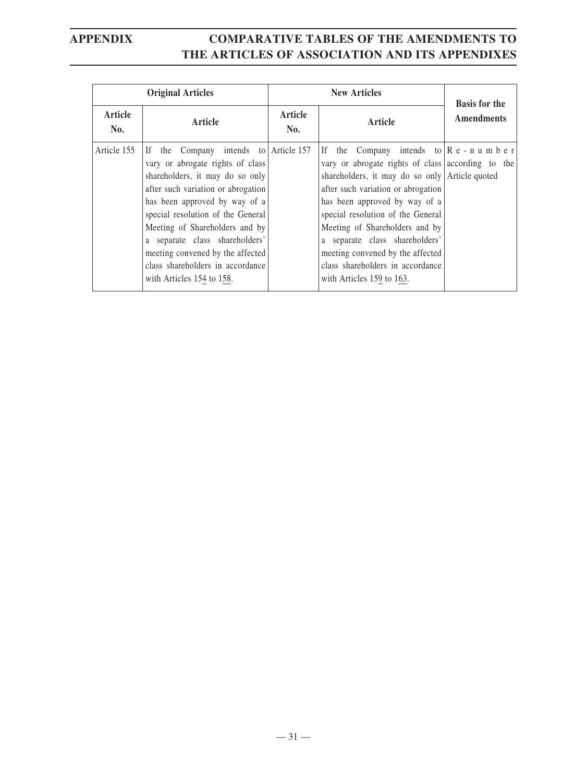| <b>Original Articles</b> |                                                                                                                                                                                                                                                                                                                                                                                                      | <b>New Articles</b> |                                                                                                                                                                                                                                                                                                                                                                                                                                                                                      | <b>Basis for the</b> |
|--------------------------|------------------------------------------------------------------------------------------------------------------------------------------------------------------------------------------------------------------------------------------------------------------------------------------------------------------------------------------------------------------------------------------------------|---------------------|--------------------------------------------------------------------------------------------------------------------------------------------------------------------------------------------------------------------------------------------------------------------------------------------------------------------------------------------------------------------------------------------------------------------------------------------------------------------------------------|----------------------|
| Article<br>No.           | Article                                                                                                                                                                                                                                                                                                                                                                                              | Article<br>No.      | Article                                                                                                                                                                                                                                                                                                                                                                                                                                                                              | <b>Amendments</b>    |
| Article 155              | the Company intends to Article 157<br>If<br>vary or abrogate rights of class<br>shareholders, it may do so only<br>after such variation or abrogation<br>has been approved by way of a<br>special resolution of the General<br>Meeting of Shareholders and by<br>a separate class shareholders'<br>meeting convened by the affected<br>class shareholders in accordance<br>with Articles 154 to 158. |                     | If the Company intends to $\begin{bmatrix} R & e & -n & u & m & b & e & r \end{bmatrix}$<br>vary or abrogate rights of class according to the<br>shareholders, it may do so only Article quoted<br>after such variation or abrogation<br>has been approved by way of a<br>special resolution of the General<br>Meeting of Shareholders and by<br>a separate class shareholders'<br>meeting convened by the affected<br>class shareholders in accordance<br>with Articles 159 to 163. |                      |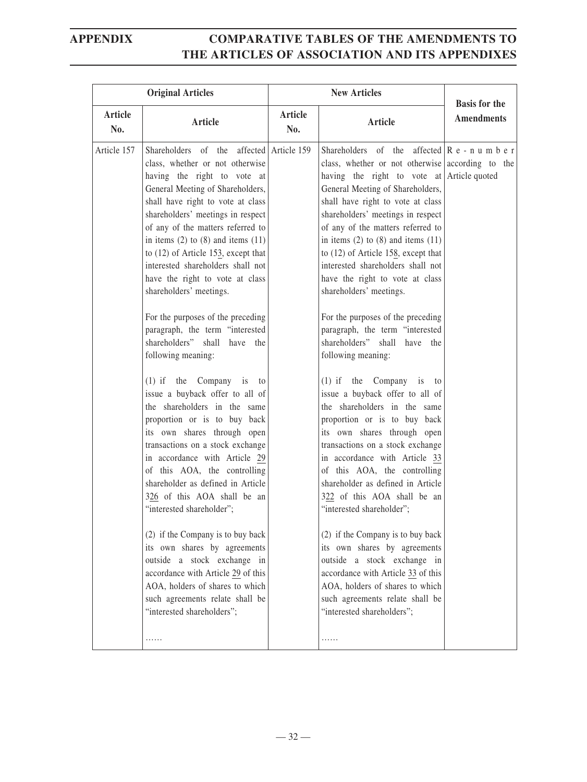| <b>Original Articles</b> |                                                                                                                                                                                                                                                                                                                                                                                                                                                                                                                                                                                                                                                                                                                                                                                                                                                                                                                                                                                                                                                                                                                                                                                                              | <b>New Articles</b> |                                                                                                                                                                                                                                                                                                                                                                                                                                                                                                                                                                                                                                                                                                                                                                                                                                                                                                                                                                                                                                                                                                                                                                                                                                                                                                 |                                           |
|--------------------------|--------------------------------------------------------------------------------------------------------------------------------------------------------------------------------------------------------------------------------------------------------------------------------------------------------------------------------------------------------------------------------------------------------------------------------------------------------------------------------------------------------------------------------------------------------------------------------------------------------------------------------------------------------------------------------------------------------------------------------------------------------------------------------------------------------------------------------------------------------------------------------------------------------------------------------------------------------------------------------------------------------------------------------------------------------------------------------------------------------------------------------------------------------------------------------------------------------------|---------------------|-------------------------------------------------------------------------------------------------------------------------------------------------------------------------------------------------------------------------------------------------------------------------------------------------------------------------------------------------------------------------------------------------------------------------------------------------------------------------------------------------------------------------------------------------------------------------------------------------------------------------------------------------------------------------------------------------------------------------------------------------------------------------------------------------------------------------------------------------------------------------------------------------------------------------------------------------------------------------------------------------------------------------------------------------------------------------------------------------------------------------------------------------------------------------------------------------------------------------------------------------------------------------------------------------|-------------------------------------------|
| <b>Article</b><br>No.    | Article                                                                                                                                                                                                                                                                                                                                                                                                                                                                                                                                                                                                                                                                                                                                                                                                                                                                                                                                                                                                                                                                                                                                                                                                      | Article<br>No.      | <b>Article</b>                                                                                                                                                                                                                                                                                                                                                                                                                                                                                                                                                                                                                                                                                                                                                                                                                                                                                                                                                                                                                                                                                                                                                                                                                                                                                  | <b>Basis for the</b><br><b>Amendments</b> |
| Article 157              | Shareholders of the affected Article 159<br>class, whether or not otherwise<br>having the right to vote at<br>General Meeting of Shareholders,<br>shall have right to vote at class<br>shareholders' meetings in respect<br>of any of the matters referred to<br>in items $(2)$ to $(8)$ and items $(11)$<br>to $(12)$ of Article 153, except that<br>interested shareholders shall not<br>have the right to vote at class<br>shareholders' meetings.<br>For the purposes of the preceding<br>paragraph, the term "interested<br>shareholders" shall have the<br>following meaning:<br>$(1)$ if the Company is to<br>issue a buyback offer to all of<br>the shareholders in the same<br>proportion or is to buy back<br>its own shares through open<br>transactions on a stock exchange<br>in accordance with Article 29<br>of this AOA, the controlling<br>shareholder as defined in Article<br>326 of this AOA shall be an<br>"interested shareholder";<br>(2) if the Company is to buy back<br>its own shares by agreements<br>outside a stock exchange in<br>accordance with Article 29 of this<br>AOA, holders of shares to which<br>such agreements relate shall be<br>"interested shareholders";<br>. |                     | Shareholders of the affected $\begin{bmatrix} R & e & -n & u & m & b & e & r \end{bmatrix}$<br>class, whether or not otherwise according to the<br>having the right to vote at Article quoted<br>General Meeting of Shareholders,<br>shall have right to vote at class<br>shareholders' meetings in respect<br>of any of the matters referred to<br>in items $(2)$ to $(8)$ and items $(11)$<br>to $(12)$ of Article 158, except that<br>interested shareholders shall not<br>have the right to vote at class<br>shareholders' meetings.<br>For the purposes of the preceding<br>paragraph, the term "interested<br>shareholders" shall have the<br>following meaning:<br>$(1)$ if the Company is to<br>issue a buyback offer to all of<br>the shareholders in the same<br>proportion or is to buy back<br>its own shares through open<br>transactions on a stock exchange<br>in accordance with Article 33<br>of this AOA, the controlling<br>shareholder as defined in Article<br>322 of this AOA shall be an<br>"interested shareholder";<br>(2) if the Company is to buy back<br>its own shares by agreements<br>outside a stock exchange in<br>accordance with Article 33 of this<br>AOA, holders of shares to which<br>such agreements relate shall be<br>"interested shareholders";<br>. |                                           |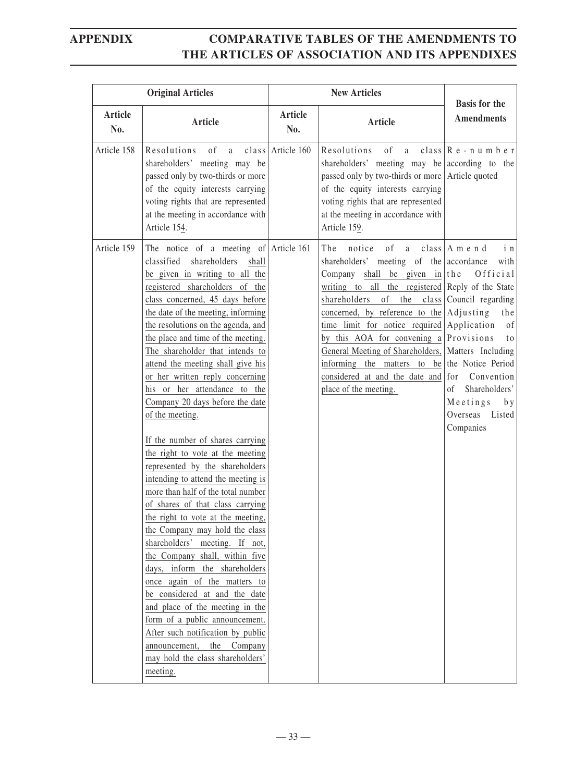| <b>Original Articles</b> |                                                                                                                                                                                                                                                                                                                                                                                                                                                                                                                                                                                                                                                                                                                                                                                                                                                                                                                                                                                                                                                                                                                                                                              | <b>New Articles</b> |                                                                                                                                                                                                                                                                                                                                                                                                                                                                                                     | <b>Basis for the</b>                                                                                                                                                                                                      |
|--------------------------|------------------------------------------------------------------------------------------------------------------------------------------------------------------------------------------------------------------------------------------------------------------------------------------------------------------------------------------------------------------------------------------------------------------------------------------------------------------------------------------------------------------------------------------------------------------------------------------------------------------------------------------------------------------------------------------------------------------------------------------------------------------------------------------------------------------------------------------------------------------------------------------------------------------------------------------------------------------------------------------------------------------------------------------------------------------------------------------------------------------------------------------------------------------------------|---------------------|-----------------------------------------------------------------------------------------------------------------------------------------------------------------------------------------------------------------------------------------------------------------------------------------------------------------------------------------------------------------------------------------------------------------------------------------------------------------------------------------------------|---------------------------------------------------------------------------------------------------------------------------------------------------------------------------------------------------------------------------|
| Article<br>No.           | <b>Article</b>                                                                                                                                                                                                                                                                                                                                                                                                                                                                                                                                                                                                                                                                                                                                                                                                                                                                                                                                                                                                                                                                                                                                                               | Article<br>No.      | Article                                                                                                                                                                                                                                                                                                                                                                                                                                                                                             | <b>Amendments</b>                                                                                                                                                                                                         |
| Article 158              | of a<br>Resolutions<br>shareholders' meeting may be<br>passed only by two-thirds or more<br>of the equity interests carrying<br>voting rights that are represented<br>at the meeting in accordance with<br>Article 154.                                                                                                                                                                                                                                                                                                                                                                                                                                                                                                                                                                                                                                                                                                                                                                                                                                                                                                                                                      | class Article 160   | of<br>Resolutions<br>a a<br>shareholders' meeting may be according to the<br>passed only by two-thirds or more Article quoted<br>of the equity interests carrying<br>voting rights that are represented<br>at the meeting in accordance with<br>Article 159.                                                                                                                                                                                                                                        | class $\mathbb{R}$ e - n u m b e r                                                                                                                                                                                        |
| Article 159              | The notice of a meeting of Article 161<br>classified<br>shareholders<br>shall<br>be given in writing to all the<br>registered shareholders of the<br>class concerned, 45 days before<br>the date of the meeting, informing<br>the resolutions on the agenda, and<br>the place and time of the meeting.<br>The shareholder that intends to<br>attend the meeting shall give his<br>or her written reply concerning<br>his or her attendance to the<br>Company 20 days before the date<br>of the meeting.<br>If the number of shares carrying<br>the right to vote at the meeting<br>represented by the shareholders<br>intending to attend the meeting is<br>more than half of the total number<br>of shares of that class carrying<br>the right to vote at the meeting,<br>the Company may hold the class<br>shareholders' meeting. If not,<br>the Company shall, within five<br>days, inform the shareholders<br>once again of the matters to<br>be considered at and the date<br>and place of the meeting in the<br>form of a public announcement.<br>After such notification by public<br>announcement,<br>the<br>Company<br>may hold the class shareholders'<br>meeting. |                     | notice<br>of<br>The<br>a a<br>shareholders' meeting of the accordance<br>Company shall be given in $ $ the<br>writing to all the registered Reply of the State<br>shareholders<br>concerned, by reference to the $\operatorname{Adj }$ as a disting<br>time limit for notice required<br>by this AOA for convening a Provisions<br>General Meeting of Shareholders,   Matters Including<br>informing the matters to be the Notice Period<br>considered at and the date and<br>place of the meeting. | class $A$ m e n d<br>i n<br>with<br>Official<br>of the $\text{class}$ Council regarding<br>the<br>Application<br>of<br>t o<br>for<br>Convention<br>Shareholders'<br>of<br>Meetings<br>b y<br>Overseas Listed<br>Companies |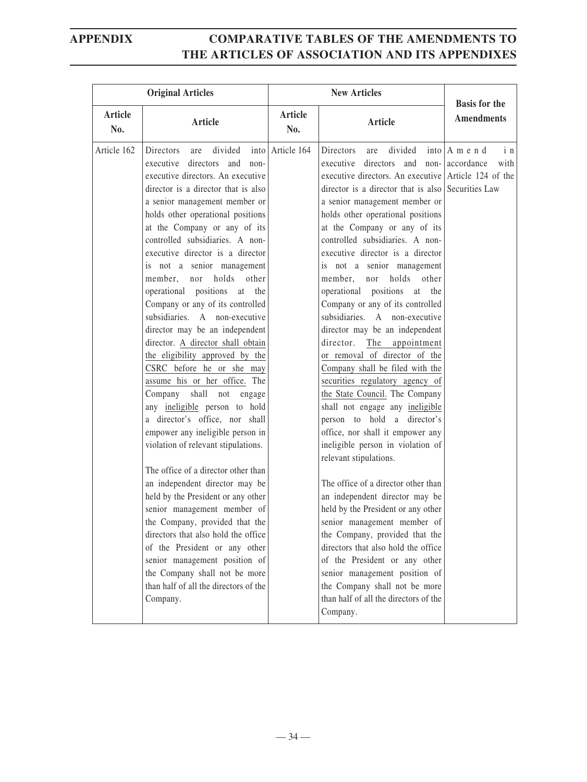| <b>Original Articles</b> |                                                                                                                                                                                                                                                                                                                                                                                                                                                                                                                                                                                                                                                                                                                                                                                                                                                                                                                                                                                                                                                                                                                                                                                                                                | <b>New Articles</b>   |                                                                                                                                                                                                                                                                                                                                                                                                                                                                                                                                                                                                                                                                                                                                                                                                                                                                                                                                                                                                                                                                                                                                                                                                                                                                                                 | <b>Basis for the</b>                         |
|--------------------------|--------------------------------------------------------------------------------------------------------------------------------------------------------------------------------------------------------------------------------------------------------------------------------------------------------------------------------------------------------------------------------------------------------------------------------------------------------------------------------------------------------------------------------------------------------------------------------------------------------------------------------------------------------------------------------------------------------------------------------------------------------------------------------------------------------------------------------------------------------------------------------------------------------------------------------------------------------------------------------------------------------------------------------------------------------------------------------------------------------------------------------------------------------------------------------------------------------------------------------|-----------------------|-------------------------------------------------------------------------------------------------------------------------------------------------------------------------------------------------------------------------------------------------------------------------------------------------------------------------------------------------------------------------------------------------------------------------------------------------------------------------------------------------------------------------------------------------------------------------------------------------------------------------------------------------------------------------------------------------------------------------------------------------------------------------------------------------------------------------------------------------------------------------------------------------------------------------------------------------------------------------------------------------------------------------------------------------------------------------------------------------------------------------------------------------------------------------------------------------------------------------------------------------------------------------------------------------|----------------------------------------------|
| Article<br>No.           | Article                                                                                                                                                                                                                                                                                                                                                                                                                                                                                                                                                                                                                                                                                                                                                                                                                                                                                                                                                                                                                                                                                                                                                                                                                        | <b>Article</b><br>No. | <b>Article</b>                                                                                                                                                                                                                                                                                                                                                                                                                                                                                                                                                                                                                                                                                                                                                                                                                                                                                                                                                                                                                                                                                                                                                                                                                                                                                  | <b>Amendments</b>                            |
| Article 162              | divided<br>Directors<br>are<br>executive directors and<br>$non-$<br>executive directors. An executive<br>director is a director that is also<br>a senior management member or<br>holds other operational positions<br>at the Company or any of its<br>controlled subsidiaries. A non-<br>executive director is a director<br>is not a senior management<br>holds other<br>member, nor<br>operational positions<br>at the<br>Company or any of its controlled<br>subsidiaries. A non-executive<br>director may be an independent<br>director. A director shall obtain<br>the eligibility approved by the<br>CSRC before he or she may<br>assume his or her office. The<br>Company shall not engage<br>any ineligible person to hold<br>a director's office, nor shall<br>empower any ineligible person in<br>violation of relevant stipulations.<br>The office of a director other than<br>an independent director may be<br>held by the President or any other<br>senior management member of<br>the Company, provided that the<br>directors that also hold the office<br>of the President or any other<br>senior management position of<br>the Company shall not be more<br>than half of all the directors of the<br>Company. | into Article 164      | divided<br>Directors<br>are<br>executive directors and<br>non-<br>executive directors. An executive Article 124 of the<br>director is a director that is also Securities Law<br>a senior management member or<br>holds other operational positions<br>at the Company or any of its<br>controlled subsidiaries. A non-<br>executive director is a director<br>is not a senior management<br>holds<br>other<br>member,<br>nor<br>operational positions at the<br>Company or any of its controlled<br>subsidiaries. A non-executive<br>director may be an independent<br>director.<br>The appointment<br>or removal of director of the<br>Company shall be filed with the<br>securities regulatory agency of<br>the State Council. The Company<br>shall not engage any ineligible<br>person to hold a director's<br>office, nor shall it empower any<br>ineligible person in violation of<br>relevant stipulations.<br>The office of a director other than<br>an independent director may be<br>held by the President or any other<br>senior management member of<br>the Company, provided that the<br>directors that also hold the office<br>of the President or any other<br>senior management position of<br>the Company shall not be more<br>than half of all the directors of the<br>Company. | $into/A$ m e n d<br>in<br>accordance<br>with |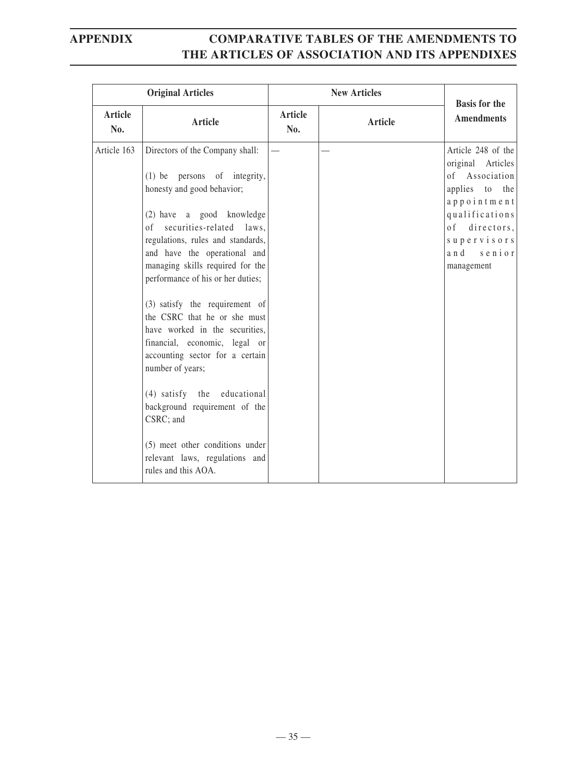|                       | <b>Original Articles</b>                                                                                                                                                                                                                                                                                                                                                                                                                                                                                                                                                                                                                                                     | <b>New Articles</b> |         | <b>Basis for the</b>                                                                                                                                                                          |
|-----------------------|------------------------------------------------------------------------------------------------------------------------------------------------------------------------------------------------------------------------------------------------------------------------------------------------------------------------------------------------------------------------------------------------------------------------------------------------------------------------------------------------------------------------------------------------------------------------------------------------------------------------------------------------------------------------------|---------------------|---------|-----------------------------------------------------------------------------------------------------------------------------------------------------------------------------------------------|
| <b>Article</b><br>No. | Article                                                                                                                                                                                                                                                                                                                                                                                                                                                                                                                                                                                                                                                                      | Article<br>No.      | Article | <b>Amendments</b>                                                                                                                                                                             |
| Article 163           | Directors of the Company shall:<br>(1) be persons of integrity,<br>honesty and good behavior;<br>(2) have a good knowledge<br>of securities-related laws,<br>regulations, rules and standards,<br>and have the operational and<br>managing skills required for the<br>performance of his or her duties;<br>(3) satisfy the requirement of<br>the CSRC that he or she must<br>have worked in the securities,<br>financial, economic, legal or<br>accounting sector for a certain<br>number of years;<br>(4) satisfy the educational<br>background requirement of the<br>CSRC; and<br>(5) meet other conditions under<br>relevant laws, regulations and<br>rules and this AOA. |                     |         | Article 248 of the<br>original Articles<br>of Association<br>applies to the<br>appointment<br>qualifications<br>0 <sup>f</sup><br>directors,<br>supervisors<br>and<br>$s$ enior<br>management |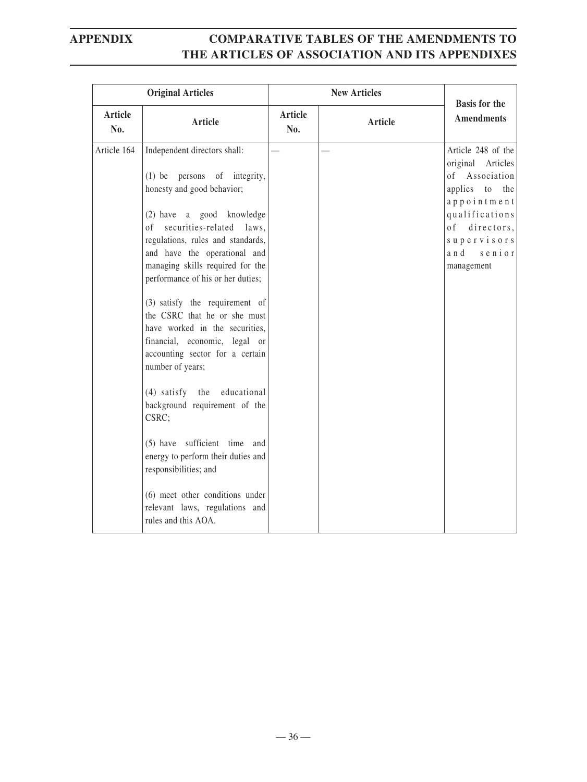|                | <b>Original Articles</b>                                                                                                                                                                                                                                                                                                                                                                                                                                                                                                                                                                                                                                                                                                                                                | <b>New Articles</b>   |         | <b>Basis for the</b>                                                                                                                                                                |
|----------------|-------------------------------------------------------------------------------------------------------------------------------------------------------------------------------------------------------------------------------------------------------------------------------------------------------------------------------------------------------------------------------------------------------------------------------------------------------------------------------------------------------------------------------------------------------------------------------------------------------------------------------------------------------------------------------------------------------------------------------------------------------------------------|-----------------------|---------|-------------------------------------------------------------------------------------------------------------------------------------------------------------------------------------|
| Article<br>No. | <b>Article</b>                                                                                                                                                                                                                                                                                                                                                                                                                                                                                                                                                                                                                                                                                                                                                          | <b>Article</b><br>No. | Article | <b>Amendments</b>                                                                                                                                                                   |
| Article 164    | Independent directors shall:<br>(1) be persons of integrity,<br>honesty and good behavior;<br>(2) have a good knowledge<br>securities-related laws,<br>οf<br>regulations, rules and standards,<br>and have the operational and<br>managing skills required for the<br>performance of his or her duties;<br>(3) satisfy the requirement of<br>the CSRC that he or she must<br>have worked in the securities,<br>financial, economic, legal or<br>accounting sector for a certain<br>number of years;<br>(4) satisfy the educational<br>background requirement of the<br>CSRC;<br>(5) have sufficient time and<br>energy to perform their duties and<br>responsibilities; and<br>(6) meet other conditions under<br>relevant laws, regulations and<br>rules and this AOA. |                       |         | Article 248 of the<br>original Articles<br>Association<br>of<br>applies to the<br>appointment<br>qualifications<br>0f<br>directors,<br>supervisors<br>a n d<br>senior<br>management |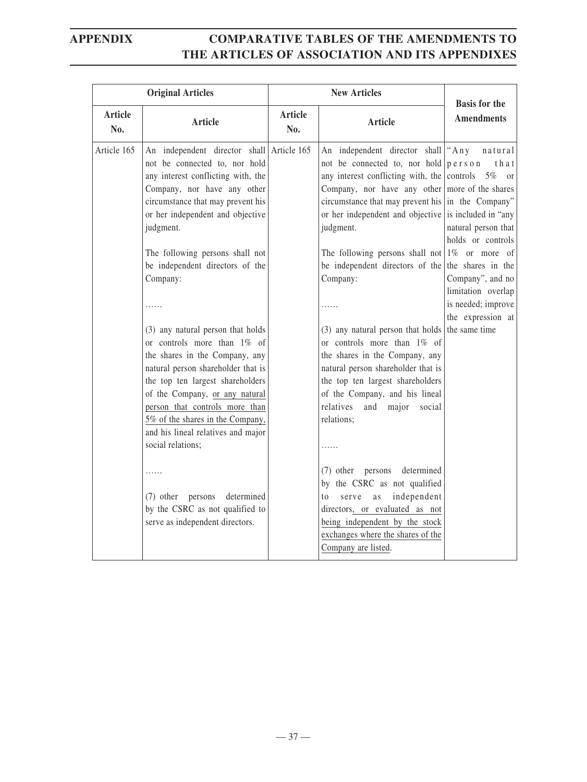| <b>Original Articles</b> |                                                                                                                                                                                                                                                                                                                                                                                                                                                                                                                                                                                                                                                                                                                                                                                          |                       | <b>New Articles</b>                                                                                                                                                                                                                                                                                                                                                                                                                                                                                                                                                                                                                                                                                                                                                                                                                                                                                                                                 | <b>Basis for the</b>                                                                                                                                                           |
|--------------------------|------------------------------------------------------------------------------------------------------------------------------------------------------------------------------------------------------------------------------------------------------------------------------------------------------------------------------------------------------------------------------------------------------------------------------------------------------------------------------------------------------------------------------------------------------------------------------------------------------------------------------------------------------------------------------------------------------------------------------------------------------------------------------------------|-----------------------|-----------------------------------------------------------------------------------------------------------------------------------------------------------------------------------------------------------------------------------------------------------------------------------------------------------------------------------------------------------------------------------------------------------------------------------------------------------------------------------------------------------------------------------------------------------------------------------------------------------------------------------------------------------------------------------------------------------------------------------------------------------------------------------------------------------------------------------------------------------------------------------------------------------------------------------------------------|--------------------------------------------------------------------------------------------------------------------------------------------------------------------------------|
| <b>Article</b><br>No.    | <b>Article</b>                                                                                                                                                                                                                                                                                                                                                                                                                                                                                                                                                                                                                                                                                                                                                                           | <b>Article</b><br>No. | Article                                                                                                                                                                                                                                                                                                                                                                                                                                                                                                                                                                                                                                                                                                                                                                                                                                                                                                                                             | <b>Amendments</b>                                                                                                                                                              |
| Article 165              | An independent director shall Article 165<br>not be connected to, nor hold<br>any interest conflicting with, the<br>Company, nor have any other<br>circumstance that may prevent his<br>or her independent and objective<br>judgment.<br>The following persons shall not<br>be independent directors of the<br>Company:<br>(3) any natural person that holds<br>or controls more than 1% of<br>the shares in the Company, any<br>natural person shareholder that is<br>the top ten largest shareholders<br>of the Company, or any natural<br>person that controls more than<br>5% of the shares in the Company,<br>and his lineal relatives and major<br>social relations;<br>.<br>(7) other persons<br>determined<br>by the CSRC as not qualified to<br>serve as independent directors. |                       | An independent director shall<br>not be connected to, nor hold<br>any interest conflicting with, the controls<br>Company, nor have any other more of the shares<br>circumstance that may prevent his $\vert$ in the Company"<br>or her independent and objective is included in "any<br>judgment.<br>The following persons shall not $ 1\%$ or more of<br>be independent directors of the the shares in the<br>Company:<br>(3) any natural person that holds the same time<br>or controls more than 1% of<br>the shares in the Company, any<br>natural person shareholder that is<br>the top ten largest shareholders<br>of the Company, and his lineal<br>relatives<br>and<br>major<br>social<br>relations;<br>determined<br>(7) other persons<br>by the CSRC as not qualified<br>independent<br>to<br>serve<br>as<br>directors, or evaluated as not<br>being independent by the stock<br>exchanges where the shares of the<br>Company are listed. | "Any<br>natural<br>that<br>person<br>$5\%$ or<br>natural person that<br>holds or controls<br>Company", and no<br>limitation overlap<br>is needed; improve<br>the expression at |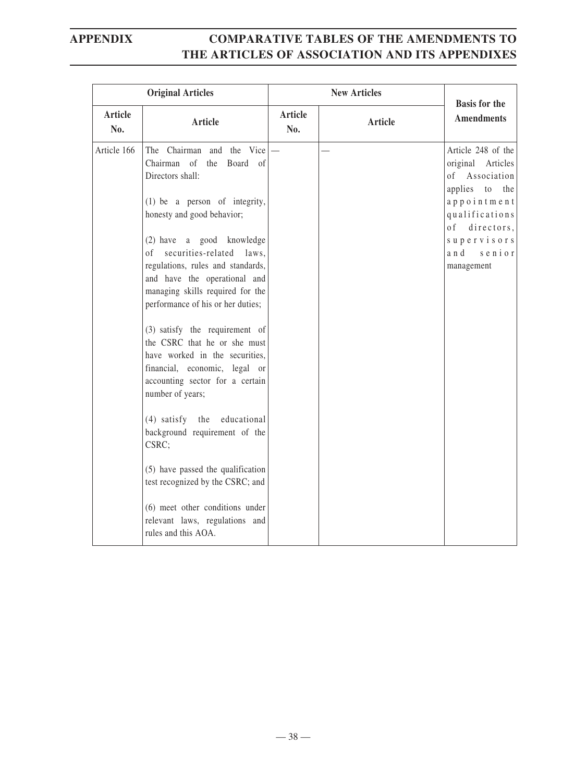|                       | <b>Original Articles</b>                                                                                                                                                                                                                                                                                                                                                                                                                                                                                                                                                                                                                                                                                                                                                                                               | <b>New Articles</b>   |         | <b>Basis for the</b>                                                                                                                                                                  |
|-----------------------|------------------------------------------------------------------------------------------------------------------------------------------------------------------------------------------------------------------------------------------------------------------------------------------------------------------------------------------------------------------------------------------------------------------------------------------------------------------------------------------------------------------------------------------------------------------------------------------------------------------------------------------------------------------------------------------------------------------------------------------------------------------------------------------------------------------------|-----------------------|---------|---------------------------------------------------------------------------------------------------------------------------------------------------------------------------------------|
| <b>Article</b><br>No. | Article                                                                                                                                                                                                                                                                                                                                                                                                                                                                                                                                                                                                                                                                                                                                                                                                                | <b>Article</b><br>No. | Article | <b>Amendments</b>                                                                                                                                                                     |
| Article 166           | The Chairman and the Vice<br>Chairman of<br>the<br>Board of<br>Directors shall:<br>$(1)$ be a person of integrity,<br>honesty and good behavior;<br>(2) have a good knowledge<br>securities-related laws,<br>$\circ$ f<br>regulations, rules and standards,<br>and have the operational and<br>managing skills required for the<br>performance of his or her duties;<br>(3) satisfy the requirement of<br>the CSRC that he or she must<br>have worked in the securities,<br>financial, economic, legal or<br>accounting sector for a certain<br>number of years;<br>$(4)$ satisfy<br>the<br>educational<br>background requirement of the<br>CSRC;<br>(5) have passed the qualification<br>test recognized by the CSRC; and<br>(6) meet other conditions under<br>relevant laws, regulations and<br>rules and this AOA. |                       |         | Article 248 of the<br>original Articles<br>of Association<br>applies<br>to<br>the<br>appointment<br>qualifications<br>o f<br>directors,<br>supervisors<br>and<br>senior<br>management |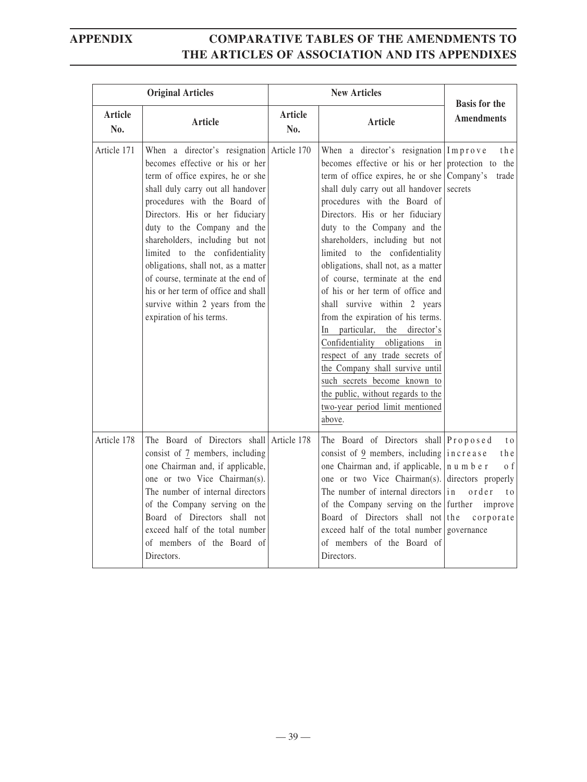|                       | <b>Original Articles</b>                                                                                                                                                                                                                                                                                                                                                                                                                                                                                         |                       | <b>New Articles</b>                                                                                                                                                                                                                                                                                                                                                                                                                                                                                                                                                                                                                                                                                                                                                                                                                     | <b>Basis for the</b>                                                                         |
|-----------------------|------------------------------------------------------------------------------------------------------------------------------------------------------------------------------------------------------------------------------------------------------------------------------------------------------------------------------------------------------------------------------------------------------------------------------------------------------------------------------------------------------------------|-----------------------|-----------------------------------------------------------------------------------------------------------------------------------------------------------------------------------------------------------------------------------------------------------------------------------------------------------------------------------------------------------------------------------------------------------------------------------------------------------------------------------------------------------------------------------------------------------------------------------------------------------------------------------------------------------------------------------------------------------------------------------------------------------------------------------------------------------------------------------------|----------------------------------------------------------------------------------------------|
| <b>Article</b><br>No. | Article                                                                                                                                                                                                                                                                                                                                                                                                                                                                                                          | <b>Article</b><br>No. | Article                                                                                                                                                                                                                                                                                                                                                                                                                                                                                                                                                                                                                                                                                                                                                                                                                                 | <b>Amendments</b>                                                                            |
| Article 171           | When a director's resignation Article 170<br>becomes effective or his or her<br>term of office expires, he or she<br>shall duly carry out all handover<br>procedures with the Board of<br>Directors. His or her fiduciary<br>duty to the Company and the<br>shareholders, including but not<br>limited to the confidentiality<br>obligations, shall not, as a matter<br>of course, terminate at the end of<br>his or her term of office and shall<br>survive within 2 years from the<br>expiration of his terms. |                       | When a director's resignation $ Imp $ rove<br>becomes effective or his or her protection to the<br>term of office expires, he or she $\lfloor$ Company's<br>shall duly carry out all handover secrets<br>procedures with the Board of<br>Directors. His or her fiduciary<br>duty to the Company and the<br>shareholders, including but not<br>limited to the confidentiality<br>obligations, shall not, as a matter<br>of course, terminate at the end<br>of his or her term of office and<br>shall survive within 2 years<br>from the expiration of his terms.<br>particular,<br>the<br>director's<br>In<br>Confidentiality obligations<br>in<br>respect of any trade secrets of<br>the Company shall survive until<br>such secrets become known to<br>the public, without regards to the<br>two-year period limit mentioned<br>above. | the<br>trade                                                                                 |
| Article 178           | The Board of Directors shall<br>consist of 7 members, including<br>one Chairman and, if applicable,<br>one or two Vice Chairman(s).<br>The number of internal directors<br>of the Company serving on the<br>Board of Directors shall not<br>exceed half of the total number<br>of members of the Board of<br>Directors.                                                                                                                                                                                          | Article 178           | The Board of Directors shall Proposed<br>consist of 9 members, including $\vert$ in c r e a s e<br>one Chairman and, if applicable, n u m b e r<br>one or two Vice Chairman(s).<br>The number of internal directors $\vert$ in<br>of the Company serving on the further<br>Board of Directors shall not the<br>exceed half of the total number governance<br>of members of the Board of<br>Directors.                                                                                                                                                                                                                                                                                                                                                                                                                                   | t o<br>t h e<br>0 f<br>directors properly<br>order<br>t <sub>0</sub><br>improve<br>corporate |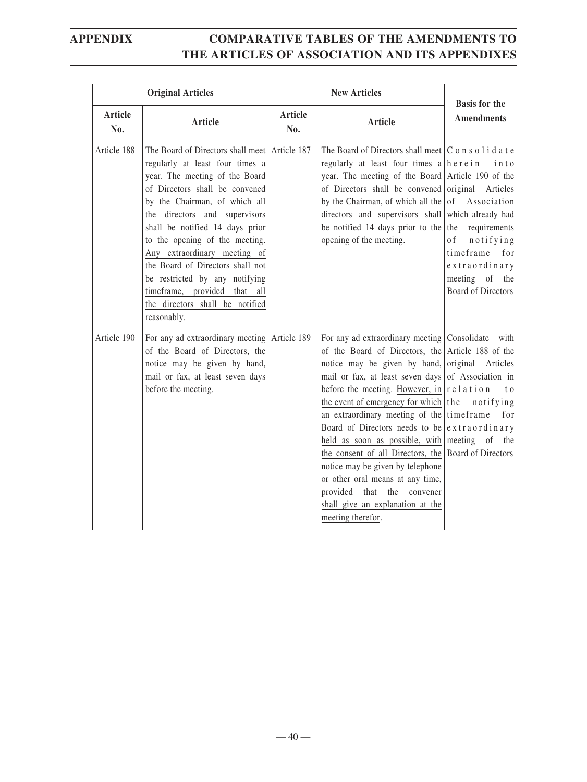|                | <b>New Articles</b><br><b>Original Articles</b>                                                                                                                                                                                                                                                                                                                                                                                                                                     |                       | <b>Basis for the</b>                                                                                                                                                                                                                                                                                                                                                                                                                                                                                                                                                                                                                                                                                        |                                                                                                                                     |
|----------------|-------------------------------------------------------------------------------------------------------------------------------------------------------------------------------------------------------------------------------------------------------------------------------------------------------------------------------------------------------------------------------------------------------------------------------------------------------------------------------------|-----------------------|-------------------------------------------------------------------------------------------------------------------------------------------------------------------------------------------------------------------------------------------------------------------------------------------------------------------------------------------------------------------------------------------------------------------------------------------------------------------------------------------------------------------------------------------------------------------------------------------------------------------------------------------------------------------------------------------------------------|-------------------------------------------------------------------------------------------------------------------------------------|
| Article<br>No. | Article                                                                                                                                                                                                                                                                                                                                                                                                                                                                             | <b>Article</b><br>No. | <b>Article</b>                                                                                                                                                                                                                                                                                                                                                                                                                                                                                                                                                                                                                                                                                              | <b>Amendments</b>                                                                                                                   |
| Article 188    | The Board of Directors shall meet Article 187<br>regularly at least four times a<br>year. The meeting of the Board<br>of Directors shall be convened<br>by the Chairman, of which all<br>the directors and supervisors<br>shall be notified 14 days prior<br>to the opening of the meeting.<br>Any extraordinary meeting of<br>the Board of Directors shall not<br>be restricted by any notifying<br>timeframe, provided that all<br>the directors shall be notified<br>reasonably. |                       | The Board of Directors shall meet $ C \circ n s \circ l i d a t e$<br>regularly at least four times $a \mid h \in r \in i \in n$<br>year. The meeting of the Board Article 190 of the<br>of Directors shall be convened original Articles<br>by the Chairman, of which all the $\sigma$ Association<br>directors and supervisors shall which already had<br>be notified 14 days prior to the<br>opening of the meeting.                                                                                                                                                                                                                                                                                     | into<br>requirements<br>the<br>notifying<br>0 f<br>timeframe<br>for<br>extraordinary<br>meeting of the<br><b>Board of Directors</b> |
| Article 190    | For any ad extraordinary meeting Article 189<br>of the Board of Directors, the<br>notice may be given by hand,<br>mail or fax, at least seven days<br>before the meeting.                                                                                                                                                                                                                                                                                                           |                       | For any ad extraordinary meeting Consolidate with<br>of the Board of Directors, the Article 188 of the<br>notice may be given by hand, original Articles<br>mail or fax, at least seven days of Association in<br>before the meeting. However, in $\vert$ r e l a t i o n<br>the event of emergency for which   the<br>an extraordinary meeting of the time frame<br>Board of Directors needs to be $\left $ extraordinary<br>held as soon as possible, with meeting of the<br>the consent of all Directors, the Board of Directors<br>notice may be given by telephone<br>or other oral means at any time,<br>provided<br>that<br>the<br>convener<br>shall give an explanation at the<br>meeting therefor. | t o<br>notifying<br>for                                                                                                             |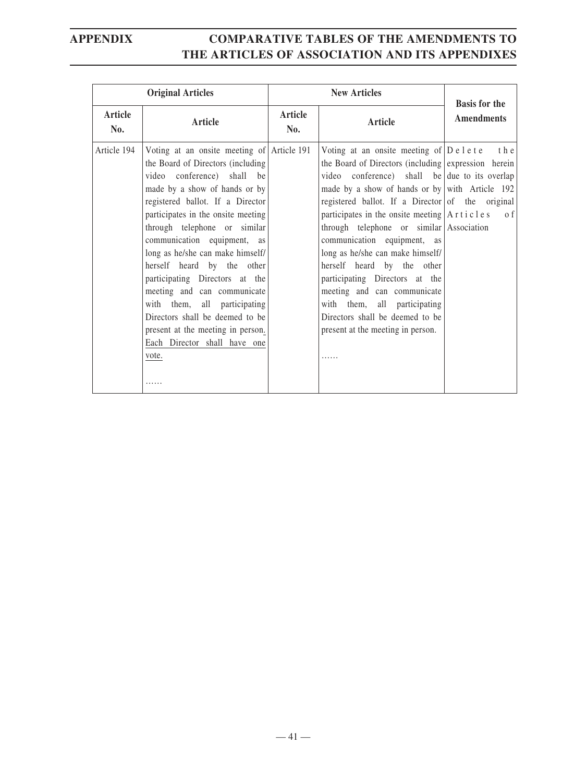| <b>Original Articles</b> |                                                                                                                                                                                                                                                                                                                                                                                                                                                                                                                                                                                  |                | <b>New Articles</b>                                                                                                                                                                                                                                                                                                                                                                                                                                                                                                                                                                                                                        | <b>Basis for the</b> |
|--------------------------|----------------------------------------------------------------------------------------------------------------------------------------------------------------------------------------------------------------------------------------------------------------------------------------------------------------------------------------------------------------------------------------------------------------------------------------------------------------------------------------------------------------------------------------------------------------------------------|----------------|--------------------------------------------------------------------------------------------------------------------------------------------------------------------------------------------------------------------------------------------------------------------------------------------------------------------------------------------------------------------------------------------------------------------------------------------------------------------------------------------------------------------------------------------------------------------------------------------------------------------------------------------|----------------------|
| Article<br>No.           | Article                                                                                                                                                                                                                                                                                                                                                                                                                                                                                                                                                                          | Article<br>No. | Article                                                                                                                                                                                                                                                                                                                                                                                                                                                                                                                                                                                                                                    | <b>Amendments</b>    |
| Article 194              | Voting at an onsite meeting of Article 191<br>the Board of Directors (including<br>video conference) shall be<br>made by a show of hands or by<br>registered ballot. If a Director<br>participates in the onsite meeting<br>through telephone or similar<br>communication equipment, as<br>long as he/she can make himself/<br>herself heard by the other<br>participating Directors at the<br>meeting and can communicate<br>with them, all participating<br>Directors shall be deemed to be<br>present at the meeting in person.<br>Each Director shall have one<br>vote.<br>. |                | Voting at an onsite meeting of $D$ e l e t e<br>the Board of Directors (including expression herein<br>video conference) shall be due to its overlap<br>made by a show of hands or by with Article 192<br>registered ballot. If a Director of the original<br>participates in the onsite meeting $A \r{r}$ i c l e s<br>through telephone or similar Association<br>communication equipment, as<br>long as he/she can make himself/<br>herself heard by the other<br>participating Directors at the<br>meeting and can communicate<br>with them, all participating<br>Directors shall be deemed to be<br>present at the meeting in person. | the<br>0 f           |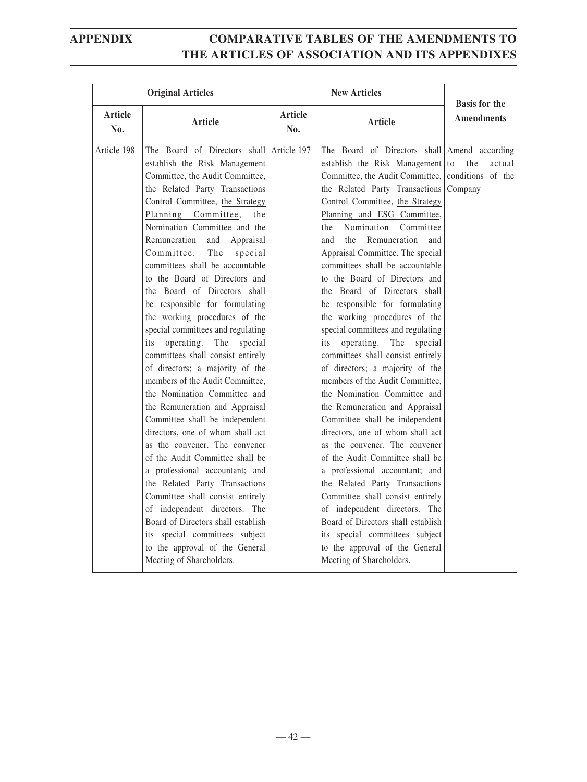|                       | <b>Original Articles</b>                                                                                                                                                                                                                                                                                                                                                                                                                                                                                                                                                                                                                                                                                                                                                                                                                                                                                                                                                                                                                                                                                                                                                     | <b>New Articles</b>   |                                                                                                                                                                                                                                                                                                                                                                                                                                                                                                                                                                                                                                                                                                                                                                                                                                                                                                                                                                                                                                                                                                                                                                                             | <b>Basis for the</b>                          |
|-----------------------|------------------------------------------------------------------------------------------------------------------------------------------------------------------------------------------------------------------------------------------------------------------------------------------------------------------------------------------------------------------------------------------------------------------------------------------------------------------------------------------------------------------------------------------------------------------------------------------------------------------------------------------------------------------------------------------------------------------------------------------------------------------------------------------------------------------------------------------------------------------------------------------------------------------------------------------------------------------------------------------------------------------------------------------------------------------------------------------------------------------------------------------------------------------------------|-----------------------|---------------------------------------------------------------------------------------------------------------------------------------------------------------------------------------------------------------------------------------------------------------------------------------------------------------------------------------------------------------------------------------------------------------------------------------------------------------------------------------------------------------------------------------------------------------------------------------------------------------------------------------------------------------------------------------------------------------------------------------------------------------------------------------------------------------------------------------------------------------------------------------------------------------------------------------------------------------------------------------------------------------------------------------------------------------------------------------------------------------------------------------------------------------------------------------------|-----------------------------------------------|
| <b>Article</b><br>No. | Article                                                                                                                                                                                                                                                                                                                                                                                                                                                                                                                                                                                                                                                                                                                                                                                                                                                                                                                                                                                                                                                                                                                                                                      | <b>Article</b><br>No. | <b>Article</b>                                                                                                                                                                                                                                                                                                                                                                                                                                                                                                                                                                                                                                                                                                                                                                                                                                                                                                                                                                                                                                                                                                                                                                              | <b>Amendments</b>                             |
| Article 198           | The Board of Directors shall Article 197<br>establish the Risk Management<br>Committee, the Audit Committee,<br>the Related Party Transactions<br>Control Committee, the Strategy<br>Planning Committee,<br>the<br>Nomination Committee and the<br>Remuneration<br>and<br>Appraisal<br>Committee.<br>The<br>special<br>committees shall be accountable<br>to the Board of Directors and<br>the Board of Directors shall<br>be responsible for formulating<br>the working procedures of the<br>special committees and regulating<br>The<br>operating.<br>special<br>its<br>committees shall consist entirely<br>of directors; a majority of the<br>members of the Audit Committee,<br>the Nomination Committee and<br>the Remuneration and Appraisal<br>Committee shall be independent<br>directors, one of whom shall act<br>as the convener. The convener<br>of the Audit Committee shall be<br>a professional accountant; and<br>the Related Party Transactions<br>Committee shall consist entirely<br>of independent directors. The<br>Board of Directors shall establish<br>its special committees subject<br>to the approval of the General<br>Meeting of Shareholders. |                       | The Board of Directors shall Amend according<br>establish the Risk Management to<br>Committee, the Audit Committee,<br>the Related Party Transactions<br>Control Committee, the Strategy<br>Planning and ESG Committee,<br>Nomination<br>Committee<br>the<br>Remuneration<br>and<br>the<br>and<br>Appraisal Committee. The special<br>committees shall be accountable<br>to the Board of Directors and<br>the Board of Directors shall<br>be responsible for formulating<br>the working procedures of the<br>special committees and regulating<br>The<br>operating.<br>special<br>its<br>committees shall consist entirely<br>of directors; a majority of the<br>members of the Audit Committee,<br>the Nomination Committee and<br>the Remuneration and Appraisal<br>Committee shall be independent<br>directors, one of whom shall act<br>as the convener. The convener<br>of the Audit Committee shall be<br>a professional accountant; and<br>the Related Party Transactions<br>Committee shall consist entirely<br>of independent directors. The<br>Board of Directors shall establish<br>its special committees subject<br>to the approval of the General<br>Meeting of Shareholders. | the<br>actual<br>conditions of the<br>Company |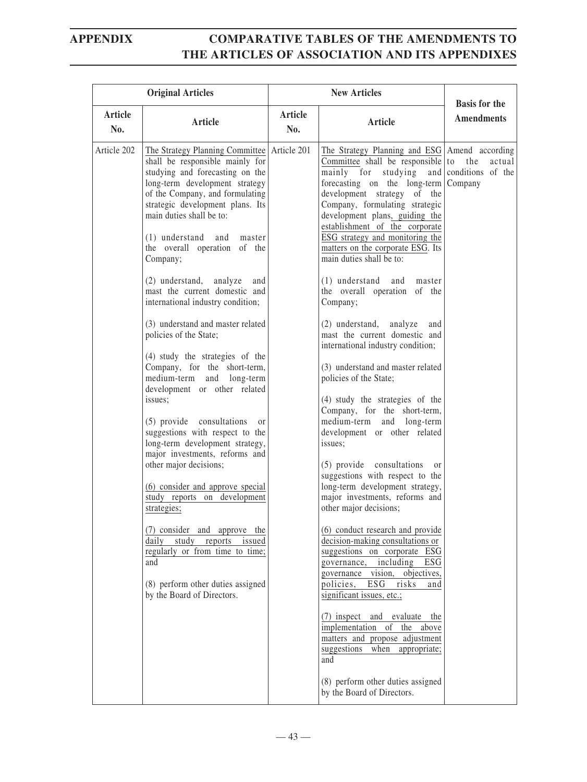| <b>Original Articles</b> |                                                                                                                                                                                                                                                                                                                                                                                                                                                                                                                                                                                                                                                                                                                                                                                                                                                                                                                                                                                                                                                                                                                    |                | <b>New Articles</b>                                                                                                                                                                                                                                                                                                                                                                                                                                                                                                                                                                                                                                                                                                                                                                                                                                                                                                                                                                                                                                                                                                                                                                                                                                                                                                                                                                                                                                              |                                           |
|--------------------------|--------------------------------------------------------------------------------------------------------------------------------------------------------------------------------------------------------------------------------------------------------------------------------------------------------------------------------------------------------------------------------------------------------------------------------------------------------------------------------------------------------------------------------------------------------------------------------------------------------------------------------------------------------------------------------------------------------------------------------------------------------------------------------------------------------------------------------------------------------------------------------------------------------------------------------------------------------------------------------------------------------------------------------------------------------------------------------------------------------------------|----------------|------------------------------------------------------------------------------------------------------------------------------------------------------------------------------------------------------------------------------------------------------------------------------------------------------------------------------------------------------------------------------------------------------------------------------------------------------------------------------------------------------------------------------------------------------------------------------------------------------------------------------------------------------------------------------------------------------------------------------------------------------------------------------------------------------------------------------------------------------------------------------------------------------------------------------------------------------------------------------------------------------------------------------------------------------------------------------------------------------------------------------------------------------------------------------------------------------------------------------------------------------------------------------------------------------------------------------------------------------------------------------------------------------------------------------------------------------------------|-------------------------------------------|
| Article<br>No.           | <b>Article</b>                                                                                                                                                                                                                                                                                                                                                                                                                                                                                                                                                                                                                                                                                                                                                                                                                                                                                                                                                                                                                                                                                                     | Article<br>No. | Article                                                                                                                                                                                                                                                                                                                                                                                                                                                                                                                                                                                                                                                                                                                                                                                                                                                                                                                                                                                                                                                                                                                                                                                                                                                                                                                                                                                                                                                          | <b>Basis for the</b><br><b>Amendments</b> |
| Article 202              | The Strategy Planning Committee   Article 201<br>shall be responsible mainly for<br>studying and forecasting on the<br>long-term development strategy<br>of the Company, and formulating<br>strategic development plans. Its<br>main duties shall be to:<br>$(1)$ understand<br>and<br>master<br>the overall operation of the<br>Company;<br>(2) understand,<br>analyze<br>and<br>mast the current domestic and<br>international industry condition;<br>(3) understand and master related<br>policies of the State;<br>(4) study the strategies of the<br>Company, for the short-term,<br>long-term<br>medium-term<br>and<br>development or other related<br>issues;<br>(5) provide consultations<br><sub>or</sub><br>suggestions with respect to the<br>long-term development strategy,<br>major investments, reforms and<br>other major decisions;<br>(6) consider and approve special<br>study reports on development<br>strategies;<br>(7) consider and approve the<br>daily study reports issued<br>regularly or from time to time;<br>and<br>(8) perform other duties assigned<br>by the Board of Directors. |                | The Strategy Planning and ESG   Amend according<br>Committee shall be responsible to the<br>mainly for studying and conditions of the<br>forecasting on the long-term Company<br>development strategy of the<br>Company, formulating strategic<br>development plans, guiding the<br>establishment of the corporate<br>ESG strategy and monitoring the<br>matters on the corporate ESG. Its<br>main duties shall be to:<br>$(1)$ understand<br>and master<br>the overall operation of the<br>Company;<br>(2) understand, analyze<br>and<br>mast the current domestic and<br>international industry condition;<br>(3) understand and master related<br>policies of the State;<br>(4) study the strategies of the<br>Company, for the short-term,<br>medium-term and long-term<br>development or other related<br>issues;<br>(5) provide consultations<br><sub>or</sub><br>suggestions with respect to the<br>long-term development strategy,<br>major investments, reforms and<br>other major decisions;<br>(6) conduct research and provide<br>decision-making consultations or<br>suggestions on corporate ESG<br>including ESG<br>governance,<br>governance vision, objectives,<br>policies,<br>ESG<br>risks<br>and<br>significant issues, etc.;<br>(7) inspect and evaluate the<br>implementation of the above<br>matters and propose adjustment<br>suggestions<br>when appropriate;<br>and<br>(8) perform other duties assigned<br>by the Board of Directors. | actual                                    |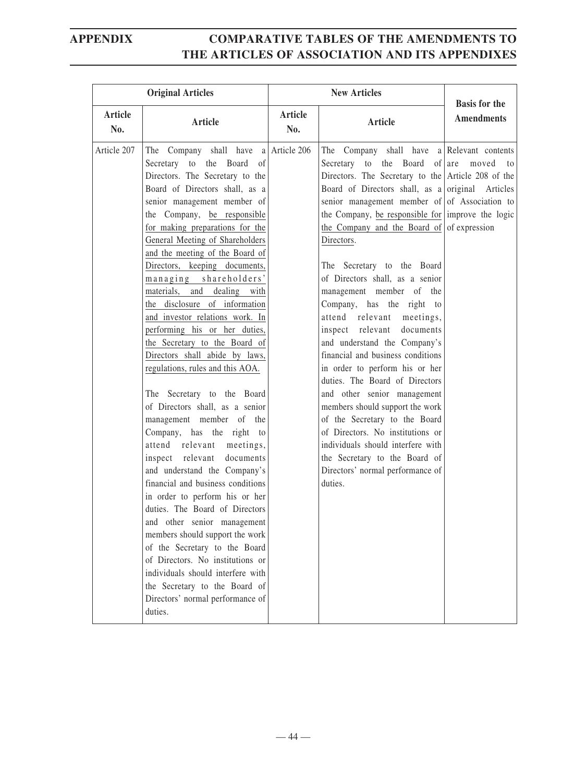|                | <b>Original Articles</b>                                                                                                                                                                                                                                                                                                                                                                                                                                                                                                                                                                                                                                                                                                                                                                                                                                                                                                                                                                                                                                                                                                                                                                                            | <b>New Articles</b>   |                                                                                                                                                                                                                                                                                                                                                                                                                                                                                                                                                                                                                                                                                                                                                                                                                                                                                                                                                             | <b>Basis for the</b> |
|----------------|---------------------------------------------------------------------------------------------------------------------------------------------------------------------------------------------------------------------------------------------------------------------------------------------------------------------------------------------------------------------------------------------------------------------------------------------------------------------------------------------------------------------------------------------------------------------------------------------------------------------------------------------------------------------------------------------------------------------------------------------------------------------------------------------------------------------------------------------------------------------------------------------------------------------------------------------------------------------------------------------------------------------------------------------------------------------------------------------------------------------------------------------------------------------------------------------------------------------|-----------------------|-------------------------------------------------------------------------------------------------------------------------------------------------------------------------------------------------------------------------------------------------------------------------------------------------------------------------------------------------------------------------------------------------------------------------------------------------------------------------------------------------------------------------------------------------------------------------------------------------------------------------------------------------------------------------------------------------------------------------------------------------------------------------------------------------------------------------------------------------------------------------------------------------------------------------------------------------------------|----------------------|
| Article<br>No. | Article                                                                                                                                                                                                                                                                                                                                                                                                                                                                                                                                                                                                                                                                                                                                                                                                                                                                                                                                                                                                                                                                                                                                                                                                             | <b>Article</b><br>No. | Article                                                                                                                                                                                                                                                                                                                                                                                                                                                                                                                                                                                                                                                                                                                                                                                                                                                                                                                                                     | <b>Amendments</b>    |
| Article 207    | The Company shall have a Article 206<br>Secretary to the Board of<br>Directors. The Secretary to the<br>Board of Directors shall, as a<br>senior management member of<br>the Company, be responsible<br>for making preparations for the<br>General Meeting of Shareholders<br>and the meeting of the Board of<br>Directors, keeping documents,<br>managing shareholders'<br>materials, and dealing with<br>the disclosure of information<br>and investor relations work. In<br>performing his or her duties,<br>the Secretary to the Board of<br>Directors shall abide by laws,<br>regulations, rules and this AOA.<br>The Secretary to the Board<br>of Directors shall, as a senior<br>management member of the<br>Company, has the right to<br>attend relevant<br>meetings,<br>inspect relevant<br>documents<br>and understand the Company's<br>financial and business conditions<br>in order to perform his or her<br>duties. The Board of Directors<br>and other senior management<br>members should support the work<br>of the Secretary to the Board<br>of Directors. No institutions or<br>individuals should interfere with<br>the Secretary to the Board of<br>Directors' normal performance of<br>duties. |                       | The Company shall have a Relevant contents<br>Secretary to the Board of $ $ are<br>Directors. The Secretary to the Article 208 of the<br>Board of Directors shall, as a original Articles<br>senior management member of of Association to<br>the Company, be responsible for improve the logic<br>the Company and the Board of of expression<br>Directors.<br>The Secretary to the Board<br>of Directors shall, as a senior<br>management member of the<br>Company, has the right to<br>attend relevant<br>meetings,<br>inspect relevant<br>documents<br>and understand the Company's<br>financial and business conditions<br>in order to perform his or her<br>duties. The Board of Directors<br>and other senior management<br>members should support the work<br>of the Secretary to the Board<br>of Directors. No institutions or<br>individuals should interfere with<br>the Secretary to the Board of<br>Directors' normal performance of<br>duties. | moved<br>to          |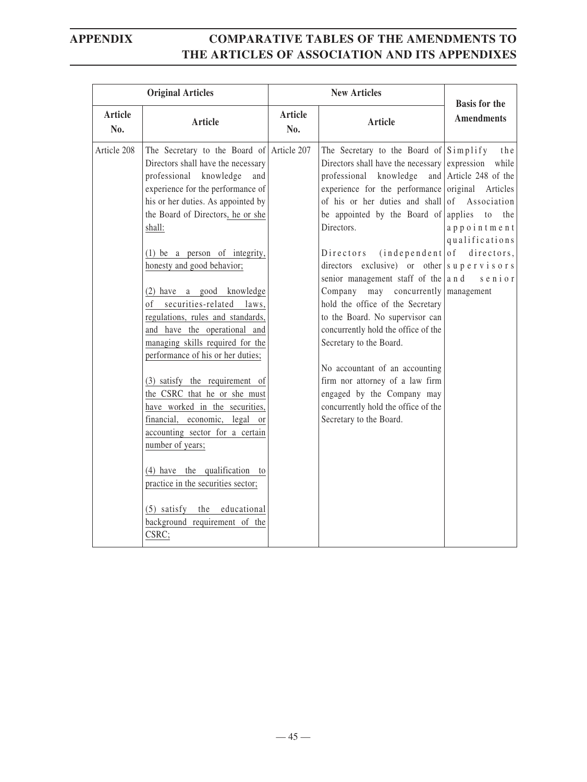|                       | <b>Original Articles</b>                                                                                                                                                                                                                                                                                                                                                                                                                                                                                                                                                                                                                                                                                                                                                                                                                                           |                       | <b>New Articles</b>                                                                                                                                                                                                                                                                                                                                                                                                                                                                                                                                                                                                                                                                                                                                                                                  | <b>Basis for the</b>                                                                                               |
|-----------------------|--------------------------------------------------------------------------------------------------------------------------------------------------------------------------------------------------------------------------------------------------------------------------------------------------------------------------------------------------------------------------------------------------------------------------------------------------------------------------------------------------------------------------------------------------------------------------------------------------------------------------------------------------------------------------------------------------------------------------------------------------------------------------------------------------------------------------------------------------------------------|-----------------------|------------------------------------------------------------------------------------------------------------------------------------------------------------------------------------------------------------------------------------------------------------------------------------------------------------------------------------------------------------------------------------------------------------------------------------------------------------------------------------------------------------------------------------------------------------------------------------------------------------------------------------------------------------------------------------------------------------------------------------------------------------------------------------------------------|--------------------------------------------------------------------------------------------------------------------|
| <b>Article</b><br>No. | Article                                                                                                                                                                                                                                                                                                                                                                                                                                                                                                                                                                                                                                                                                                                                                                                                                                                            | <b>Article</b><br>No. | <b>Article</b>                                                                                                                                                                                                                                                                                                                                                                                                                                                                                                                                                                                                                                                                                                                                                                                       | <b>Amendments</b>                                                                                                  |
| Article 208           | The Secretary to the Board of Article 207<br>Directors shall have the necessary<br>professional knowledge<br>and<br>experience for the performance of<br>his or her duties. As appointed by<br>the Board of Directors, he or she<br>shall:<br>(1) be a person of integrity,<br>honesty and good behavior;<br>(2) have a good knowledge<br>of securities-related laws,<br>regulations, rules and standards,<br>and have the operational and<br>managing skills required for the<br>performance of his or her duties;<br>(3) satisfy the requirement of<br>the CSRC that he or she must<br>have worked in the securities,<br>financial, economic, legal<br>or<br>accounting sector for a certain<br>number of years;<br>(4) have the qualification to<br>practice in the securities sector;<br>(5) satisfy the educational<br>background requirement of the<br>CSRC; |                       | The Secretary to the Board of $Simplify$<br>Directors shall have the necessary expression while<br>professional knowledge<br>experience for the performance original Articles<br>of his or her duties and shall of Association<br>be appointed by the Board of applies<br>Directors.<br>Directors<br>directors exclusive) or other $\vert s \, u \, p \, e \, r \, v \, i \, s \, o \, r \, s$<br>senior management staff of the $ a \, n d$<br>Company<br>may concurrently management<br>hold the office of the Secretary<br>to the Board. No supervisor can<br>concurrently hold the office of the<br>Secretary to the Board.<br>No accountant of an accounting<br>firm nor attorney of a law firm<br>engaged by the Company may<br>concurrently hold the office of the<br>Secretary to the Board. | the<br>and Article 248 of the<br>to the<br>appointment<br>qualifications<br>$(independent of$ directors,<br>senior |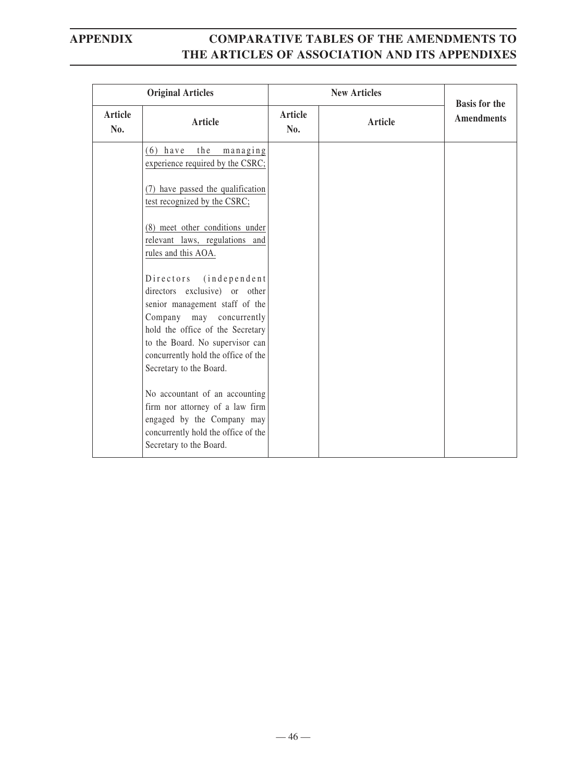| <b>Original Articles</b> |                                                                                                                                                                                                                                                                      |                       | <b>New Articles</b> | <b>Basis for the</b> |
|--------------------------|----------------------------------------------------------------------------------------------------------------------------------------------------------------------------------------------------------------------------------------------------------------------|-----------------------|---------------------|----------------------|
| Article<br>No.           | Article                                                                                                                                                                                                                                                              | <b>Article</b><br>No. | <b>Article</b>      | <b>Amendments</b>    |
|                          | $(6)$ have<br>the<br>managing<br>experience required by the CSRC;                                                                                                                                                                                                    |                       |                     |                      |
|                          | (7) have passed the qualification<br>test recognized by the CSRC;                                                                                                                                                                                                    |                       |                     |                      |
|                          | (8) meet other conditions under<br>relevant laws, regulations and<br>rules and this AOA.                                                                                                                                                                             |                       |                     |                      |
|                          | Directors<br>$(in$ dependent<br>directors exclusive) or other<br>senior management staff of the<br>Company may concurrently<br>hold the office of the Secretary<br>to the Board. No supervisor can<br>concurrently hold the office of the<br>Secretary to the Board. |                       |                     |                      |
|                          | No accountant of an accounting<br>firm nor attorney of a law firm<br>engaged by the Company may<br>concurrently hold the office of the<br>Secretary to the Board.                                                                                                    |                       |                     |                      |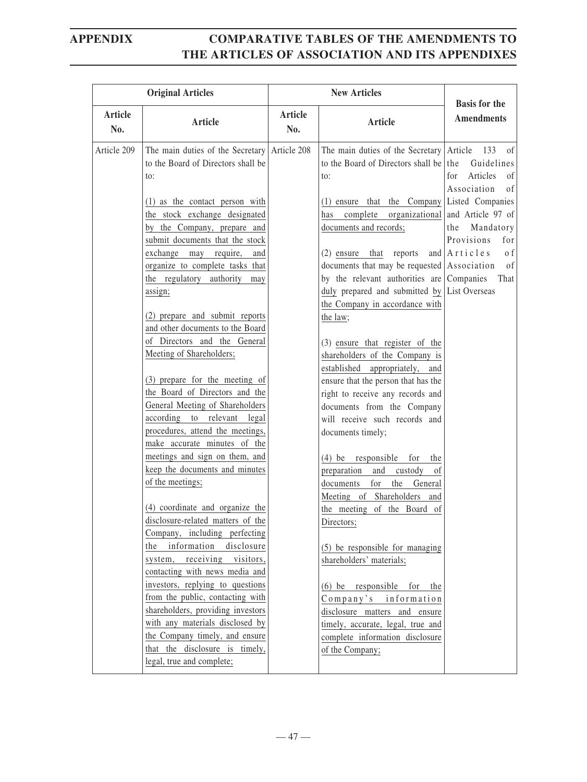| <b>Original Articles</b> |                                                                                                                                                                                                                                                                                                                                                                                                                                                                                                                                                                                                                                                                 |                       |                                                                                                                                                                                                                                                                                                                                                                                                                                                                                                                                                                                                                                                                                              |                                                                                                 |
|--------------------------|-----------------------------------------------------------------------------------------------------------------------------------------------------------------------------------------------------------------------------------------------------------------------------------------------------------------------------------------------------------------------------------------------------------------------------------------------------------------------------------------------------------------------------------------------------------------------------------------------------------------------------------------------------------------|-----------------------|----------------------------------------------------------------------------------------------------------------------------------------------------------------------------------------------------------------------------------------------------------------------------------------------------------------------------------------------------------------------------------------------------------------------------------------------------------------------------------------------------------------------------------------------------------------------------------------------------------------------------------------------------------------------------------------------|-------------------------------------------------------------------------------------------------|
| Article<br>No.           | Article                                                                                                                                                                                                                                                                                                                                                                                                                                                                                                                                                                                                                                                         | <b>Article</b><br>No. | Article                                                                                                                                                                                                                                                                                                                                                                                                                                                                                                                                                                                                                                                                                      | <b>Basis for the</b><br><b>Amendments</b>                                                       |
| Article 209              | The main duties of the Secretary Article 208<br>to the Board of Directors shall be<br>to:                                                                                                                                                                                                                                                                                                                                                                                                                                                                                                                                                                       |                       | The main duties of the Secretary Article<br>to the Board of Directors shall be the<br>to:                                                                                                                                                                                                                                                                                                                                                                                                                                                                                                                                                                                                    | 133<br>of<br>Guidelines<br>Articles<br>for<br><sub>of</sub><br>Association<br>of                |
|                          | (1) as the contact person with<br>the stock exchange designated<br>by the Company, prepare and<br>submit documents that the stock<br>exchange may require,<br>and<br>organize to complete tasks that<br>the regulatory authority may<br>assign;<br>(2) prepare and submit reports<br>and other documents to the Board<br>of Directors and the General<br>Meeting of Shareholders;<br>(3) prepare for the meeting of<br>the Board of Directors and the<br>General Meeting of Shareholders<br>according to relevant legal<br>procedures, attend the meetings,<br>make accurate minutes of the<br>meetings and sign on them, and<br>keep the documents and minutes |                       | $(1)$ ensure that the Company Listed Companies<br>complete<br>organizational<br>has<br>documents and records;<br>(2) ensure that reports<br>documents that may be requested Association<br>by the relevant authorities are $\lfloor$ Companies<br>duly prepared and submitted by List Overseas<br>the Company in accordance with<br>the law;<br>(3) ensure that register of the<br>shareholders of the Company is<br>established appropriately,<br>and<br>ensure that the person that has the<br>right to receive any records and<br>documents from the Company<br>will receive such records and<br>documents timely;<br>$(4)$ be responsible<br>for<br>the<br>preparation and custody<br>of | and Article 97 of<br>the Mandatory<br>Provisions<br>for<br>and $A$ rticles<br>o f<br>of<br>That |
|                          | of the meetings;<br>(4) coordinate and organize the<br>disclosure-related matters of the<br>Company, including perfecting<br>the information<br>disclosure<br>system, receiving visitors,<br>contacting with news media and<br>investors, replying to questions<br>from the public, contacting with<br>shareholders, providing investors<br>with any materials disclosed by<br>the Company timely, and ensure<br>that the disclosure is timely,<br>legal, true and complete;                                                                                                                                                                                    |                       | for<br>the<br>documents<br>General<br>Meeting of Shareholders and<br>the meeting of the Board of<br>Directors;<br>(5) be responsible for managing<br>shareholders' materials;<br>$(6)$ be responsible<br>for<br>the<br>Company's information<br>disclosure matters and ensure<br>timely, accurate, legal, true and<br>complete information disclosure<br>of the Company;                                                                                                                                                                                                                                                                                                                     |                                                                                                 |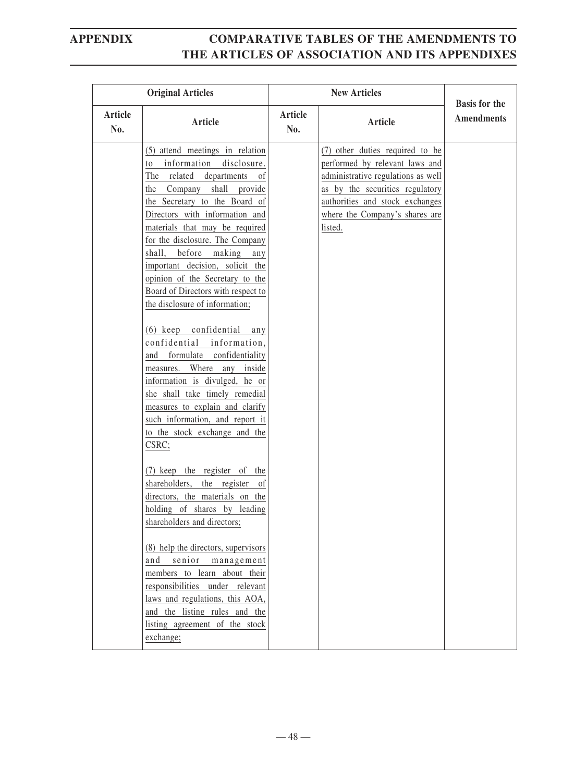| <b>Original Articles</b> |                                                                                                                                                                                                                                                                                                                                                                                                                                                                                                                                                                                                                                                                                                                                                                                                                                                                                                                                                                                                                                                                                                                                                                                                                |                       | <b>Basis for the</b>                                                                                                                                                                                                       |                   |
|--------------------------|----------------------------------------------------------------------------------------------------------------------------------------------------------------------------------------------------------------------------------------------------------------------------------------------------------------------------------------------------------------------------------------------------------------------------------------------------------------------------------------------------------------------------------------------------------------------------------------------------------------------------------------------------------------------------------------------------------------------------------------------------------------------------------------------------------------------------------------------------------------------------------------------------------------------------------------------------------------------------------------------------------------------------------------------------------------------------------------------------------------------------------------------------------------------------------------------------------------|-----------------------|----------------------------------------------------------------------------------------------------------------------------------------------------------------------------------------------------------------------------|-------------------|
| Article<br>No.           | Article                                                                                                                                                                                                                                                                                                                                                                                                                                                                                                                                                                                                                                                                                                                                                                                                                                                                                                                                                                                                                                                                                                                                                                                                        | <b>Article</b><br>No. | <b>Article</b>                                                                                                                                                                                                             | <b>Amendments</b> |
|                          | (5) attend meetings in relation<br>information disclosure.<br>to<br>The related<br>departments<br>of<br>the Company shall provide<br>the Secretary to the Board of<br>Directors with information and<br>materials that may be required<br>for the disclosure. The Company<br>shall, before making<br>any<br>important decision, solicit the<br>opinion of the Secretary to the<br>Board of Directors with respect to<br>the disclosure of information;<br>(6) keep confidential<br>any<br>confidential information,<br>and formulate confidentiality<br>measures. Where<br>any<br>inside<br>information is divulged, he or<br>she shall take timely remedial<br>measures to explain and clarify<br>such information, and report it<br>to the stock exchange and the<br>CSRC;<br>(7) keep the register of the<br>shareholders, the register<br>of<br>directors, the materials on the<br>holding of shares by leading<br>shareholders and directors;<br>(8) help the directors, supervisors<br>senior<br>management<br>and<br>members to learn about their<br>responsibilities under relevant<br>laws and regulations, this AOA,<br>and the listing rules and the<br>listing agreement of the stock<br>exchange; |                       | (7) other duties required to be<br>performed by relevant laws and<br>administrative regulations as well<br>as by the securities regulatory<br>authorities and stock exchanges<br>where the Company's shares are<br>listed. |                   |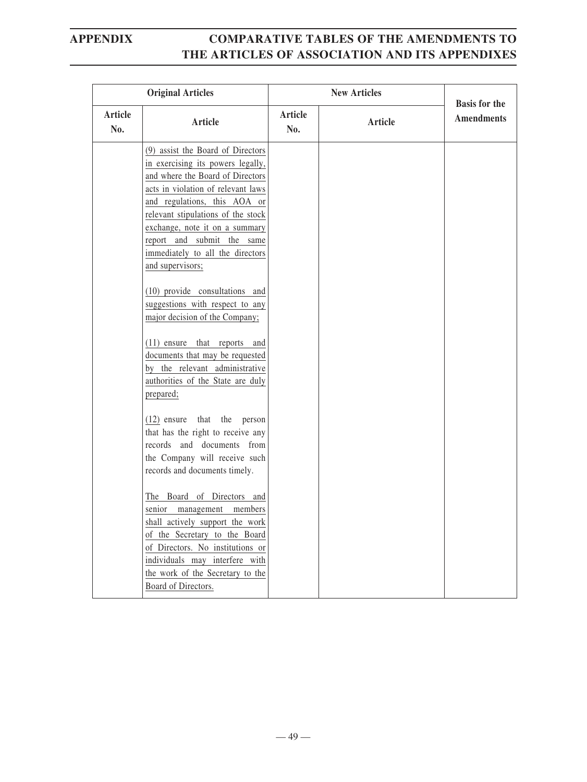|                | <b>Original Articles</b>                                                                                                                                                                                                                                                                                                                                                                                            |                | <b>New Articles</b> | <b>Basis for the</b> |
|----------------|---------------------------------------------------------------------------------------------------------------------------------------------------------------------------------------------------------------------------------------------------------------------------------------------------------------------------------------------------------------------------------------------------------------------|----------------|---------------------|----------------------|
| Article<br>No. | <b>Article</b>                                                                                                                                                                                                                                                                                                                                                                                                      | Article<br>No. | Article             | <b>Amendments</b>    |
|                | (9) assist the Board of Directors<br>in exercising its powers legally,<br>and where the Board of Directors<br>acts in violation of relevant laws<br>and regulations, this AOA or<br>relevant stipulations of the stock<br>exchange, note it on a summary<br>report and submit the same<br>immediately to all the directors<br>and supervisors;<br>(10) provide consultations and<br>suggestions with respect to any |                |                     |                      |
|                | major decision of the Company;<br>(11) ensure that reports and<br>documents that may be requested<br>by the relevant administrative<br>authorities of the State are duly<br>prepared;<br>$(12)$ ensure that the person                                                                                                                                                                                              |                |                     |                      |
|                | that has the right to receive any<br>records and documents from<br>the Company will receive such<br>records and documents timely.<br>The Board of Directors and                                                                                                                                                                                                                                                     |                |                     |                      |
|                | senior management members<br>shall actively support the work<br>of the Secretary to the Board<br>of Directors. No institutions or<br>individuals may interfere with<br>the work of the Secretary to the<br>Board of Directors.                                                                                                                                                                                      |                |                     |                      |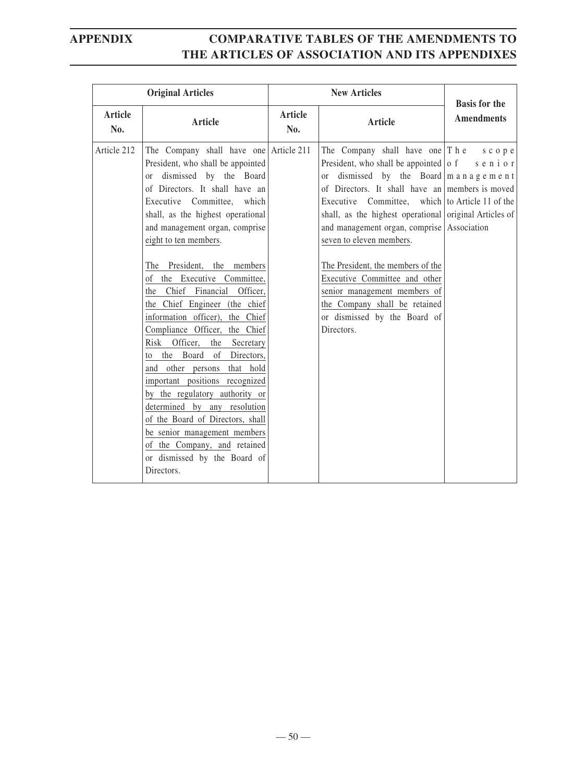| <b>Original Articles</b> |                                                                                                                                                                                                                                                                                                                                                                                                                                                                                                                                                                                                                                                                                                                                                                                                                                                |                | <b>New Articles</b>                                                                                                                                                                                                                                                                                                                                                                                                                                                                                                                                                            |                                           |
|--------------------------|------------------------------------------------------------------------------------------------------------------------------------------------------------------------------------------------------------------------------------------------------------------------------------------------------------------------------------------------------------------------------------------------------------------------------------------------------------------------------------------------------------------------------------------------------------------------------------------------------------------------------------------------------------------------------------------------------------------------------------------------------------------------------------------------------------------------------------------------|----------------|--------------------------------------------------------------------------------------------------------------------------------------------------------------------------------------------------------------------------------------------------------------------------------------------------------------------------------------------------------------------------------------------------------------------------------------------------------------------------------------------------------------------------------------------------------------------------------|-------------------------------------------|
| Article<br>No.           | <b>Article</b>                                                                                                                                                                                                                                                                                                                                                                                                                                                                                                                                                                                                                                                                                                                                                                                                                                 | Article<br>No. | <b>Article</b>                                                                                                                                                                                                                                                                                                                                                                                                                                                                                                                                                                 | <b>Basis for the</b><br><b>Amendments</b> |
| Article 212              | The Company shall have one Article 211<br>President, who shall be appointed<br>or dismissed by the Board<br>of Directors. It shall have an<br>Executive<br>Committee,<br>which<br>shall, as the highest operational<br>and management organ, comprise<br>eight to ten members.<br>The President, the members<br>of the Executive Committee,<br>the Chief Financial Officer,<br>the Chief Engineer (the chief<br>information officer), the Chief<br>Compliance Officer, the Chief<br>Officer,<br>the Secretary<br>Risk<br>the Board of Directors,<br>to<br>and other persons<br>that hold<br>important positions recognized<br>by the regulatory authority or<br>determined by any resolution<br>of the Board of Directors, shall<br>be senior management members<br>of the Company, and retained<br>or dismissed by the Board of<br>Directors. |                | The Company shall have one $T h e$<br>President, who shall be appointed $\vert$ o f<br>or dismissed by the Board $\vert$ m a n a g e m e n t<br>of Directors. It shall have an members is moved<br>Committee, which to Article 11 of the<br>Executive<br>shall, as the highest operational original Articles of<br>and management organ, comprise Association<br>seven to eleven members.<br>The President, the members of the<br>Executive Committee and other<br>senior management members of<br>the Company shall be retained<br>or dismissed by the Board of<br>Directors. | s c o p e<br>senior                       |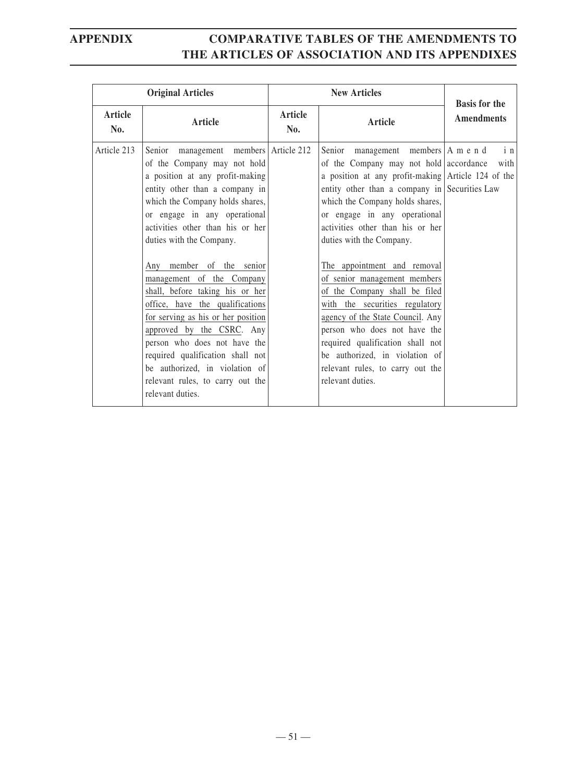|                | <b>Original Articles</b>                                                                                                                                                                                                                                                                                                                                                                                                                                                                                                                                                                                                                     | <b>New Articles</b> |                                                                                                                                                                                                                                                                                                                                                                                                                                                                                                                                                                                                                                                               | <b>Basis for the</b> |
|----------------|----------------------------------------------------------------------------------------------------------------------------------------------------------------------------------------------------------------------------------------------------------------------------------------------------------------------------------------------------------------------------------------------------------------------------------------------------------------------------------------------------------------------------------------------------------------------------------------------------------------------------------------------|---------------------|---------------------------------------------------------------------------------------------------------------------------------------------------------------------------------------------------------------------------------------------------------------------------------------------------------------------------------------------------------------------------------------------------------------------------------------------------------------------------------------------------------------------------------------------------------------------------------------------------------------------------------------------------------------|----------------------|
| Article<br>No. | Article                                                                                                                                                                                                                                                                                                                                                                                                                                                                                                                                                                                                                                      | Article<br>No.      | Article                                                                                                                                                                                                                                                                                                                                                                                                                                                                                                                                                                                                                                                       | <b>Amendments</b>    |
| Article 213    | Senior management members Article 212<br>of the Company may not hold<br>a position at any profit-making<br>entity other than a company in<br>which the Company holds shares,<br>or engage in any operational<br>activities other than his or her<br>duties with the Company.<br>Any member of the senior<br>management of the Company<br>shall, before taking his or her<br>office, have the qualifications<br>for serving as his or her position<br>approved by the CSRC. Any<br>person who does not have the<br>required qualification shall not<br>be authorized, in violation of<br>relevant rules, to carry out the<br>relevant duties. |                     | Senior management members   A m e n d<br>of the Company may not hold accordance<br>a position at any profit-making Article 124 of the<br>entity other than a company in Securities Law<br>which the Company holds shares,<br>or engage in any operational<br>activities other than his or her<br>duties with the Company.<br>The appointment and removal<br>of senior management members<br>of the Company shall be filed<br>with the securities regulatory<br>agency of the State Council. Any<br>person who does not have the<br>required qualification shall not<br>be authorized, in violation of<br>relevant rules, to carry out the<br>relevant duties. | $i$ n<br>with        |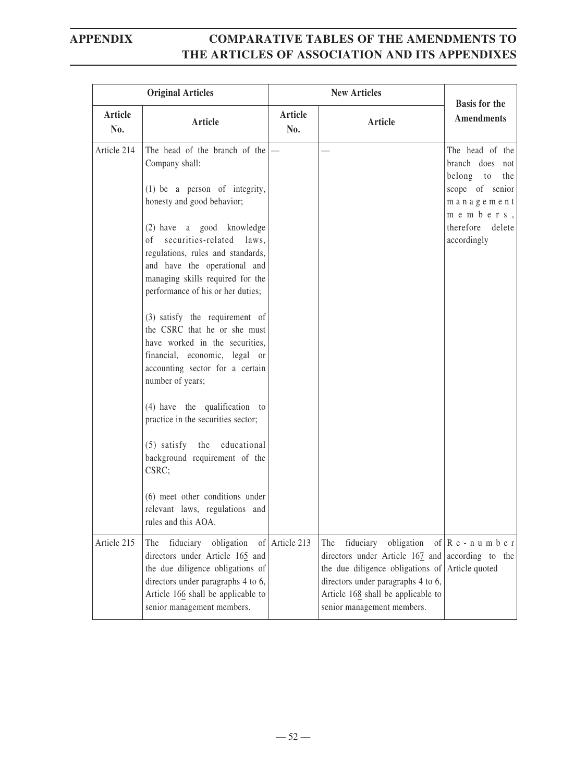|                | <b>Original Articles</b>                                                                                                                                                                                        | <b>New Articles</b> |                                                                                                                                                                                                                 |                                                                       |
|----------------|-----------------------------------------------------------------------------------------------------------------------------------------------------------------------------------------------------------------|---------------------|-----------------------------------------------------------------------------------------------------------------------------------------------------------------------------------------------------------------|-----------------------------------------------------------------------|
| Article<br>No. | Article                                                                                                                                                                                                         | Article<br>No.      | Article                                                                                                                                                                                                         | <b>Basis for the</b><br><b>Amendments</b>                             |
| Article 214    | The head of the branch of the<br>Company shall:                                                                                                                                                                 |                     |                                                                                                                                                                                                                 | The head of the<br>branch does not<br>belong to the                   |
|                | $(1)$ be a person of integrity,<br>honesty and good behavior;                                                                                                                                                   |                     |                                                                                                                                                                                                                 | scope of senior<br>management<br>$m$ e $m$ b e $r$ s,                 |
|                | (2) have a good knowledge<br>securities-related laws,<br>of<br>regulations, rules and standards,<br>and have the operational and<br>managing skills required for the<br>performance of his or her duties;       |                     |                                                                                                                                                                                                                 | therefore delete<br>accordingly                                       |
|                | (3) satisfy the requirement of<br>the CSRC that he or she must<br>have worked in the securities,<br>financial, economic, legal or<br>accounting sector for a certain<br>number of years;                        |                     |                                                                                                                                                                                                                 |                                                                       |
|                | (4) have the qualification to<br>practice in the securities sector;                                                                                                                                             |                     |                                                                                                                                                                                                                 |                                                                       |
|                | (5) satisfy the educational<br>background requirement of the<br>CSRC;                                                                                                                                           |                     |                                                                                                                                                                                                                 |                                                                       |
|                | (6) meet other conditions under<br>relevant laws, regulations and<br>rules and this AOA.                                                                                                                        |                     |                                                                                                                                                                                                                 |                                                                       |
| Article 215    | fiduciary<br>obligation<br>The<br>directors under Article 165 and<br>the due diligence obligations of<br>directors under paragraphs 4 to 6,<br>Article 166 shall be applicable to<br>senior management members. | of Article 213      | obligation<br>The<br>fiduciary<br>directors under Article 167 and<br>the due diligence obligations of<br>directors under paragraphs 4 to 6,<br>Article 168 shall be applicable to<br>senior management members. | of $\mathbb{R}$ e - n u m b e r<br>according to the<br>Article quoted |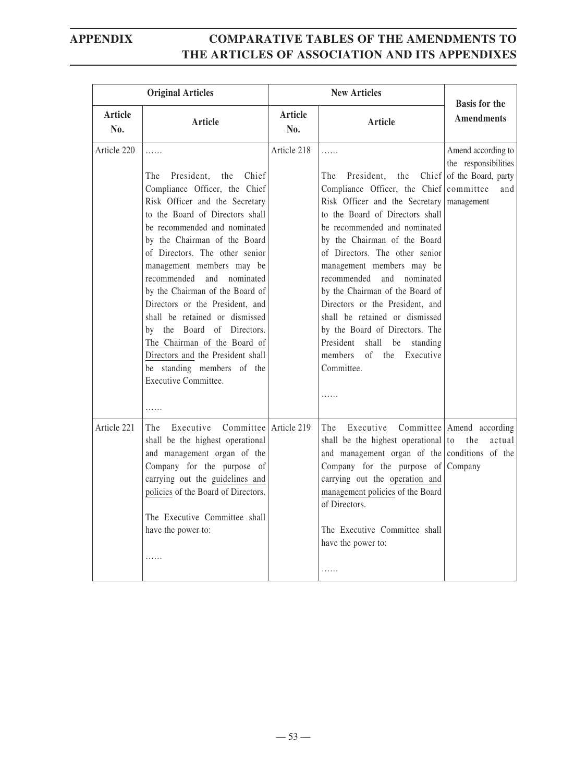| <b>Original Articles</b> |                                                                                                                                                                                                                                                                                                                                                                                                                                                                                                                                                                                | <b>New Articles</b> |                                                                                                                                                                                                                                                                                                                                                                                                                                                                                                                                                       | <b>Basis for the</b>                                                                                |
|--------------------------|--------------------------------------------------------------------------------------------------------------------------------------------------------------------------------------------------------------------------------------------------------------------------------------------------------------------------------------------------------------------------------------------------------------------------------------------------------------------------------------------------------------------------------------------------------------------------------|---------------------|-------------------------------------------------------------------------------------------------------------------------------------------------------------------------------------------------------------------------------------------------------------------------------------------------------------------------------------------------------------------------------------------------------------------------------------------------------------------------------------------------------------------------------------------------------|-----------------------------------------------------------------------------------------------------|
| Article<br>No.           | Article                                                                                                                                                                                                                                                                                                                                                                                                                                                                                                                                                                        | Article<br>No.      | <b>Article</b>                                                                                                                                                                                                                                                                                                                                                                                                                                                                                                                                        | <b>Amendments</b>                                                                                   |
| Article 220              | .<br>President,<br>the<br>Chief<br>The<br>Compliance Officer, the Chief<br>Risk Officer and the Secretary<br>to the Board of Directors shall<br>be recommended and nominated<br>by the Chairman of the Board<br>of Directors. The other senior<br>management members may be<br>recommended and nominated<br>by the Chairman of the Board of<br>Directors or the President, and<br>shall be retained or dismissed<br>by the Board of Directors.<br>The Chairman of the Board of<br>Directors and the President shall<br>be standing members of the<br>Executive Committee.<br>. | Article 218         | .<br>Chief<br>The<br>President,<br>the<br>Compliance Officer, the Chief<br>Risk Officer and the Secretary<br>to the Board of Directors shall<br>be recommended and nominated<br>by the Chairman of the Board<br>of Directors. The other senior<br>management members may be<br>recommended and nominated<br>by the Chairman of the Board of<br>Directors or the President, and<br>shall be retained or dismissed<br>by the Board of Directors. The<br>President<br>shall<br>be<br>standing<br>members<br>the Executive<br>$\sigma$<br>Committee.<br>. | Amend according to<br>the responsibilities<br>of the Board, party<br>committee<br>and<br>management |
| Article 221              | Executive Committee Article 219<br>The<br>shall be the highest operational<br>and management organ of the<br>Company for the purpose of<br>carrying out the guidelines and<br>policies of the Board of Directors.<br>The Executive Committee shall<br>have the power to:<br>.                                                                                                                                                                                                                                                                                                  |                     | The<br>Executive<br>shall be the highest operational to<br>and management organ of the conditions of the<br>Company for the purpose of $\lfloor$ Company<br>carrying out the operation and<br>management policies of the Board<br>of Directors.<br>The Executive Committee shall<br>have the power to:<br>.                                                                                                                                                                                                                                           | Committee Amend according<br>actual<br>the                                                          |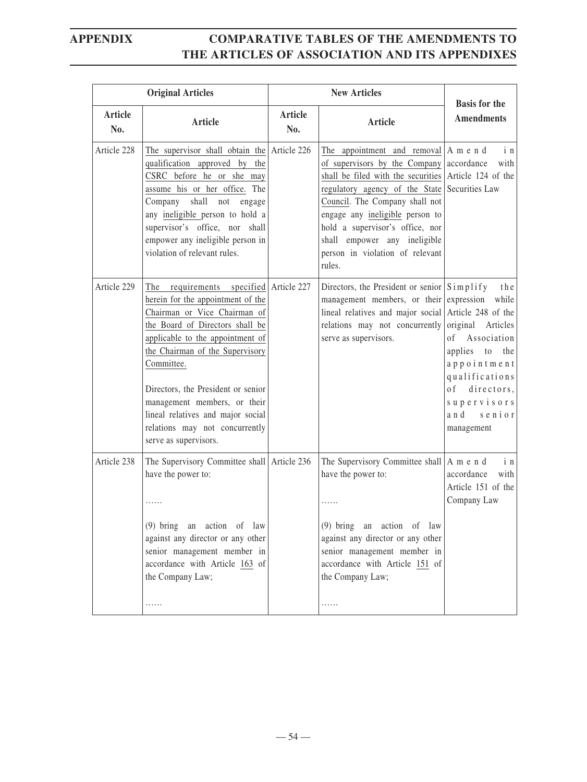|                       | <b>Original Articles</b>                                                                                                                                                                                                                                                                                                                                                                                  |                | <b>New Articles</b>                                                                                                                                                                                                                                                                                                                                                                  | <b>Basis for the</b>                                                                                                                                                           |
|-----------------------|-----------------------------------------------------------------------------------------------------------------------------------------------------------------------------------------------------------------------------------------------------------------------------------------------------------------------------------------------------------------------------------------------------------|----------------|--------------------------------------------------------------------------------------------------------------------------------------------------------------------------------------------------------------------------------------------------------------------------------------------------------------------------------------------------------------------------------------|--------------------------------------------------------------------------------------------------------------------------------------------------------------------------------|
| <b>Article</b><br>No. | <b>Article</b>                                                                                                                                                                                                                                                                                                                                                                                            | Article<br>No. | Article                                                                                                                                                                                                                                                                                                                                                                              | <b>Amendments</b>                                                                                                                                                              |
| Article 228           | The supervisor shall obtain the Article $226$<br>qualification approved by the<br>CSRC before he or she may<br>assume his or her office. The<br>Company<br>shall not<br>engage<br>any ineligible person to hold a<br>supervisor's office, nor shall<br>empower any ineligible person in<br>violation of relevant rules.                                                                                   |                | The appointment and removal $ A \text{ m} e \text{ n} d$<br>of supervisors by the Company accordance<br>shall be filed with the securities Article 124 of the<br>regulatory agency of the State<br>Council. The Company shall not<br>engage any ineligible person to<br>hold a supervisor's office, nor<br>shall empower any ineligible<br>person in violation of relevant<br>rules. | i n<br>with<br>Securities Law                                                                                                                                                  |
| Article 229           | The requirements specified Article 227<br>herein for the appointment of the<br>Chairman or Vice Chairman of<br>the Board of Directors shall be<br>applicable to the appointment of<br>the Chairman of the Supervisory<br>Committee.<br>Directors, the President or senior<br>management members, or their<br>lineal relatives and major social<br>relations may not concurrently<br>serve as supervisors. |                | Directors, the President or senior $S$ implify<br>management members, or their expression<br>lineal relatives and major social Article 248 of the<br>relations may not concurrently<br>serve as supervisors.                                                                                                                                                                         | the<br>while<br>original Articles<br>of Association<br>applies<br>to the<br>appointment<br>qualifications<br>o f<br>directors,<br>supervisors<br>a n d<br>senior<br>management |
| Article 238           | The Supervisory Committee shall Article 236<br>have the power to:<br>.<br>(9) bring an action of law<br>against any director or any other<br>senior management member in<br>accordance with Article 163 of<br>the Company Law;<br>.                                                                                                                                                                       |                | The Supervisory Committee shall   A m e n d<br>have the power to:<br>.<br>(9) bring an action of<br>law<br>against any director or any other<br>senior management member in<br>accordance with Article 151 of<br>the Company Law;<br>.                                                                                                                                               | $i$ n<br>accordance<br>with<br>Article 151 of the<br>Company Law                                                                                                               |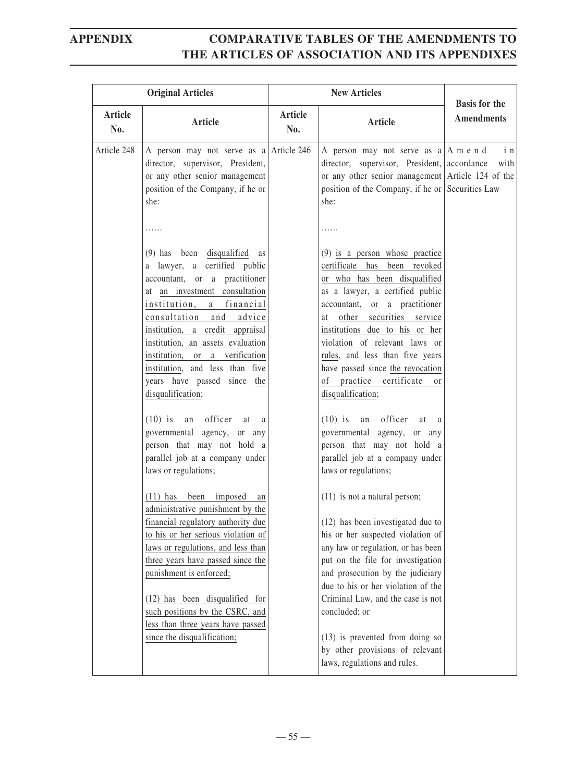| <b>Original Articles</b> |                                                                                                                                                                                                                                                                                                                                                                                                                                     | <b>New Articles</b> |                                                                                                                                                                                                                                                                                                                                                                                                                                                           |                                           |
|--------------------------|-------------------------------------------------------------------------------------------------------------------------------------------------------------------------------------------------------------------------------------------------------------------------------------------------------------------------------------------------------------------------------------------------------------------------------------|---------------------|-----------------------------------------------------------------------------------------------------------------------------------------------------------------------------------------------------------------------------------------------------------------------------------------------------------------------------------------------------------------------------------------------------------------------------------------------------------|-------------------------------------------|
| Article<br>No.           | Article                                                                                                                                                                                                                                                                                                                                                                                                                             | Article<br>No.      | <b>Article</b>                                                                                                                                                                                                                                                                                                                                                                                                                                            | <b>Basis for the</b><br><b>Amendments</b> |
| Article 248              | A person may not serve as a Article 246<br>director, supervisor, President,<br>or any other senior management<br>position of the Company, if he or<br>she:                                                                                                                                                                                                                                                                          |                     | A person may not serve as $a \mid A$ m e n d<br>director, supervisor, President, accordance<br>or any other senior management Article 124 of the<br>position of the Company, if he or Securities Law<br>she:                                                                                                                                                                                                                                              | i n<br>with                               |
|                          | .<br>(9) has been disqualified as<br>a lawyer, a certified public<br>accountant, or a practitioner<br>at an investment consultation<br>institution, a financial<br>consultation and advice<br>institution, a credit appraisal<br>institution, an assets evaluation<br>institution, or a verification<br>institution, and less than five<br>years have passed since the<br>disqualification;<br>an officer<br>$(10)$ is<br>at<br>a a |                     | .<br>$(9)$ is a person whose practice<br>certificate has been revoked<br>or who has been disqualified<br>as a lawyer, a certified public<br>accountant, or a practitioner<br>other securities service<br>at<br>institutions due to his or her<br>violation of relevant laws or<br>rules, and less than five years<br>have passed since the revocation<br>of practice certificate<br><sub>or</sub><br>disqualification;<br>$(10)$ is an officer<br>at<br>a |                                           |
|                          | governmental agency, or any<br>person that may not hold a<br>parallel job at a company under<br>laws or regulations;                                                                                                                                                                                                                                                                                                                |                     | governmental agency, or any<br>person that may not hold a<br>parallel job at a company under<br>laws or regulations;                                                                                                                                                                                                                                                                                                                                      |                                           |
|                          | (11) has been imposed<br>an<br>administrative punishment by the<br>financial regulatory authority due<br>to his or her serious violation of<br>laws or regulations, and less than<br>three years have passed since the<br>punishment is enforced;<br>(12) has been disqualified for<br>such positions by the CSRC, and<br>less than three years have passed<br>since the disqualification;                                          |                     | $(11)$ is not a natural person;<br>(12) has been investigated due to<br>his or her suspected violation of<br>any law or regulation, or has been<br>put on the file for investigation<br>and prosecution by the judiciary<br>due to his or her violation of the<br>Criminal Law, and the case is not<br>concluded; or<br>$(13)$ is prevented from doing so<br>by other provisions of relevant<br>laws, regulations and rules.                              |                                           |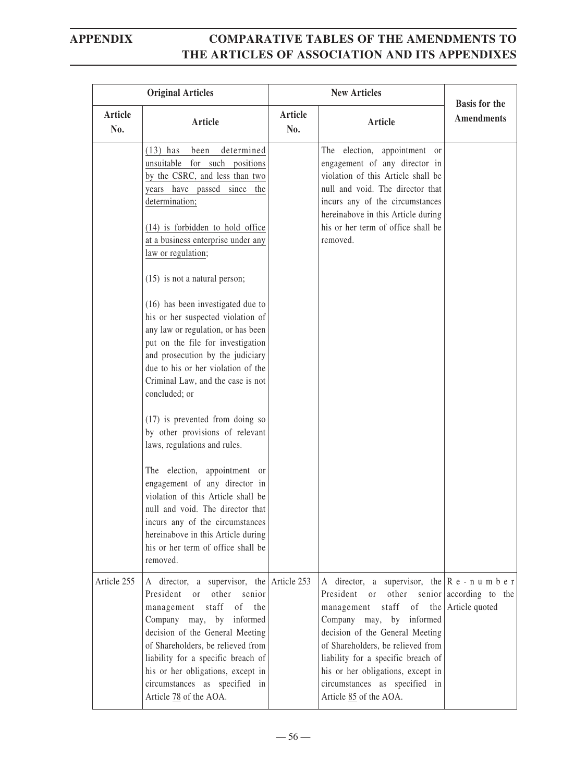| <b>Original Articles</b> |                                                                                                                                                                                                                                                                                                                                                                                                                                                                                                                                                                                                                                                                                                                                                                                                                                 |                | <b>Basis for the</b>                                                                                                                                                                                                                                                                                                                                                                                                                     |                   |
|--------------------------|---------------------------------------------------------------------------------------------------------------------------------------------------------------------------------------------------------------------------------------------------------------------------------------------------------------------------------------------------------------------------------------------------------------------------------------------------------------------------------------------------------------------------------------------------------------------------------------------------------------------------------------------------------------------------------------------------------------------------------------------------------------------------------------------------------------------------------|----------------|------------------------------------------------------------------------------------------------------------------------------------------------------------------------------------------------------------------------------------------------------------------------------------------------------------------------------------------------------------------------------------------------------------------------------------------|-------------------|
| <b>Article</b><br>No.    | Article                                                                                                                                                                                                                                                                                                                                                                                                                                                                                                                                                                                                                                                                                                                                                                                                                         | Article<br>No. | Article                                                                                                                                                                                                                                                                                                                                                                                                                                  | <b>Amendments</b> |
|                          | $(13)$ has<br>been<br>determined<br>unsuitable for such positions<br>by the CSRC, and less than two<br>years have passed since the<br>determination;<br>(14) is forbidden to hold office<br>at a business enterprise under any<br>law or regulation;<br>$(15)$ is not a natural person;<br>(16) has been investigated due to<br>his or her suspected violation of<br>any law or regulation, or has been<br>put on the file for investigation<br>and prosecution by the judiciary<br>due to his or her violation of the<br>Criminal Law, and the case is not<br>concluded; or<br>$(17)$ is prevented from doing so<br>by other provisions of relevant<br>laws, regulations and rules.<br>The election, appointment or<br>engagement of any director in<br>violation of this Article shall be<br>null and void. The director that |                | The election, appointment or<br>engagement of any director in<br>violation of this Article shall be<br>null and void. The director that<br>incurs any of the circumstances<br>hereinabove in this Article during<br>his or her term of office shall be<br>removed.                                                                                                                                                                       |                   |
|                          | incurs any of the circumstances<br>hereinabove in this Article during<br>his or her term of office shall be<br>removed.                                                                                                                                                                                                                                                                                                                                                                                                                                                                                                                                                                                                                                                                                                         |                |                                                                                                                                                                                                                                                                                                                                                                                                                                          |                   |
| Article 255              | A director, a supervisor, the Article $253$<br>President or other senior<br>management staff of the<br>Company may, by informed<br>decision of the General Meeting<br>of Shareholders, be relieved from<br>liability for a specific breach of<br>his or her obligations, except in<br>circumstances as specified in<br>Article 78 of the AOA.                                                                                                                                                                                                                                                                                                                                                                                                                                                                                   |                | A director, a supervisor, the $\begin{bmatrix} R & e & -n & u & m & b & e & r \end{bmatrix}$<br>President<br>or other senior $ $ according to the<br>staff of the Article quoted<br>management<br>Company may, by informed<br>decision of the General Meeting<br>of Shareholders, be relieved from<br>liability for a specific breach of<br>his or her obligations, except in<br>circumstances as specified in<br>Article 85 of the AOA. |                   |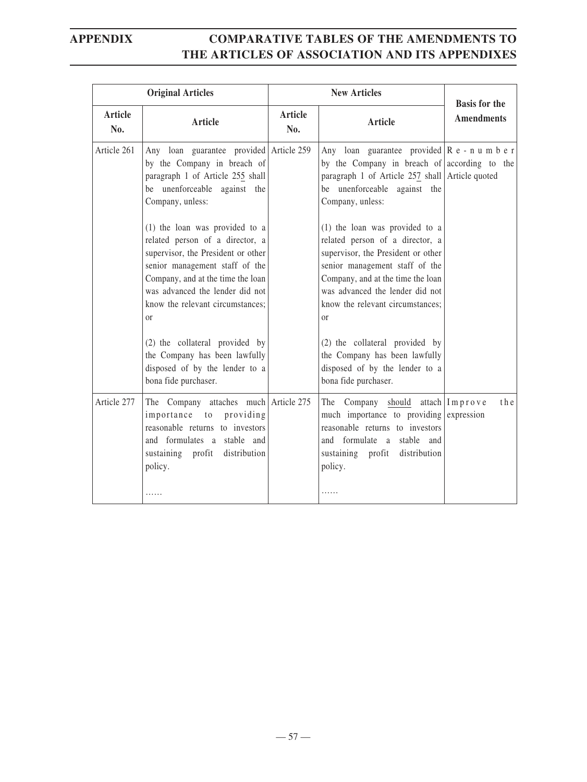| <b>Original Articles</b> |                                                                                                                                                                                                                                                                        |                       | <b>New Articles</b>                                                                                                                                                                                                                                                    | <b>Basis for the</b> |
|--------------------------|------------------------------------------------------------------------------------------------------------------------------------------------------------------------------------------------------------------------------------------------------------------------|-----------------------|------------------------------------------------------------------------------------------------------------------------------------------------------------------------------------------------------------------------------------------------------------------------|----------------------|
| <b>Article</b><br>No.    | Article                                                                                                                                                                                                                                                                | <b>Article</b><br>No. | <b>Article</b>                                                                                                                                                                                                                                                         | <b>Amendments</b>    |
| Article 261              | Any loan guarantee provided Article 259<br>by the Company in breach of<br>paragraph 1 of Article 255 shall<br>be unenforceable against the<br>Company, unless:                                                                                                         |                       | Any loan guarantee provided $\begin{bmatrix} R & e & -n & u & m & b & e & r \end{bmatrix}$<br>by the Company in breach of according to the<br>paragraph 1 of Article 257 shall Article quoted<br>be unenforceable against the<br>Company, unless:                      |                      |
|                          | (1) the loan was provided to a<br>related person of a director, a<br>supervisor, the President or other<br>senior management staff of the<br>Company, and at the time the loan<br>was advanced the lender did not<br>know the relevant circumstances;<br><sub>or</sub> |                       | (1) the loan was provided to a<br>related person of a director, a<br>supervisor, the President or other<br>senior management staff of the<br>Company, and at the time the loan<br>was advanced the lender did not<br>know the relevant circumstances;<br><sub>or</sub> |                      |
|                          | (2) the collateral provided by<br>the Company has been lawfully<br>disposed of by the lender to a<br>bona fide purchaser.                                                                                                                                              |                       | (2) the collateral provided by<br>the Company has been lawfully<br>disposed of by the lender to a<br>bona fide purchaser.                                                                                                                                              |                      |
| Article 277              | The Company attaches much Article 275<br>importance to<br>providing<br>reasonable returns to investors<br>and formulates a stable and<br>sustaining profit distribution<br>policy.<br>.                                                                                |                       | The Company should attach $Improve$<br>much importance to providing expression<br>reasonable returns to investors<br>and formulate a stable and<br>sustaining profit distribution<br>policy.<br>.                                                                      | th <sub>e</sub>      |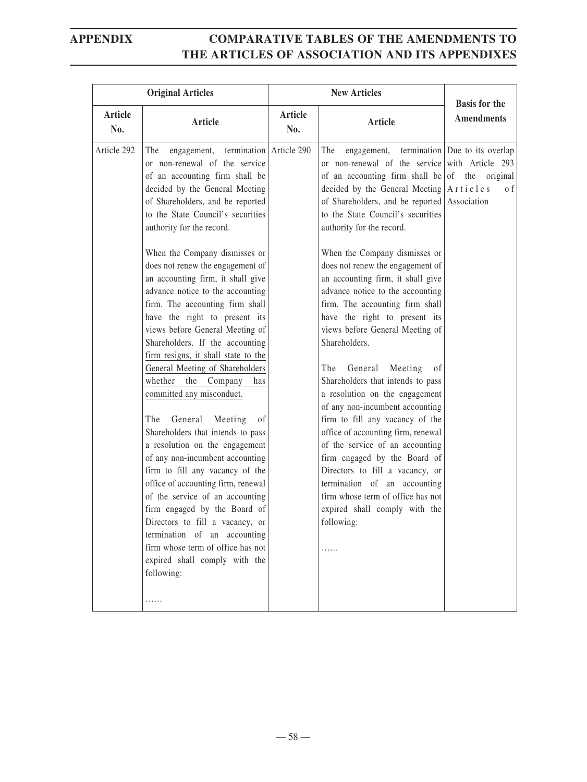| <b>Original Articles</b> |                                                                                                                                                                                                                                                                                                                                                                                                                                                                                                                                                 |                | <b>New Articles</b>                                                                                                                                                                                                                                                                                                                                                                                                                                |                                           |
|--------------------------|-------------------------------------------------------------------------------------------------------------------------------------------------------------------------------------------------------------------------------------------------------------------------------------------------------------------------------------------------------------------------------------------------------------------------------------------------------------------------------------------------------------------------------------------------|----------------|----------------------------------------------------------------------------------------------------------------------------------------------------------------------------------------------------------------------------------------------------------------------------------------------------------------------------------------------------------------------------------------------------------------------------------------------------|-------------------------------------------|
| Article<br>No.           | Article                                                                                                                                                                                                                                                                                                                                                                                                                                                                                                                                         | Article<br>No. | Article                                                                                                                                                                                                                                                                                                                                                                                                                                            | <b>Basis for the</b><br><b>Amendments</b> |
| Article 292              | engagement, termination Article 290<br>The<br>or non-renewal of the service<br>of an accounting firm shall be<br>decided by the General Meeting<br>of Shareholders, and be reported<br>to the State Council's securities<br>authority for the record.                                                                                                                                                                                                                                                                                           |                | engagement, termination Due to its overlap<br>The<br>or non-renewal of the service with Article 293<br>of an accounting firm shall be of the original<br>decided by the General Meeting $\vert A \rvert t$ icles<br>of Shareholders, and be reported Association<br>to the State Council's securities<br>authority for the record.                                                                                                                 | o f                                       |
|                          | When the Company dismisses or<br>does not renew the engagement of<br>an accounting firm, it shall give<br>advance notice to the accounting<br>firm. The accounting firm shall<br>have the right to present its<br>views before General Meeting of<br>Shareholders. If the accounting<br>firm resigns, it shall state to the                                                                                                                                                                                                                     |                | When the Company dismisses or<br>does not renew the engagement of<br>an accounting firm, it shall give<br>advance notice to the accounting<br>firm. The accounting firm shall<br>have the right to present its<br>views before General Meeting of<br>Shareholders.                                                                                                                                                                                 |                                           |
|                          | General Meeting of Shareholders<br>whether the Company<br>has<br>committed any misconduct.<br>General<br>Meeting<br>The<br>of<br>Shareholders that intends to pass<br>a resolution on the engagement<br>of any non-incumbent accounting<br>firm to fill any vacancy of the<br>office of accounting firm, renewal<br>of the service of an accounting<br>firm engaged by the Board of<br>Directors to fill a vacancy, or<br>termination of an accounting<br>firm whose term of office has not<br>expired shall comply with the<br>following:<br>. |                | The<br>General<br>Meeting<br>-of<br>Shareholders that intends to pass<br>a resolution on the engagement<br>of any non-incumbent accounting<br>firm to fill any vacancy of the<br>office of accounting firm, renewal<br>of the service of an accounting<br>firm engaged by the Board of<br>Directors to fill a vacancy, or<br>termination of an accounting<br>firm whose term of office has not<br>expired shall comply with the<br>following:<br>. |                                           |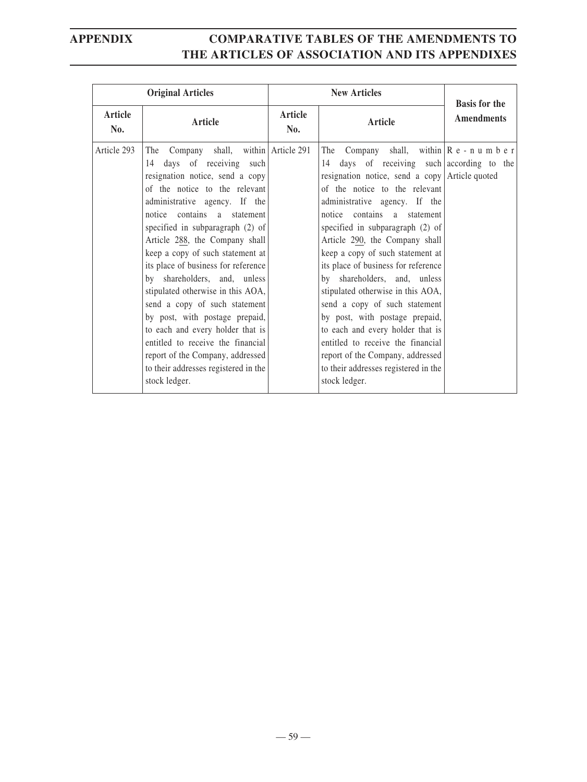| <b>Original Articles</b> |                                                                                                                                                                                                                                                                                                                                                                                                                                                                                                                                                                                                                                                                            |                | <b>New Articles</b>                                                                                                                                                                                                                                                                                                                                                                                                                                                                                                                                                                                                                                                                                                                                         |                                           |  |
|--------------------------|----------------------------------------------------------------------------------------------------------------------------------------------------------------------------------------------------------------------------------------------------------------------------------------------------------------------------------------------------------------------------------------------------------------------------------------------------------------------------------------------------------------------------------------------------------------------------------------------------------------------------------------------------------------------------|----------------|-------------------------------------------------------------------------------------------------------------------------------------------------------------------------------------------------------------------------------------------------------------------------------------------------------------------------------------------------------------------------------------------------------------------------------------------------------------------------------------------------------------------------------------------------------------------------------------------------------------------------------------------------------------------------------------------------------------------------------------------------------------|-------------------------------------------|--|
| <b>Article</b><br>No.    | Article                                                                                                                                                                                                                                                                                                                                                                                                                                                                                                                                                                                                                                                                    | Article<br>No. | Article                                                                                                                                                                                                                                                                                                                                                                                                                                                                                                                                                                                                                                                                                                                                                     | <b>Basis for the</b><br><b>Amendments</b> |  |
| Article 293              | The Company shall, within Article 291<br>days of receiving such<br>14<br>resignation notice, send a copy<br>of the notice to the relevant<br>administrative agency. If the<br>notice contains a statement<br>specified in subparagraph $(2)$ of<br>Article 288, the Company shall<br>keep a copy of such statement at<br>its place of business for reference<br>by shareholders, and, unless<br>stipulated otherwise in this AOA,<br>send a copy of such statement<br>by post, with postage prepaid,<br>to each and every holder that is<br>entitled to receive the financial<br>report of the Company, addressed<br>to their addresses registered in the<br>stock ledger. |                | The Company shall, within $\begin{bmatrix} R & e & -n & u & m & b & e & r \end{bmatrix}$<br>days of receiving such according to the<br>14<br>resignation notice, send a copy Article quoted<br>of the notice to the relevant<br>administrative agency. If the<br>notice contains a statement<br>specified in subparagraph (2) of<br>Article 290, the Company shall<br>keep a copy of such statement at<br>its place of business for reference<br>by shareholders, and, unless<br>stipulated otherwise in this AOA,<br>send a copy of such statement<br>by post, with postage prepaid,<br>to each and every holder that is<br>entitled to receive the financial<br>report of the Company, addressed<br>to their addresses registered in the<br>stock ledger. |                                           |  |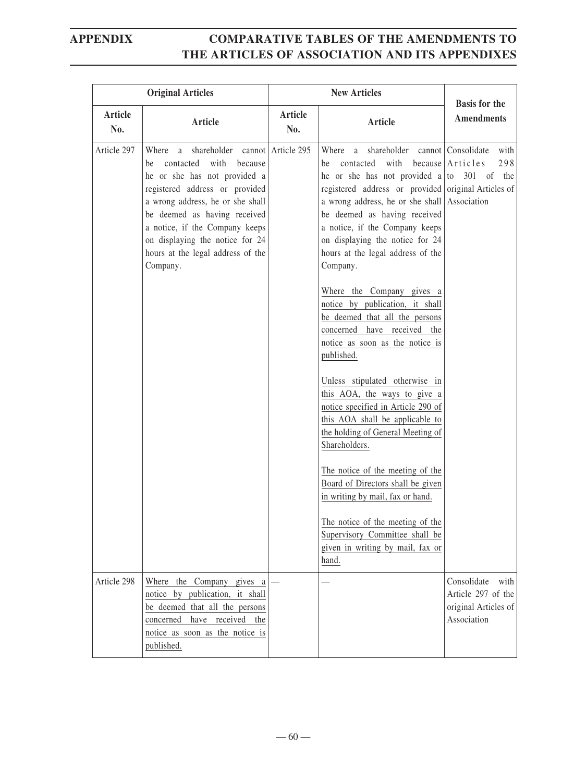| <b>Original Articles</b> |                                                                                                                                                                                                                                                                                                                                          | <b>New Articles</b> |                                                                                                                                                                                                                                                                                                                                                                                                                                                                                                                                                                                                    | <b>Basis for the</b>                                                             |
|--------------------------|------------------------------------------------------------------------------------------------------------------------------------------------------------------------------------------------------------------------------------------------------------------------------------------------------------------------------------------|---------------------|----------------------------------------------------------------------------------------------------------------------------------------------------------------------------------------------------------------------------------------------------------------------------------------------------------------------------------------------------------------------------------------------------------------------------------------------------------------------------------------------------------------------------------------------------------------------------------------------------|----------------------------------------------------------------------------------|
| Article<br>No.           | Article                                                                                                                                                                                                                                                                                                                                  | Article<br>No.      | Article                                                                                                                                                                                                                                                                                                                                                                                                                                                                                                                                                                                            | <b>Amendments</b>                                                                |
| Article 297              | shareholder cannot Article 295<br>Where a<br>contacted with<br>because<br>be<br>he or she has not provided a<br>registered address or provided<br>a wrong address, he or she shall<br>be deemed as having received<br>a notice, if the Company keeps<br>on displaying the notice for 24<br>hours at the legal address of the<br>Company. |                     | shareholder cannot Consolidate<br>Where a<br>with<br>be contacted<br>he or she has not provided a to $301$ of the<br>registered address or provided original Articles of<br>a wrong address, he or she shall Association<br>be deemed as having received<br>a notice, if the Company keeps<br>on displaying the notice for 24<br>hours at the legal address of the<br>Company.<br>Where the Company gives a<br>notice by publication, it shall<br>be deemed that all the persons<br>concerned have received the<br>notice as soon as the notice is<br>published.<br>Unless stipulated otherwise in | with<br>298<br>because Articles                                                  |
|                          |                                                                                                                                                                                                                                                                                                                                          |                     | this AOA, the ways to give a<br>notice specified in Article 290 of<br>this AOA shall be applicable to<br>the holding of General Meeting of<br>Shareholders.<br>The notice of the meeting of the<br>Board of Directors shall be given                                                                                                                                                                                                                                                                                                                                                               |                                                                                  |
|                          |                                                                                                                                                                                                                                                                                                                                          |                     | in writing by mail, fax or hand.<br>The notice of the meeting of the<br>Supervisory Committee shall be<br>given in writing by mail, fax or<br>hand.                                                                                                                                                                                                                                                                                                                                                                                                                                                |                                                                                  |
| Article 298              | Where the Company gives a<br>notice by publication, it shall<br>be deemed that all the persons<br>concerned have received the<br>notice as soon as the notice is<br>published.                                                                                                                                                           |                     |                                                                                                                                                                                                                                                                                                                                                                                                                                                                                                                                                                                                    | Consolidate<br>with<br>Article 297 of the<br>original Articles of<br>Association |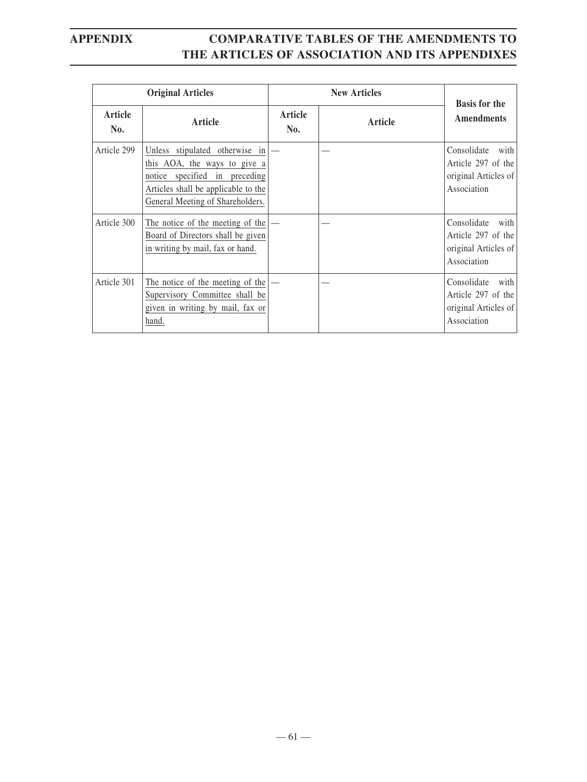|                | <b>Original Articles</b>                                                                                                                                                   | <b>New Articles</b> |         | <b>Basis for the</b>                                                             |
|----------------|----------------------------------------------------------------------------------------------------------------------------------------------------------------------------|---------------------|---------|----------------------------------------------------------------------------------|
| Article<br>No. | Article                                                                                                                                                                    | Article<br>No.      | Article | <b>Amendments</b>                                                                |
| Article 299    | Unless stipulated otherwise in<br>this AOA, the ways to give a<br>notice specified in preceding<br>Articles shall be applicable to the<br>General Meeting of Shareholders. |                     |         | Consolidate<br>with<br>Article 297 of the<br>original Articles of<br>Association |
| Article 300    | The notice of the meeting of the $ -$<br>Board of Directors shall be given<br>in writing by mail, fax or hand.                                                             |                     |         | Consolidate<br>with<br>Article 297 of the<br>original Articles of<br>Association |
| Article 301    | The notice of the meeting of the<br>Supervisory Committee shall be<br>given in writing by mail, fax or<br>hand.                                                            |                     |         | Consolidate<br>with<br>Article 297 of the<br>original Articles of<br>Association |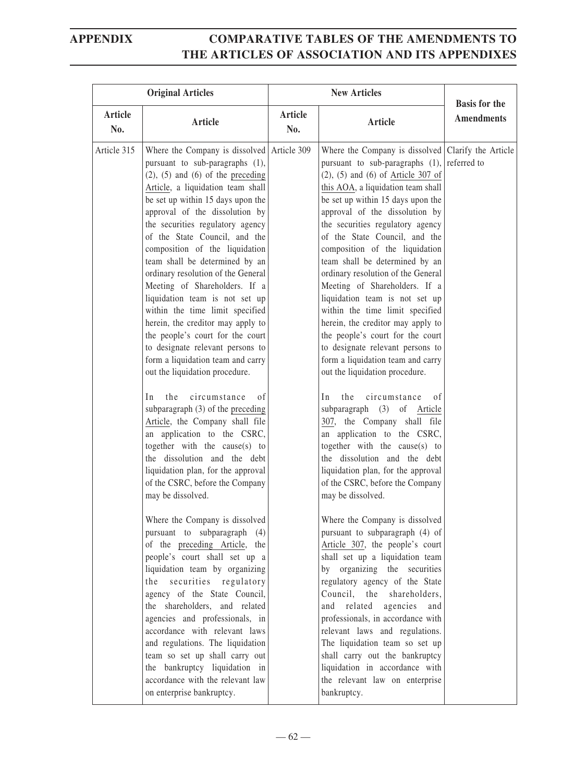| <b>Original Articles</b> |                                                                                                                                                                                                                                                                                                                                                                                                                                                                                                                                                                                                                                                                                                                                                                                                                                                                                                                                                                                                                                                                                                                                                                                                                                                                                                                                                                | <b>New Articles</b> |                                                                                                                                                                                                                                                                                                                                                                                                                                                                                                                                                                                                                                                                                                                                                                                                                                                                                                                                                                                                                                                                                                                                                                                                                                                                                                                                                                                         | <b>Basis for the</b> |
|--------------------------|----------------------------------------------------------------------------------------------------------------------------------------------------------------------------------------------------------------------------------------------------------------------------------------------------------------------------------------------------------------------------------------------------------------------------------------------------------------------------------------------------------------------------------------------------------------------------------------------------------------------------------------------------------------------------------------------------------------------------------------------------------------------------------------------------------------------------------------------------------------------------------------------------------------------------------------------------------------------------------------------------------------------------------------------------------------------------------------------------------------------------------------------------------------------------------------------------------------------------------------------------------------------------------------------------------------------------------------------------------------|---------------------|-----------------------------------------------------------------------------------------------------------------------------------------------------------------------------------------------------------------------------------------------------------------------------------------------------------------------------------------------------------------------------------------------------------------------------------------------------------------------------------------------------------------------------------------------------------------------------------------------------------------------------------------------------------------------------------------------------------------------------------------------------------------------------------------------------------------------------------------------------------------------------------------------------------------------------------------------------------------------------------------------------------------------------------------------------------------------------------------------------------------------------------------------------------------------------------------------------------------------------------------------------------------------------------------------------------------------------------------------------------------------------------------|----------------------|
| Article<br>No.           | Article                                                                                                                                                                                                                                                                                                                                                                                                                                                                                                                                                                                                                                                                                                                                                                                                                                                                                                                                                                                                                                                                                                                                                                                                                                                                                                                                                        | Article<br>No.      | <b>Article</b>                                                                                                                                                                                                                                                                                                                                                                                                                                                                                                                                                                                                                                                                                                                                                                                                                                                                                                                                                                                                                                                                                                                                                                                                                                                                                                                                                                          | <b>Amendments</b>    |
| Article 315              | Where the Company is dissolved Article 309<br>pursuant to sub-paragraphs (1),<br>$(2)$ , $(5)$ and $(6)$ of the preceding<br>Article, a liquidation team shall<br>be set up within 15 days upon the<br>approval of the dissolution by<br>the securities regulatory agency<br>of the State Council, and the<br>composition of the liquidation<br>team shall be determined by an<br>ordinary resolution of the General<br>Meeting of Shareholders. If a<br>liquidation team is not set up<br>within the time limit specified<br>herein, the creditor may apply to<br>the people's court for the court<br>to designate relevant persons to<br>form a liquidation team and carry<br>out the liquidation procedure.<br>circumstance<br>the<br>In<br>0f<br>subparagraph (3) of the preceding<br>Article, the Company shall file<br>an application to the CSRC,<br>together with the cause(s) to<br>the dissolution and the debt<br>liquidation plan, for the approval<br>of the CSRC, before the Company<br>may be dissolved.<br>Where the Company is dissolved<br>pursuant to subparagraph (4)<br>of the preceding Article, the<br>people's court shall set up a<br>liquidation team by organizing<br>the securities regulatory<br>agency of the State Council,<br>the shareholders, and related<br>agencies and professionals, in<br>accordance with relevant laws |                     | Where the Company is dissolved Clarify the Article<br>pursuant to sub-paragraphs $(1)$ , referred to<br>$(2)$ , $(5)$ and $(6)$ of Article 307 of<br>this AOA, a liquidation team shall<br>be set up within 15 days upon the<br>approval of the dissolution by<br>the securities regulatory agency<br>of the State Council, and the<br>composition of the liquidation<br>team shall be determined by an<br>ordinary resolution of the General<br>Meeting of Shareholders. If a<br>liquidation team is not set up<br>within the time limit specified<br>herein, the creditor may apply to<br>the people's court for the court<br>to designate relevant persons to<br>form a liquidation team and carry<br>out the liquidation procedure.<br>the<br>circumstance<br>In<br>οf<br>subparagraph (3) of Article<br>307, the Company shall file<br>an application to the CSRC,<br>together with the cause(s) to<br>the dissolution and the debt<br>liquidation plan, for the approval<br>of the CSRC, before the Company<br>may be dissolved.<br>Where the Company is dissolved<br>pursuant to subparagraph (4) of<br>Article 307, the people's court<br>shall set up a liquidation team<br>by organizing the securities<br>regulatory agency of the State<br>Council, the shareholders,<br>and related agencies<br>and<br>professionals, in accordance with<br>relevant laws and regulations. |                      |
|                          | and regulations. The liquidation<br>team so set up shall carry out<br>the bankruptcy liquidation in<br>accordance with the relevant law<br>on enterprise bankruptcy.                                                                                                                                                                                                                                                                                                                                                                                                                                                                                                                                                                                                                                                                                                                                                                                                                                                                                                                                                                                                                                                                                                                                                                                           |                     | The liquidation team so set up<br>shall carry out the bankruptcy<br>liquidation in accordance with<br>the relevant law on enterprise<br>bankruptcy.                                                                                                                                                                                                                                                                                                                                                                                                                                                                                                                                                                                                                                                                                                                                                                                                                                                                                                                                                                                                                                                                                                                                                                                                                                     |                      |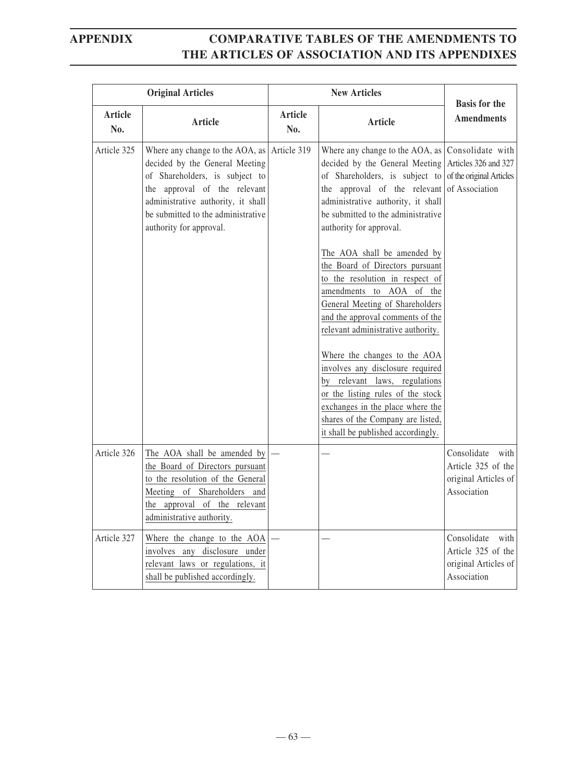|                | <b>Original Articles</b>                                                                                                                                                                                                                   |                | <b>New Articles</b>                                                                                                                                                                                                                                                                                                                                                                                                                                                                                                                                                                                                                                                                                                                               | <b>Basis for the</b>                                                                   |
|----------------|--------------------------------------------------------------------------------------------------------------------------------------------------------------------------------------------------------------------------------------------|----------------|---------------------------------------------------------------------------------------------------------------------------------------------------------------------------------------------------------------------------------------------------------------------------------------------------------------------------------------------------------------------------------------------------------------------------------------------------------------------------------------------------------------------------------------------------------------------------------------------------------------------------------------------------------------------------------------------------------------------------------------------------|----------------------------------------------------------------------------------------|
| Article<br>No. | <b>Article</b>                                                                                                                                                                                                                             | Article<br>No. | <b>Article</b>                                                                                                                                                                                                                                                                                                                                                                                                                                                                                                                                                                                                                                                                                                                                    | <b>Amendments</b>                                                                      |
| Article 325    | Where any change to the AOA, as<br>decided by the General Meeting<br>of Shareholders, is subject to<br>the approval of the relevant<br>administrative authority, it shall<br>be submitted to the administrative<br>authority for approval. | Article 319    | Where any change to the AOA, as<br>decided by the General Meeting<br>of Shareholders, is subject to<br>the approval of the relevant<br>administrative authority, it shall<br>be submitted to the administrative<br>authority for approval.<br>The AOA shall be amended by<br>the Board of Directors pursuant<br>to the resolution in respect of<br>amendments to AOA of the<br>General Meeting of Shareholders<br>and the approval comments of the<br>relevant administrative authority.<br>Where the changes to the AOA<br>involves any disclosure required<br>by relevant laws, regulations<br>or the listing rules of the stock<br>exchanges in the place where the<br>shares of the Company are listed,<br>it shall be published accordingly. | Consolidate with<br>Articles 326 and 327<br>of the original Articles<br>of Association |
| Article 326    | The AOA shall be amended by<br>the Board of Directors pursuant<br>to the resolution of the General<br>Meeting of Shareholders and<br>the approval of the relevant<br>administrative authority.                                             |                |                                                                                                                                                                                                                                                                                                                                                                                                                                                                                                                                                                                                                                                                                                                                                   | Consolidate<br>with<br>Article 325 of the<br>original Articles of<br>Association       |
| Article 327    | Where the change to the AOA<br>involves any disclosure under<br>relevant laws or regulations, it<br>shall be published accordingly.                                                                                                        |                |                                                                                                                                                                                                                                                                                                                                                                                                                                                                                                                                                                                                                                                                                                                                                   | Consolidate<br>with<br>Article 325 of the<br>original Articles of<br>Association       |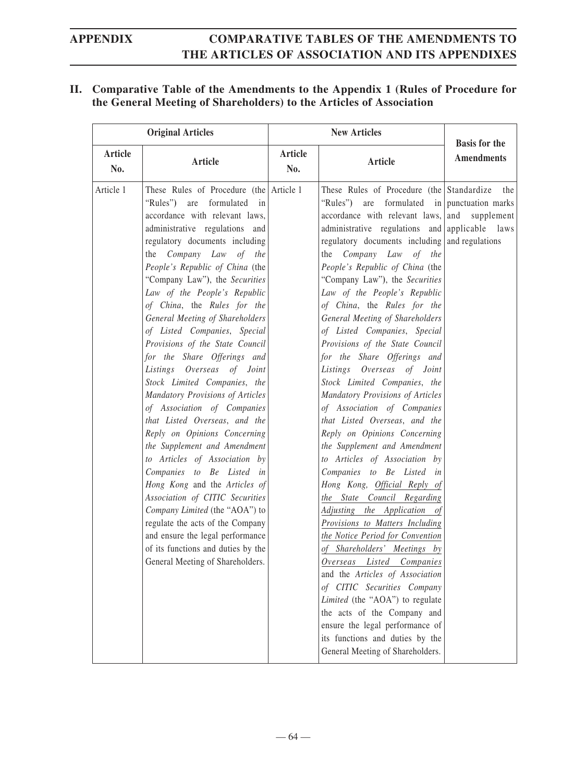### **II. Comparative Table of the Amendments to the Appendix 1 (Rules of Procedure for the General Meeting of Shareholders) to the Articles of Association**

| <b>Original Articles</b> |                                                                                                                                                                                                                                                                                                                                                                                                                                                                                                                                                                                                                                                                                                                                                                                                                                                                                                                                                                                                                                                  |                       | <b>New Articles</b>                                                                                                                                                                                                                                                                                                                                                                                                                                                                                                                                                                                                                                                                                                                                                                                                                                                                                                                                                                                                                                                                                                                                                                                                                                                                                                         | <b>Basis for the</b> |
|--------------------------|--------------------------------------------------------------------------------------------------------------------------------------------------------------------------------------------------------------------------------------------------------------------------------------------------------------------------------------------------------------------------------------------------------------------------------------------------------------------------------------------------------------------------------------------------------------------------------------------------------------------------------------------------------------------------------------------------------------------------------------------------------------------------------------------------------------------------------------------------------------------------------------------------------------------------------------------------------------------------------------------------------------------------------------------------|-----------------------|-----------------------------------------------------------------------------------------------------------------------------------------------------------------------------------------------------------------------------------------------------------------------------------------------------------------------------------------------------------------------------------------------------------------------------------------------------------------------------------------------------------------------------------------------------------------------------------------------------------------------------------------------------------------------------------------------------------------------------------------------------------------------------------------------------------------------------------------------------------------------------------------------------------------------------------------------------------------------------------------------------------------------------------------------------------------------------------------------------------------------------------------------------------------------------------------------------------------------------------------------------------------------------------------------------------------------------|----------------------|
| <b>Article</b><br>No.    | Article                                                                                                                                                                                                                                                                                                                                                                                                                                                                                                                                                                                                                                                                                                                                                                                                                                                                                                                                                                                                                                          | <b>Article</b><br>No. | <b>Article</b>                                                                                                                                                                                                                                                                                                                                                                                                                                                                                                                                                                                                                                                                                                                                                                                                                                                                                                                                                                                                                                                                                                                                                                                                                                                                                                              | <b>Amendments</b>    |
| Article 1                | These Rules of Procedure (the Article 1)<br>are<br>formulated in<br>"Rules")<br>accordance with relevant laws,<br>administrative regulations and<br>regulatory documents including<br>Company Law of the<br>the<br>People's Republic of China (the<br>"Company Law"), the Securities<br>Law of the People's Republic<br>of China, the Rules for the<br>General Meeting of Shareholders<br>of Listed Companies, Special<br>Provisions of the State Council<br>for the Share Offerings and<br>Listings Overseas of Joint<br>Stock Limited Companies, the<br>Mandatory Provisions of Articles<br>of Association of Companies<br>that Listed Overseas, and the<br>Reply on Opinions Concerning<br>the Supplement and Amendment<br>to Articles of Association by<br>Companies to Be Listed in<br>Hong Kong and the Articles of<br>Association of CITIC Securities<br>Company Limited (the "AOA") to<br>regulate the acts of the Company<br>and ensure the legal performance<br>of its functions and duties by the<br>General Meeting of Shareholders. |                       | These Rules of Procedure (the Standardize)<br>are formulated in punctuation marks<br>"Rules")<br>accordance with relevant laws, and<br>administrative regulations and applicable laws<br>regulatory documents including and regulations<br>the Company Law of the<br>People's Republic of China (the<br>"Company Law"), the Securities<br>Law of the People's Republic<br>of China, the Rules for the<br>General Meeting of Shareholders<br>of Listed Companies, Special<br>Provisions of the State Council<br>for the Share Offerings and<br>Listings Overseas of Joint<br>Stock Limited Companies, the<br>Mandatory Provisions of Articles<br>of Association of Companies<br>that Listed Overseas, and the<br>Reply on Opinions Concerning<br>the Supplement and Amendment<br>to Articles of Association by<br>Companies to Be Listed in<br>Hong Kong, Official Reply of<br>the State Council Regarding<br>Adjusting the Application of<br>Provisions to Matters Including<br>the Notice Period for Convention<br>of Shareholders' Meetings by<br>Overseas Listed Companies<br>and the Articles of Association<br>of CITIC Securities Company<br>Limited (the "AOA") to regulate<br>the acts of the Company and<br>ensure the legal performance of<br>its functions and duties by the<br>General Meeting of Shareholders. | the<br>supplement    |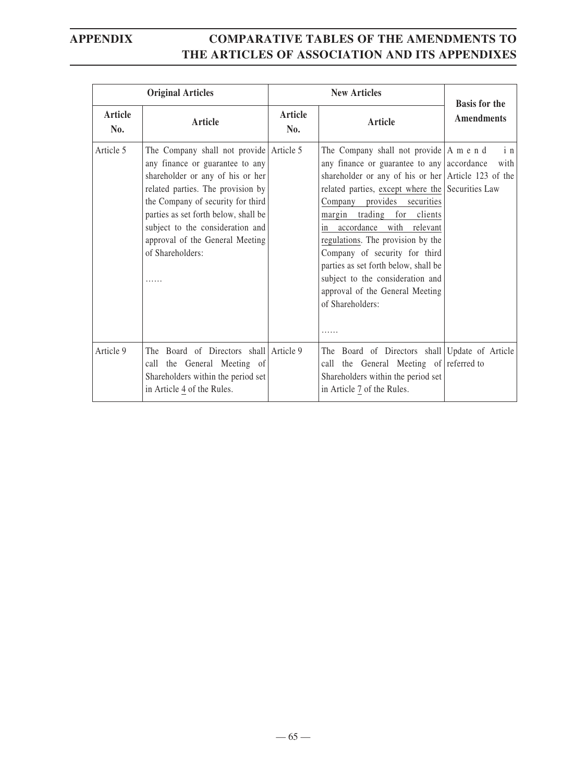|                | <b>Original Articles</b>                                                                                                                                                                                                                                                                                                         | <b>New Articles</b> |                                                                                                                                                                                                                                                                                                                                                                                                                                                                                                                                            | <b>Basis for the</b> |
|----------------|----------------------------------------------------------------------------------------------------------------------------------------------------------------------------------------------------------------------------------------------------------------------------------------------------------------------------------|---------------------|--------------------------------------------------------------------------------------------------------------------------------------------------------------------------------------------------------------------------------------------------------------------------------------------------------------------------------------------------------------------------------------------------------------------------------------------------------------------------------------------------------------------------------------------|----------------------|
| Article<br>No. | Article                                                                                                                                                                                                                                                                                                                          | Article<br>No.      | Article                                                                                                                                                                                                                                                                                                                                                                                                                                                                                                                                    | <b>Amendments</b>    |
| Article 5      | The Company shall not provide Article 5<br>any finance or guarantee to any<br>shareholder or any of his or her<br>related parties. The provision by<br>the Company of security for third<br>parties as set forth below, shall be<br>subject to the consideration and<br>approval of the General Meeting<br>of Shareholders:<br>. |                     | The Company shall not provide $ A \text{ m} e \text{ n} d$<br>any finance or guarantee to any accordance<br>shareholder or any of his or her Article 123 of the<br>related parties, except where the Securities Law<br>provides<br>securities<br>Company<br>margin trading for clients<br>accordance<br>with relevant<br>in.<br>regulations. The provision by the<br>Company of security for third<br>parties as set forth below, shall be<br>subject to the consideration and<br>approval of the General Meeting<br>of Shareholders:<br>. | in<br>with           |
| Article 9      | The Board of Directors shall Article 9<br>call the General Meeting of<br>Shareholders within the period set<br>in Article 4 of the Rules.                                                                                                                                                                                        |                     | The Board of Directors shall Update of Article<br>call the General Meeting of referred to<br>Shareholders within the period set<br>in Article 7 of the Rules.                                                                                                                                                                                                                                                                                                                                                                              |                      |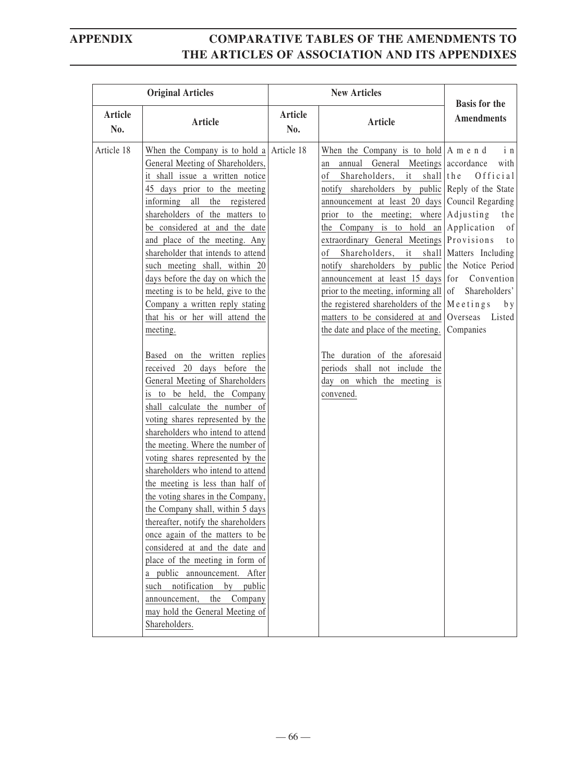| <b>Original Articles</b> |                                                                                                                                                                                                                                                                                                                                                                                                                                                                                                                                                                                                                                                                                                                                                                                                                                                                                                                                                                                                                                                                                                                                                                                                                                                                                                          |                | <b>New Articles</b>                                                                                                                                                                                                                                                                                                                                                                                                                                                                                                                                                                                                                                                                                                                                                                                                                                                               | <b>Basis for the</b>                                                      |
|--------------------------|----------------------------------------------------------------------------------------------------------------------------------------------------------------------------------------------------------------------------------------------------------------------------------------------------------------------------------------------------------------------------------------------------------------------------------------------------------------------------------------------------------------------------------------------------------------------------------------------------------------------------------------------------------------------------------------------------------------------------------------------------------------------------------------------------------------------------------------------------------------------------------------------------------------------------------------------------------------------------------------------------------------------------------------------------------------------------------------------------------------------------------------------------------------------------------------------------------------------------------------------------------------------------------------------------------|----------------|-----------------------------------------------------------------------------------------------------------------------------------------------------------------------------------------------------------------------------------------------------------------------------------------------------------------------------------------------------------------------------------------------------------------------------------------------------------------------------------------------------------------------------------------------------------------------------------------------------------------------------------------------------------------------------------------------------------------------------------------------------------------------------------------------------------------------------------------------------------------------------------|---------------------------------------------------------------------------|
| Article<br>No.           | Article                                                                                                                                                                                                                                                                                                                                                                                                                                                                                                                                                                                                                                                                                                                                                                                                                                                                                                                                                                                                                                                                                                                                                                                                                                                                                                  | Article<br>No. | <b>Article</b>                                                                                                                                                                                                                                                                                                                                                                                                                                                                                                                                                                                                                                                                                                                                                                                                                                                                    | <b>Amendments</b>                                                         |
| Article 18               | When the Company is to hold a Article 18<br>General Meeting of Shareholders,<br>it shall issue a written notice<br>45 days prior to the meeting<br>informing all the registered<br>shareholders of the matters to<br>be considered at and the date<br>and place of the meeting. Any<br>shareholder that intends to attend<br>such meeting shall, within 20<br>days before the day on which the<br>meeting is to be held, give to the<br>Company a written reply stating<br>that his or her will attend the<br>meeting.<br>Based on the written replies<br>received 20 days before the<br>General Meeting of Shareholders<br>is to be held, the Company<br>shall calculate the number of<br>voting shares represented by the<br>shareholders who intend to attend<br>the meeting. Where the number of<br>voting shares represented by the<br>shareholders who intend to attend<br>the meeting is less than half of<br>the voting shares in the Company,<br>the Company shall, within 5 days<br>thereafter, notify the shareholders<br>once again of the matters to be<br>considered at and the date and<br>place of the meeting in form of<br>a public announcement. After<br>notification<br>by<br>such<br>public<br>the<br>announcement,<br>Company<br>may hold the General Meeting of<br>Shareholders. |                | When the Company is to hold $ A \text{ m} e \text{ n} d$<br>annual General Meetings accordance<br>an<br>Shareholders, it<br>shall the<br><sub>of</sub><br>notify shareholders by public Reply of the State<br>announcement at least 20 days Council Regarding<br>prior to the meeting; where Adjusting<br>the Company is to hold an Application<br>extraordinary General Meetings Provisions<br>Shareholders, it shall Matters Including<br>οf<br>notify shareholders by public the Notice Period<br>announcement at least 15 days for Convention<br>prior to the meeting, informing all $\vert$ of<br>the registered shareholders of the $\vert M e e t i n g s \vert$ by<br>matters to be considered at and Overseas Listed<br>the date and place of the meeting.<br>The duration of the aforesaid<br>periods shall not include the<br>day on which the meeting is<br>convened. | i n<br>with<br>Official<br>the<br>of<br>t o<br>Shareholders'<br>Companies |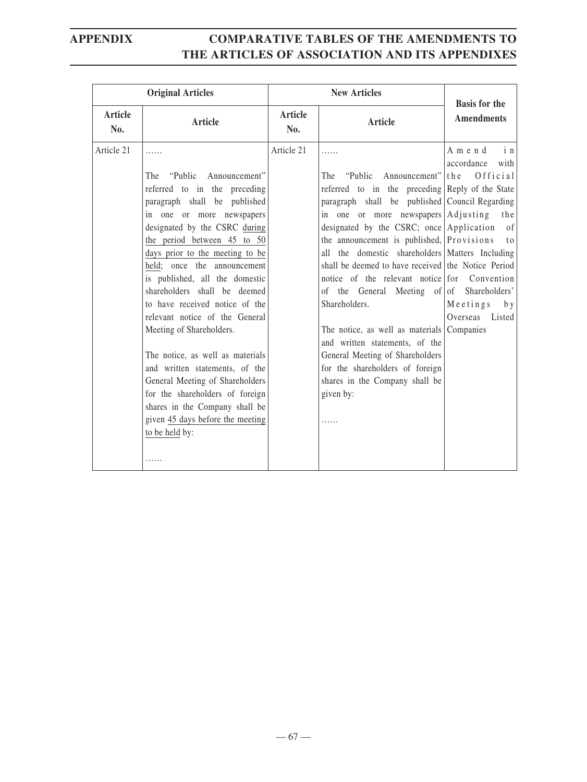| <b>Original Articles</b> |                                                                                                                                                                                                                                                                                                                                                                                                                                                                                                                                                                                                                                                                            |                       | <b>New Articles</b>                                                                                                                                                                                                                                                                                                                                                                                                                                                                                                                                                                                                                                                                                      | <b>Basis for the</b>                                                                                                      |
|--------------------------|----------------------------------------------------------------------------------------------------------------------------------------------------------------------------------------------------------------------------------------------------------------------------------------------------------------------------------------------------------------------------------------------------------------------------------------------------------------------------------------------------------------------------------------------------------------------------------------------------------------------------------------------------------------------------|-----------------------|----------------------------------------------------------------------------------------------------------------------------------------------------------------------------------------------------------------------------------------------------------------------------------------------------------------------------------------------------------------------------------------------------------------------------------------------------------------------------------------------------------------------------------------------------------------------------------------------------------------------------------------------------------------------------------------------------------|---------------------------------------------------------------------------------------------------------------------------|
| <b>Article</b><br>No.    | Article                                                                                                                                                                                                                                                                                                                                                                                                                                                                                                                                                                                                                                                                    | <b>Article</b><br>No. | Article                                                                                                                                                                                                                                                                                                                                                                                                                                                                                                                                                                                                                                                                                                  | <b>Amendments</b>                                                                                                         |
| Article 21               | .<br>"Public"<br>Announcement"<br>The<br>referred to in the preceding<br>paragraph shall be published<br>in one or more newspapers<br>designated by the CSRC during<br>the period between 45 to 50<br>days prior to the meeting to be<br>held; once the announcement<br>is published, all the domestic<br>shareholders shall be deemed<br>to have received notice of the<br>relevant notice of the General<br>Meeting of Shareholders.<br>The notice, as well as materials<br>and written statements, of the<br>General Meeting of Shareholders<br>for the shareholders of foreign<br>shares in the Company shall be<br>given 45 days before the meeting<br>to be held by: | Article 21            | .<br>"Public Announcement"<br>The<br>referred to in the preceding Reply of the State<br>paragraph shall be published Council Regarding<br>in one or more newspapers Adjusting<br>designated by the CSRC; once Application<br>the announcement is published, Provisions<br>all the domestic shareholders Matters Including<br>shall be deemed to have received the Notice Period<br>notice of the relevant notice for Convention<br>of the General Meeting of of Shareholders'<br>Shareholders.<br>The notice, as well as materials Companies<br>and written statements, of the<br>General Meeting of Shareholders<br>for the shareholders of foreign<br>shares in the Company shall be<br>given by:<br>. | in<br>Amend<br>accordance<br>with<br>the<br>Official<br>the<br>of<br>t <sub>0</sub><br>Meetings<br>b y<br>Overseas Listed |
|                          | .                                                                                                                                                                                                                                                                                                                                                                                                                                                                                                                                                                                                                                                                          |                       |                                                                                                                                                                                                                                                                                                                                                                                                                                                                                                                                                                                                                                                                                                          |                                                                                                                           |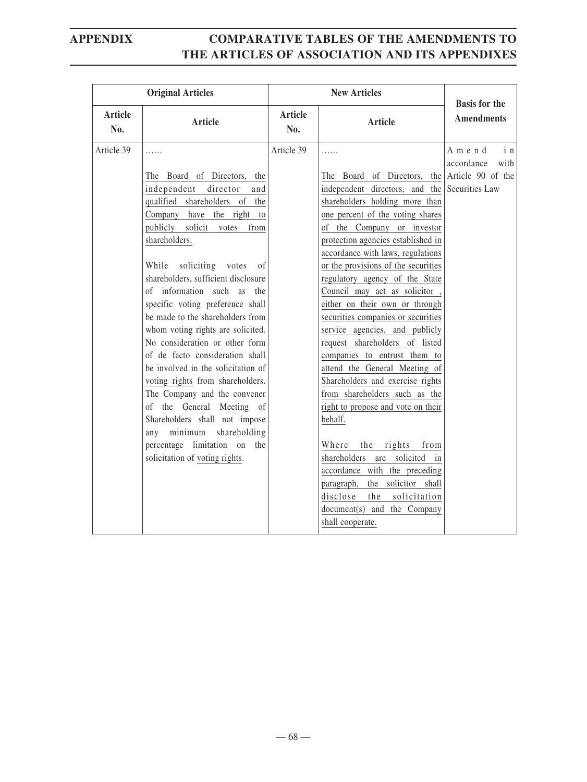|                | <b>Original Articles</b>                                                                                                                                                                                                                                                                                                                                                        | <b>New Articles</b> |                                                                                                                                                                                                                                                                                                                                                                                                                                                                                        | <b>Basis for the</b>              |
|----------------|---------------------------------------------------------------------------------------------------------------------------------------------------------------------------------------------------------------------------------------------------------------------------------------------------------------------------------------------------------------------------------|---------------------|----------------------------------------------------------------------------------------------------------------------------------------------------------------------------------------------------------------------------------------------------------------------------------------------------------------------------------------------------------------------------------------------------------------------------------------------------------------------------------------|-----------------------------------|
| Article<br>No. | <b>Article</b>                                                                                                                                                                                                                                                                                                                                                                  | Article<br>No.      | Article                                                                                                                                                                                                                                                                                                                                                                                                                                                                                | <b>Amendments</b>                 |
| Article 39     | .<br>The Board of Directors, the<br>independent director<br>and<br>qualified shareholders of the<br>Company have the right to<br>publicly solicit votes<br>from<br>shareholders.<br>soliciting votes of<br>While<br>shareholders, sufficient disclosure<br>of information such as the<br>specific voting preference shall<br>be made to the shareholders from                   | Article 39          | .<br>The Board of Directors, the Article 90 of the<br>independent directors, and the Securities Law<br>shareholders holding more than<br>one percent of the voting shares<br>of the Company or investor<br>protection agencies established in<br>accordance with laws, regulations<br>or the provisions of the securities<br>regulatory agency of the State<br>Council may act as solicitor,<br>either on their own or through<br>securities companies or securities                   | Amend<br>in<br>accordance<br>with |
|                | whom voting rights are solicited.<br>No consideration or other form<br>of de facto consideration shall<br>be involved in the solicitation of<br>voting rights from shareholders.<br>The Company and the convener<br>of the General Meeting of<br>Shareholders shall not impose<br>any minimum<br>shareholding<br>percentage limitation on the<br>solicitation of voting rights. |                     | service agencies, and publicly<br>request shareholders of listed<br>companies to entrust them to<br>attend the General Meeting of<br>Shareholders and exercise rights<br>from shareholders such as the<br>right to propose and vote on their<br>behalf.<br>the rights<br>Where<br>from<br>shareholders are solicited in<br>accordance with the preceding<br>the solicitor<br>paragraph,<br>shall<br>disclose<br>solicitation<br>the<br>document(s) and the Company<br>shall cooperate. |                                   |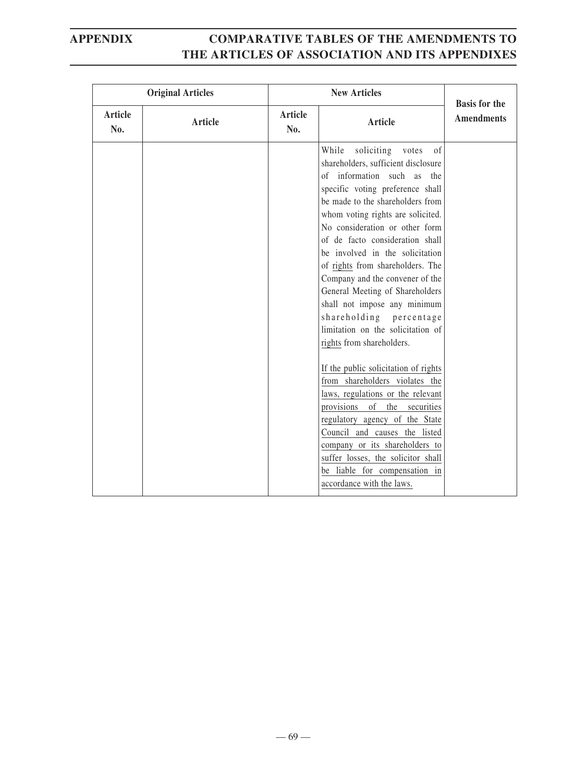|                | <b>Original Articles</b> | <b>New Articles</b> |                                                                                                                                                                                                                                                                                                                                                                                                                                                                                                                                                                                                                                                                                                                                                                                                                                                                                                                             | <b>Basis for the</b> |
|----------------|--------------------------|---------------------|-----------------------------------------------------------------------------------------------------------------------------------------------------------------------------------------------------------------------------------------------------------------------------------------------------------------------------------------------------------------------------------------------------------------------------------------------------------------------------------------------------------------------------------------------------------------------------------------------------------------------------------------------------------------------------------------------------------------------------------------------------------------------------------------------------------------------------------------------------------------------------------------------------------------------------|----------------------|
| Article<br>No. | Article                  | Article<br>No.      | <b>Article</b>                                                                                                                                                                                                                                                                                                                                                                                                                                                                                                                                                                                                                                                                                                                                                                                                                                                                                                              | <b>Amendments</b>    |
|                |                          |                     | While<br>soliciting<br>votes<br>of<br>shareholders, sufficient disclosure<br>of information such as the<br>specific voting preference shall<br>be made to the shareholders from<br>whom voting rights are solicited.<br>No consideration or other form<br>of de facto consideration shall<br>be involved in the solicitation<br>of rights from shareholders. The<br>Company and the convener of the<br>General Meeting of Shareholders<br>shall not impose any minimum<br>shareholding percentage<br>limitation on the solicitation of<br>rights from shareholders.<br>If the public solicitation of rights<br>from shareholders violates the<br>laws, regulations or the relevant<br>provisions of the securities<br>regulatory agency of the State<br>Council and causes the listed<br>company or its shareholders to<br>suffer losses, the solicitor shall<br>be liable for compensation in<br>accordance with the laws. |                      |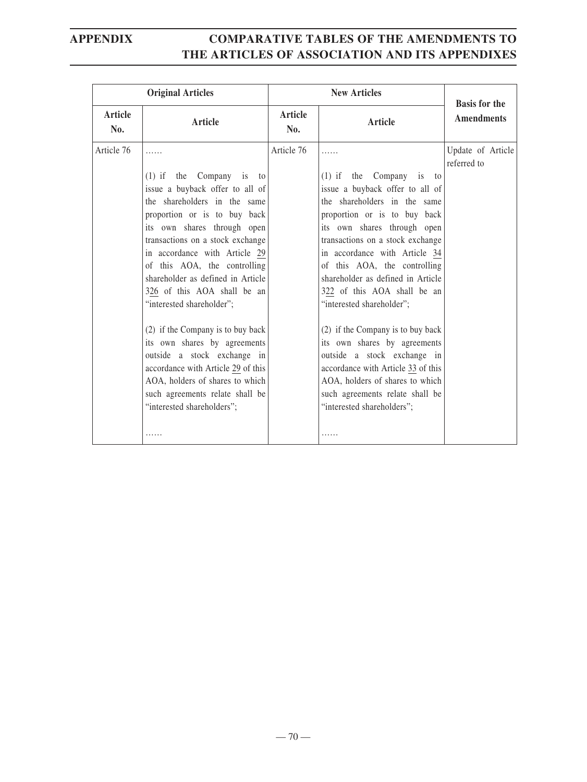| <b>Original Articles</b> |                                                                                                                                                                                                                                                                                                                                                                                                                                                                                                                                                      |                       | <b>New Articles</b>                                                                                                                                                                                                                                                                                                                                                                                                                                                                                                                                  | <b>Basis for the</b>             |
|--------------------------|------------------------------------------------------------------------------------------------------------------------------------------------------------------------------------------------------------------------------------------------------------------------------------------------------------------------------------------------------------------------------------------------------------------------------------------------------------------------------------------------------------------------------------------------------|-----------------------|------------------------------------------------------------------------------------------------------------------------------------------------------------------------------------------------------------------------------------------------------------------------------------------------------------------------------------------------------------------------------------------------------------------------------------------------------------------------------------------------------------------------------------------------------|----------------------------------|
| Article<br>No.           | <b>Article</b>                                                                                                                                                                                                                                                                                                                                                                                                                                                                                                                                       | <b>Article</b><br>No. | <b>Article</b>                                                                                                                                                                                                                                                                                                                                                                                                                                                                                                                                       | <b>Amendments</b>                |
| Article 76               | .<br>$(1)$ if the Company is to<br>issue a buyback offer to all of<br>the shareholders in the same<br>proportion or is to buy back<br>its own shares through open<br>transactions on a stock exchange<br>in accordance with Article 29<br>of this AOA, the controlling<br>shareholder as defined in Article<br>326 of this AOA shall be an<br>"interested shareholder";<br>(2) if the Company is to buy back<br>its own shares by agreements<br>outside a stock exchange in<br>accordance with Article 29 of this<br>AOA, holders of shares to which | Article 76            | .<br>$(1)$ if the Company is to<br>issue a buyback offer to all of<br>the shareholders in the same<br>proportion or is to buy back<br>its own shares through open<br>transactions on a stock exchange<br>in accordance with Article 34<br>of this AOA, the controlling<br>shareholder as defined in Article<br>322 of this AOA shall be an<br>"interested shareholder";<br>(2) if the Company is to buy back<br>its own shares by agreements<br>outside a stock exchange in<br>accordance with Article 33 of this<br>AOA, holders of shares to which | Update of Article<br>referred to |
|                          | such agreements relate shall be<br>"interested shareholders";<br>.                                                                                                                                                                                                                                                                                                                                                                                                                                                                                   |                       | such agreements relate shall be<br>"interested shareholders";                                                                                                                                                                                                                                                                                                                                                                                                                                                                                        |                                  |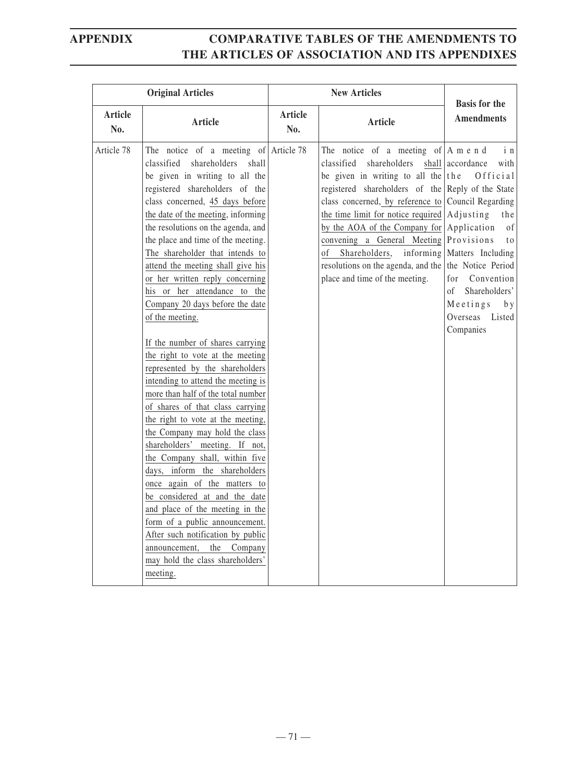| <b>Original Articles</b> |                                                                                                                                                                                                                                                                                                                                                                                                                                                                                                                                                                                                                                                                                                                                                                                                                                                                                                                                                                                                                                                                                                                                                                             | <b>New Articles</b>   |                                                                                                                                                                                                                                                                                                                                                                                                                                                                                                                             |                                                                                                                                                                                                |
|--------------------------|-----------------------------------------------------------------------------------------------------------------------------------------------------------------------------------------------------------------------------------------------------------------------------------------------------------------------------------------------------------------------------------------------------------------------------------------------------------------------------------------------------------------------------------------------------------------------------------------------------------------------------------------------------------------------------------------------------------------------------------------------------------------------------------------------------------------------------------------------------------------------------------------------------------------------------------------------------------------------------------------------------------------------------------------------------------------------------------------------------------------------------------------------------------------------------|-----------------------|-----------------------------------------------------------------------------------------------------------------------------------------------------------------------------------------------------------------------------------------------------------------------------------------------------------------------------------------------------------------------------------------------------------------------------------------------------------------------------------------------------------------------------|------------------------------------------------------------------------------------------------------------------------------------------------------------------------------------------------|
| <b>Article</b><br>No.    | <b>Article</b>                                                                                                                                                                                                                                                                                                                                                                                                                                                                                                                                                                                                                                                                                                                                                                                                                                                                                                                                                                                                                                                                                                                                                              | <b>Article</b><br>No. | Article                                                                                                                                                                                                                                                                                                                                                                                                                                                                                                                     | <b>Basis for the</b><br><b>Amendments</b>                                                                                                                                                      |
| Article 78               | The notice of a meeting of Article 78<br>classified<br>shareholders<br>shall<br>be given in writing to all the<br>registered shareholders of the<br>class concerned, 45 days before<br>the date of the meeting, informing<br>the resolutions on the agenda, and<br>the place and time of the meeting.<br>The shareholder that intends to<br>attend the meeting shall give his<br>or her written reply concerning<br>his or her attendance to the<br>Company 20 days before the date<br>of the meeting.<br>If the number of shares carrying<br>the right to vote at the meeting<br>represented by the shareholders<br>intending to attend the meeting is<br>more than half of the total number<br>of shares of that class carrying<br>the right to vote at the meeting,<br>the Company may hold the class<br>shareholders' meeting. If not,<br>the Company shall, within five<br>days, inform the shareholders<br>once again of the matters to<br>be considered at and the date<br>and place of the meeting in the<br>form of a public announcement.<br>After such notification by public<br>Company<br>announcement,<br>the<br>may hold the class shareholders'<br>meeting. |                       | The notice of a meeting of $ A \text{ m} e \text{ n} d$<br>classified<br>shareholders<br>be given in writing to all the the<br>registered shareholders of the Reply of the State<br>class concerned, by reference to Council Regarding<br>the time limit for notice required $\operatorname{Adjusting}$<br>by the AOA of the Company for Application<br>convening a General Meeting Provisions<br>Shareholders, informing   Matters Including<br>of<br>resolutions on the agenda, and the<br>place and time of the meeting. | i n<br>shall accordance<br>with<br>Official<br>the<br>0f<br>t <sub>0</sub><br>the Notice Period<br>for<br>Convention<br>Shareholders'<br>of<br>Meetings<br>b y<br>Overseas Listed<br>Companies |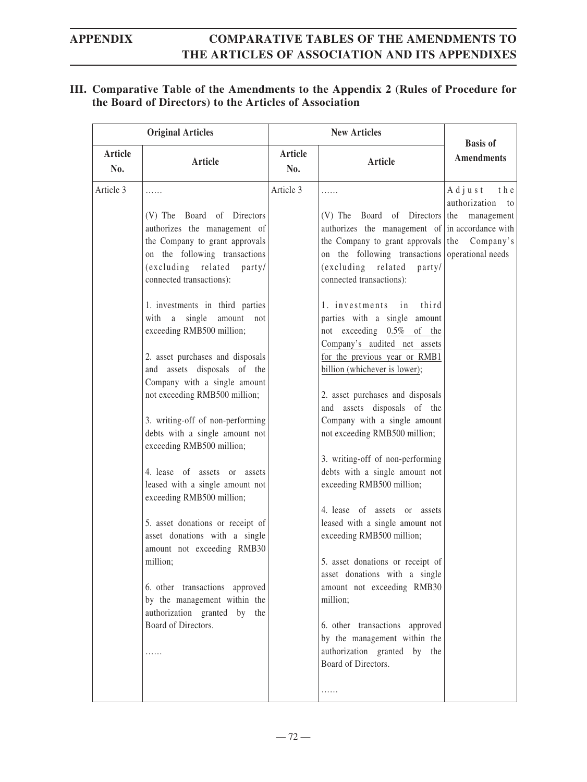### **III. Comparative Table of the Amendments to the Appendix 2 (Rules of Procedure for the Board of Directors) to the Articles of Association**

| <b>Original Articles</b> |                                                                                                                                                                                                                                                                                                                                                                                                                                                                                                                                                                                                                                                                                                                                                                                                                                                                                   | <b>New Articles</b>   |                                                                                                                                                                                                                                                                                                                                                                                                                                                                                                                                                                                                                                                                                                                                                                                                                                                                                                                                                                                                                                 |                                                         |
|--------------------------|-----------------------------------------------------------------------------------------------------------------------------------------------------------------------------------------------------------------------------------------------------------------------------------------------------------------------------------------------------------------------------------------------------------------------------------------------------------------------------------------------------------------------------------------------------------------------------------------------------------------------------------------------------------------------------------------------------------------------------------------------------------------------------------------------------------------------------------------------------------------------------------|-----------------------|---------------------------------------------------------------------------------------------------------------------------------------------------------------------------------------------------------------------------------------------------------------------------------------------------------------------------------------------------------------------------------------------------------------------------------------------------------------------------------------------------------------------------------------------------------------------------------------------------------------------------------------------------------------------------------------------------------------------------------------------------------------------------------------------------------------------------------------------------------------------------------------------------------------------------------------------------------------------------------------------------------------------------------|---------------------------------------------------------|
| <b>Article</b><br>No.    | <b>Article</b>                                                                                                                                                                                                                                                                                                                                                                                                                                                                                                                                                                                                                                                                                                                                                                                                                                                                    | <b>Article</b><br>No. | <b>Article</b>                                                                                                                                                                                                                                                                                                                                                                                                                                                                                                                                                                                                                                                                                                                                                                                                                                                                                                                                                                                                                  | <b>Basis of</b><br><b>Amendments</b>                    |
| Article 3                | .<br>(V) The Board of Directors<br>authorizes the management of<br>the Company to grant approvals<br>on the following transactions<br>(excluding related<br>party/<br>connected transactions):<br>1. investments in third parties<br>with a single amount<br>not<br>exceeding RMB500 million;<br>2. asset purchases and disposals<br>and assets disposals of the<br>Company with a single amount<br>not exceeding RMB500 million;<br>3. writing-off of non-performing<br>debts with a single amount not<br>exceeding RMB500 million;<br>4. lease of assets or assets<br>leased with a single amount not<br>exceeding RMB500 million;<br>5. asset donations or receipt of<br>asset donations with a single<br>amount not exceeding RMB30<br>million;<br>6. other transactions approved<br>by the management within the<br>authorization granted by the<br>Board of Directors.<br>. | Article 3             | .<br>(V) The Board of Directors the management<br>authorizes the management of in accordance with<br>the Company to grant approvals the<br>on the following transactions operational needs<br>(excluding related<br>party/<br>connected transactions):<br>1. investments in third<br>parties with a single amount<br>not exceeding 0.5% of the<br>Company's audited net assets<br>for the previous year or RMB1<br>billion (whichever is lower);<br>2. asset purchases and disposals<br>and assets disposals of the<br>Company with a single amount<br>not exceeding RMB500 million;<br>3. writing-off of non-performing<br>debts with a single amount not<br>exceeding RMB500 million;<br>4. lease of assets or assets<br>leased with a single amount not<br>exceeding RMB500 million;<br>5. asset donations or receipt of<br>asset donations with a single<br>amount not exceeding RMB30<br>million;<br>6. other transactions approved<br>by the management within the<br>authorization granted by the<br>Board of Directors. | $A$ d j u s t<br>t h e<br>authorization to<br>Company's |
|                          |                                                                                                                                                                                                                                                                                                                                                                                                                                                                                                                                                                                                                                                                                                                                                                                                                                                                                   |                       | .                                                                                                                                                                                                                                                                                                                                                                                                                                                                                                                                                                                                                                                                                                                                                                                                                                                                                                                                                                                                                               |                                                         |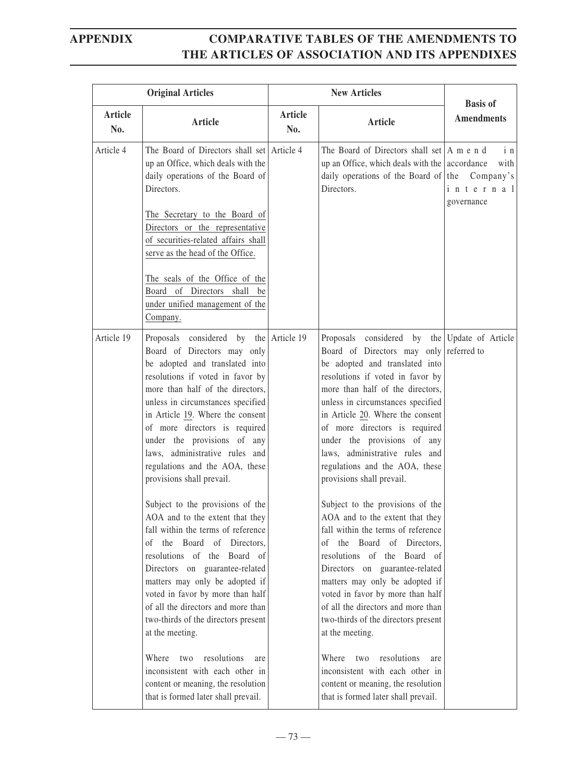| <b>Original Articles</b> |                                                                                                                                                                                                                                                                                                                                                                                                                           | <b>New Articles</b>   |                                                                                                                                                                                                                                                                                                                                                                                                                                              |                                      |
|--------------------------|---------------------------------------------------------------------------------------------------------------------------------------------------------------------------------------------------------------------------------------------------------------------------------------------------------------------------------------------------------------------------------------------------------------------------|-----------------------|----------------------------------------------------------------------------------------------------------------------------------------------------------------------------------------------------------------------------------------------------------------------------------------------------------------------------------------------------------------------------------------------------------------------------------------------|--------------------------------------|
| <b>Article</b><br>No.    | <b>Article</b>                                                                                                                                                                                                                                                                                                                                                                                                            | <b>Article</b><br>No. | Article                                                                                                                                                                                                                                                                                                                                                                                                                                      | <b>Basis of</b><br><b>Amendments</b> |
| Article 4                | The Board of Directors shall set Article 4<br>up an Office, which deals with the<br>daily operations of the Board of<br>Directors.<br>The Secretary to the Board of<br>Directors or the representative<br>of securities-related affairs shall<br>serve as the head of the Office.<br>The seals of the Office of the<br>Board of Directors shall be<br>under unified management of the<br>Company.                         |                       | The Board of Directors shall set $ A \text{ m} e \text{ n} d$<br>up an Office, which deals with the $\alpha$ accordance<br>daily operations of the Board of the Company's<br>Directors.                                                                                                                                                                                                                                                      | in<br>with<br>internal<br>governance |
| Article 19               | Proposals considered by the Article 19<br>Board of Directors may only<br>be adopted and translated into<br>resolutions if voted in favor by<br>more than half of the directors,<br>unless in circumstances specified<br>in Article 19. Where the consent<br>of more directors is required<br>under the provisions of any<br>laws, administrative rules and<br>regulations and the AOA, these<br>provisions shall prevail. |                       | Proposals considered by the Update of Article<br>Board of Directors may only referred to<br>be adopted and translated into<br>resolutions if voted in favor by<br>more than half of the directors,<br>unless in circumstances specified<br>in Article 20. Where the consent<br>of more directors is required<br>under the provisions of any<br>laws, administrative rules and<br>regulations and the AOA, these<br>provisions shall prevail. |                                      |
|                          | Subject to the provisions of the<br>AOA and to the extent that they<br>fall within the terms of reference<br>the Board of Directors,<br>οf<br>resolutions of the Board of<br>Directors on guarantee-related<br>matters may only be adopted if<br>voted in favor by more than half<br>of all the directors and more than<br>two-thirds of the directors present<br>at the meeting.                                         |                       | Subject to the provisions of the<br>AOA and to the extent that they<br>fall within the terms of reference<br>the Board of Directors,<br>of<br>resolutions of the Board of<br>Directors on guarantee-related<br>matters may only be adopted if<br>voted in favor by more than half<br>of all the directors and more than<br>two-thirds of the directors present<br>at the meeting.                                                            |                                      |
|                          | Where<br>resolutions<br>two<br>are<br>inconsistent with each other in<br>content or meaning, the resolution<br>that is formed later shall prevail.                                                                                                                                                                                                                                                                        |                       | resolutions<br>Where<br>two<br>are<br>inconsistent with each other in<br>content or meaning, the resolution<br>that is formed later shall prevail.                                                                                                                                                                                                                                                                                           |                                      |